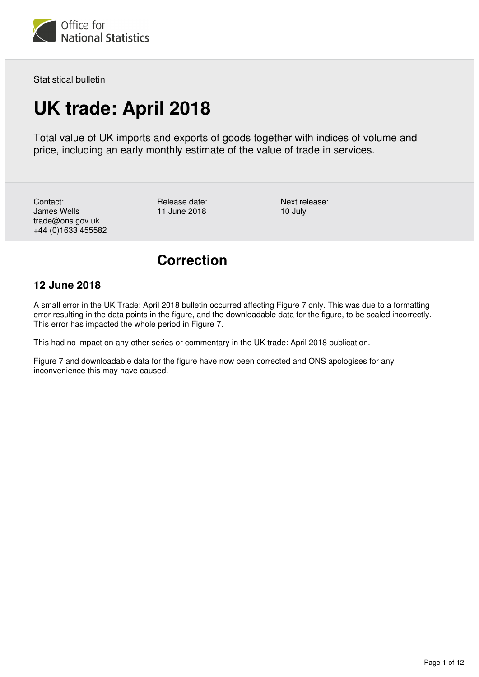

Statistical bulletin

# **UK trade: April 2018**

Total value of UK imports and exports of goods together with indices of volume and price, including an early monthly estimate of the value of trade in services.

Contact: James Wells trade@ons.gov.uk +44 (0)1633 455582 Release date: 11 June 2018

Next release: 10 July

# **Correction**

## **12 June 2018**

A small error in the UK Trade: April 2018 bulletin occurred affecting Figure 7 only. This was due to a formatting error resulting in the data points in the figure, and the downloadable data for the figure, to be scaled incorrectly. This error has impacted the whole period in Figure 7.

This had no impact on any other series or commentary in the UK trade: April 2018 publication.

Figure 7 and downloadable data for the figure have now been corrected and ONS apologises for any inconvenience this may have caused.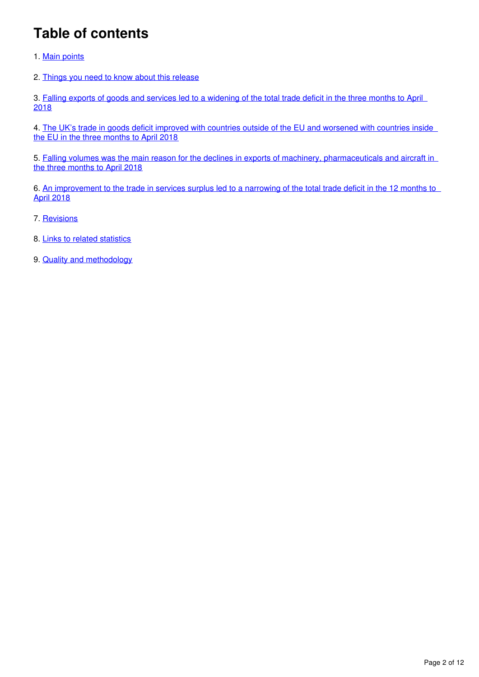# **Table of contents**

- 1. [Main points](#page-2-0)
- 2. [Things you need to know about this release](#page-2-1)

3. Falling exports of goods and services led to a widening of the total trade deficit in the three months to April [2018](#page-3-0)

4. [The UK's trade in goods deficit improved with countries outside of the EU and worsened with countries inside](#page-4-0)  [the EU in the three months to April 2018](#page-4-0)

5. Falling volumes was the main reason for the declines in exports of machinery, pharmaceuticals and aircraft in [the three months to April 2018](#page-6-0)

6. [An improvement to the trade in services surplus led to a narrowing of the total trade deficit in the 12 months to](#page-8-0)  [April 2018](#page-8-0)

- 7. [Revisions](#page-9-0)
- 8. [Links to related statistics](#page-10-0)
- 9. [Quality and methodology](#page-11-0)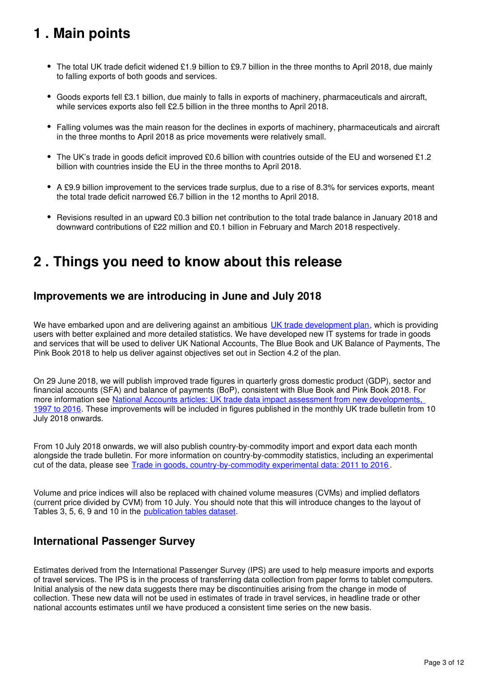# <span id="page-2-0"></span>**1 . Main points**

- The total UK trade deficit widened £1.9 billion to £9.7 billion in the three months to April 2018, due mainly to falling exports of both goods and services.
- Goods exports fell £3.1 billion, due mainly to falls in exports of machinery, pharmaceuticals and aircraft, while services exports also fell £2.5 billion in the three months to April 2018.
- Falling volumes was the main reason for the declines in exports of machinery, pharmaceuticals and aircraft in the three months to April 2018 as price movements were relatively small.
- The UK's trade in goods deficit improved £0.6 billion with countries outside of the EU and worsened £1.2 billion with countries inside the EU in the three months to April 2018.
- A £9.9 billion improvement to the services trade surplus, due to a rise of 8.3% for services exports, meant the total trade deficit narrowed £6.7 billion in the 12 months to April 2018.
- Revisions resulted in an upward £0.3 billion net contribution to the total trade balance in January 2018 and downward contributions of £22 million and £0.1 billion in February and March 2018 respectively.

# <span id="page-2-1"></span>**2 . Things you need to know about this release**

## **Improvements we are introducing in June and July 2018**

We have embarked upon and are delivering against an ambitious UK trade development plan[,](https://www.ons.gov.uk/economy/nationalaccounts/balanceofpayments/articles/uktradedevelopmentplan/2017) which is providing users with better explained and more detailed statistics. We have developed new IT systems for trade in goods and services that will be used to deliver UK National Accounts, The Blue Book and UK Balance of Payments, The Pink Book 2018 to help us deliver against objectives set out in Section 4.2 of the plan.

On 29 June 2018, we will publish improved trade figures in quarterly gross domestic product (GDP), sector and financial accounts (SFA) and balance of payments (BoP), consistent with Blue Book and Pink Book 2018. For more information see National Accounts articles: UK trade data impact assessment from new developments, [1997 to 2016](https://www.ons.gov.uk/economy/nationalaccounts/uksectoraccounts/articles/nationalaccountsarticles/uktradedataimpactassessmentfromnewdevelopments1997to2016). These improvements will be included in figures published in the monthly UK trade bulletin from 10 July 2018 onwards.

From 10 July 2018 onwards, we will also publish country-by-commodity import and export data each month alongside the trade bulletin. For more information on country-by-commodity statistics, including an experimental cut of the data, please see [Trade in goods, country-by-commodity experimental data: 2011 to 2016](https://www.ons.gov.uk/economy/nationalaccounts/balanceofpayments/articles/tradeingoodscountrybycommodityexperimentaldata2011to2016/2018-04-16/relateddata) .

Volume and price indices will also be replaced with chained volume measures (CVMs) and implied deflators (current price divided by CVM) from 10 July. You should note that this will introduce changes to the layout of Tables 3, 5, 6, 9 and 10 in the publication tables dataset.

## **International Passenger Survey**

Estimates derived from the International Passenger Survey (IPS) are used to help measure imports and exports of travel services. The IPS is in the process of transferring data collection from paper forms to tablet computers. Initial analysis of the new data suggests there may be discontinuities arising from the change in mode of collection. These new data will not be used in estimates of trade in travel services, in headline trade or other national accounts estimates until we have produced a consistent time series on the new basis.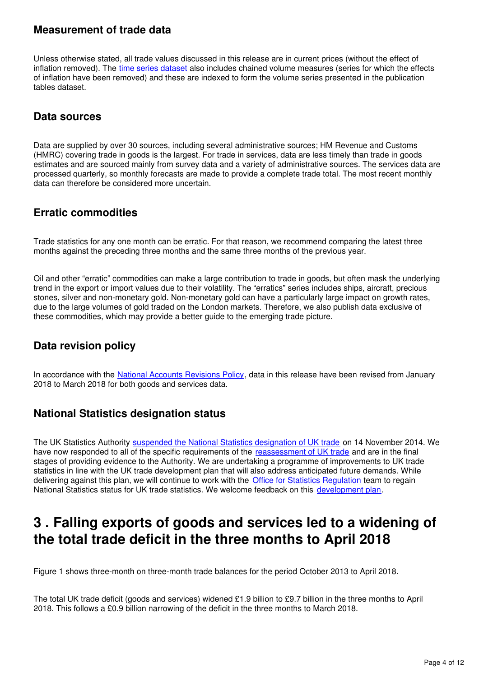## **Measurement of trade data**

Unless otherwise stated, all trade values discussed in this release are in current prices (without the effect of inflation removed). The [time series dataset](https://www.ons.gov.uk/economy/nationalaccounts/balanceofpayments/datasets/tradeingoodsmretsallbopeu2013timeseriesspreadsheet) also includes chained volume measures (series for which the effects of inflation have been removed) and these are indexed to form the volume series presented in the publication tables dataset.

## **Data sources**

Data are supplied by over 30 sources, including several administrative sources; HM Revenue and Customs (HMRC) covering trade in goods is the largest. For trade in services, data are less timely than trade in goods estimates and are sourced mainly from survey data and a variety of administrative sources. The services data are processed quarterly, so monthly forecasts are made to provide a complete trade total. The most recent monthly data can therefore be considered more uncertain.

## **Erratic commodities**

Trade statistics for any one month can be erratic. For that reason, we recommend comparing the latest three months against the preceding three months and the same three months of the previous year.

Oil and other "erratic" commodities can make a large contribution to trade in goods, but often mask the underlying trend in the export or import values due to their volatility. The "erratics" series includes ships, aircraft, precious stones, silver and non-monetary gold. Non-monetary gold can have a particularly large impact on growth rates, due to the large volumes of gold traded on the London markets. Therefore, we also publish data exclusive of these commodities, which may provide a better guide to the emerging trade picture.

## **Data revision policy**

In accordance with the National Accounts Revisions Policy[,](http://www.ons.gov.uk/methodology/methodologytopicsandstatisticalconcepts/revisions/revisionspoliciesforeconomicstatistics) data in this release have been revised from January 2018 to March 2018 for both goods and services data.

## **National Statistics designation status**

The UK Statistics Authority [suspended the National Statistics designation of UK trade](http://www.statisticsauthority.gov.uk/reports---correspondence/correspondence/letter-from-sir-andrew-dilnot-to-john-pullinger-141114.pdf) on 14 November 2014. We have now responded to all of the specific requirements of the [reassessment of UK trade](https://www.statisticsauthority.gov.uk/publication/statistics-on-uk-trade/) and are in the final stages of providing evidence to the Authority. We are undertaking a programme of improvements to UK trade statistics in line with the UK trade development plan that will also address anticipated future demands. While delivering against this plan, we will continue to work with the [Office for Statistics Regulation](https://www.statisticsauthority.gov.uk/monitoring-and-assessment/) team to regain National Statistics status for UK trade statistics. We welcome feedback on this development plan.

# <span id="page-3-0"></span>**3 . Falling exports of goods and services led to a widening of the total trade deficit in the three months to April 2018**

Figure 1 shows three-month on three-month trade balances for the period October 2013 to April 2018.

The total UK trade deficit (goods and services) widened £1.9 billion to £9.7 billion in the three months to April 2018. This follows a £0.9 billion narrowing of the deficit in the three months to March 2018.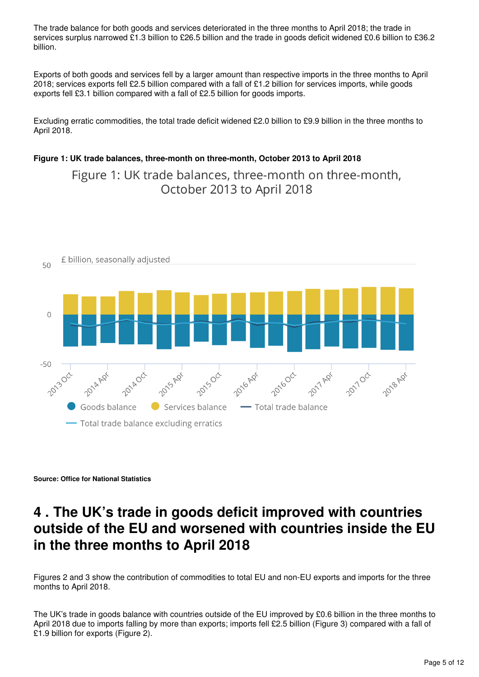The trade balance for both goods and services deteriorated in the three months to April 2018; the trade in services surplus narrowed £1.3 billion to £26.5 billion and the trade in goods deficit widened £0.6 billion to £36.2 billion.

Exports of both goods and services fell by a larger amount than respective imports in the three months to April 2018; services exports fell £2.5 billion compared with a fall of £1.2 billion for services imports, while goods exports fell £3.1 billion compared with a fall of £2.5 billion for goods imports.

Excluding erratic commodities, the total trade deficit widened £2.0 billion to £9.9 billion in the three months to April 2018.

### **Figure 1: UK trade balances, three-month on three-month, October 2013 to April 2018**

Figure 1: UK trade balances, three-month on three-month, October 2013 to April 2018



**Source: Office for National Statistics**

# <span id="page-4-0"></span>**4 . The UK's trade in goods deficit improved with countries outside of the EU and worsened with countries inside the EU in the three months to April 2018**

Figures 2 and 3 show the contribution of commodities to total EU and non-EU exports and imports for the three months to April 2018.

The UK's trade in goods balance with countries outside of the EU improved by £0.6 billion in the three months to April 2018 due to imports falling by more than exports; imports fell £2.5 billion (Figure 3) compared with a fall of £1.9 billion for exports (Figure 2).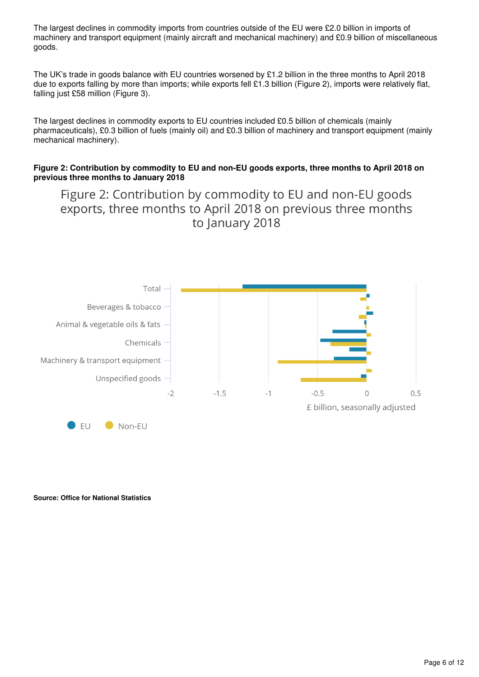The largest declines in commodity imports from countries outside of the EU were £2.0 billion in imports of machinery and transport equipment (mainly aircraft and mechanical machinery) and £0.9 billion of miscellaneous goods.

The UK's trade in goods balance with EU countries worsened by £1.2 billion in the three months to April 2018 due to exports falling by more than imports; while exports fell £1.3 billion (Figure 2), imports were relatively flat, falling just £58 million (Figure 3).

The largest declines in commodity exports to EU countries included £0.5 billion of chemicals (mainly pharmaceuticals), £0.3 billion of fuels (mainly oil) and £0.3 billion of machinery and transport equipment (mainly mechanical machinery).

### **Figure 2: Contribution by commodity to EU and non-EU goods exports, three months to April 2018 on previous three months to January 2018**

Figure 2: Contribution by commodity to EU and non-EU goods exports, three months to April 2018 on previous three months to January 2018



**Source: Office for National Statistics**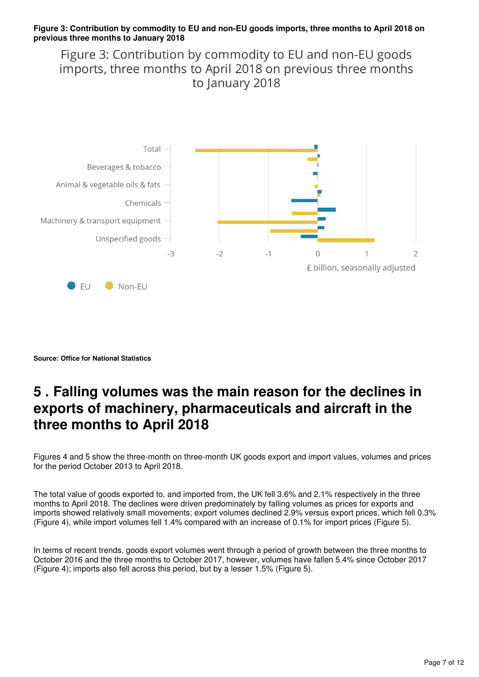#### **Figure 3: Contribution by commodity to EU and non-EU goods imports, three months to April 2018 on previous three months to January 2018**

Figure 3: Contribution by commodity to EU and non-EU goods imports, three months to April 2018 on previous three months to January 2018



**Source: Office for National Statistics**

# <span id="page-6-0"></span>**5 . Falling volumes was the main reason for the declines in exports of machinery, pharmaceuticals and aircraft in the three months to April 2018**

Figures 4 and 5 show the three-month on three-month UK goods export and import values, volumes and prices for the period October 2013 to April 2018.

The total value of goods exported to, and imported from, the UK fell 3.6% and 2.1% respectively in the three months to April 2018. The declines were driven predominately by falling volumes as prices for exports and imports showed relatively small movements; export volumes declined 2.9% versus export prices, which fell 0.3% (Figure 4), while import volumes fell 1.4% compared with an increase of 0.1% for import prices (Figure 5).

In terms of recent trends, goods export volumes went through a period of growth between the three months to October 2016 and the three months to October 2017, however, volumes have fallen 5.4% since October 2017 (Figure 4); imports also fell across this period, but by a lesser 1.5% (Figure 5).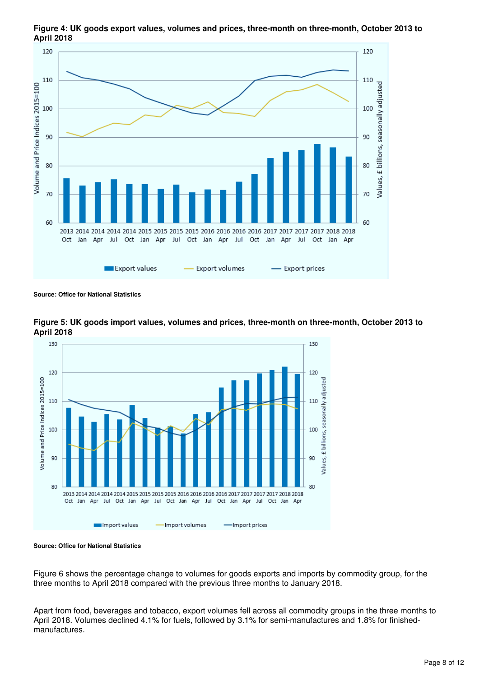

**Figure 4: UK goods export values, volumes and prices, three-month on three-month, October 2013 to April 2018**

**Source: Office for National Statistics**



**Figure 5: UK goods import values, volumes and prices, three-month on three-month, October 2013 to April 2018**

#### **Source: Office for National Statistics**

Figure 6 shows the percentage change to volumes for goods exports and imports by commodity group, for the three months to April 2018 compared with the previous three months to January 2018.

Apart from food, beverages and tobacco, export volumes fell across all commodity groups in the three months to April 2018. Volumes declined 4.1% for fuels, followed by 3.1% for semi-manufactures and 1.8% for finishedmanufactures.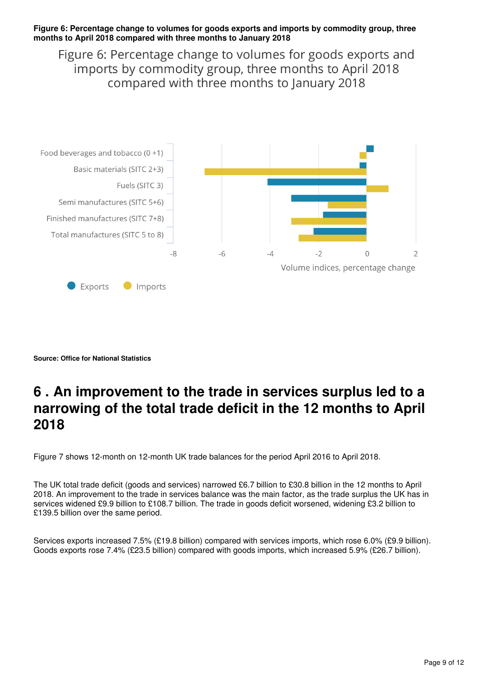#### **Figure 6: Percentage change to volumes for goods exports and imports by commodity group, three months to April 2018 compared with three months to January 2018**

Figure 6: Percentage change to volumes for goods exports and imports by commodity group, three months to April 2018 compared with three months to January 2018



**Source: Office for National Statistics**

# <span id="page-8-0"></span>**6 . An improvement to the trade in services surplus led to a narrowing of the total trade deficit in the 12 months to April 2018**

Figure 7 shows 12-month on 12-month UK trade balances for the period April 2016 to April 2018.

The UK total trade deficit (goods and services) narrowed £6.7 billion to £30.8 billion in the 12 months to April 2018. An improvement to the trade in services balance was the main factor, as the trade surplus the UK has in services widened £9.9 billion to £108.7 billion. The trade in goods deficit worsened, widening £3.2 billion to £139.5 billion over the same period.

Services exports increased 7.5% (£19.8 billion) compared with services imports, which rose 6.0% (£9.9 billion). Goods exports rose 7.4% (£23.5 billion) compared with goods imports, which increased 5.9% (£26.7 billion).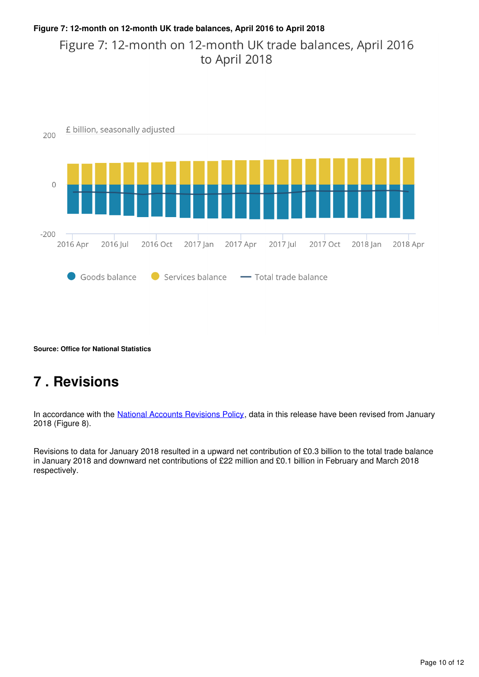## **Figure 7: 12-month on 12-month UK trade balances, April 2016 to April 2018** Figure 7: 12-month on 12-month UK trade balances, April 2016 to April 2018



**Source: Office for National Statistics**

# <span id="page-9-0"></span>**7 . Revisions**

In accordance with the National Accounts Revisions Policy[,](https://www.ons.gov.uk/methodology/methodologytopicsandstatisticalconcepts/revisions/revisionspoliciesforeconomicstatistics) data in this release have been revised from January 2018 (Figure 8).

Revisions to data for January 2018 resulted in a upward net contribution of £0.3 billion to the total trade balance in January 2018 and downward net contributions of £22 million and £0.1 billion in February and March 2018 respectively.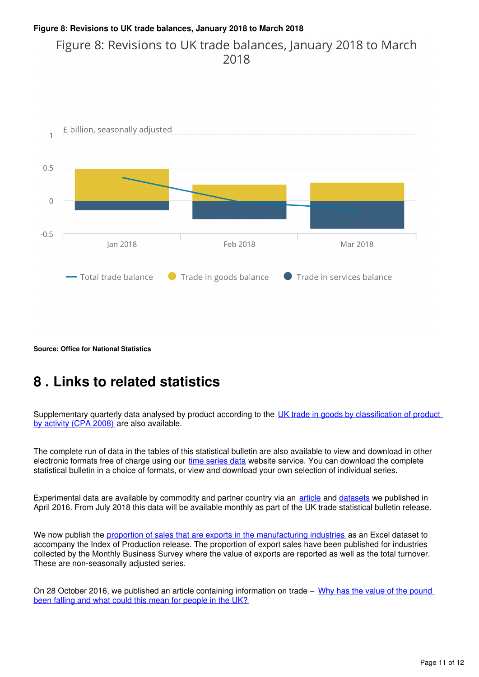## **Figure 8: Revisions to UK trade balances, January 2018 to March 2018** Figure 8: Revisions to UK trade balances, January 2018 to March  $2018$



**Source: Office for National Statistics**

# <span id="page-10-0"></span>**8 . Links to related statistics**

Supplementary quarterly data analysed by product according to the UK trade in goods by classification of product [by activity \(CPA 2008\)](https://www.ons.gov.uk/economy/nationalaccounts/balanceofpayments/datasets/publicationtablesuktradecpa08) are also available.

The complete run of data in the tables of this statistical bulletin are also available to view and download in other electronic formats free of charge using our [time series data](https://www.ons.gov.uk/economy/nationalaccounts/balanceofpayments/datasets/tradeingoodsmretsallbopeu2013timeseriesspreadsheet) website service. You can download the complete statistical bulletin in a choice of formats, or view and download your own selection of individual series.

Experimental data are available by commodity and partner country via an [article](https://www.ons.gov.uk/economy/nationalaccounts/balanceofpayments/articles/tradeingoodscountrybycommodityexperimentaldata2011to2016/2018-04-16/relateddata) and datasets we published in April 2016. From July 2018 this data will be available monthly as part of the UK trade statistical bulletin release.

We now publish the [proportion of sales that are exports in the manufacturing industries](https://www.ons.gov.uk/economy/economicoutputandproductivity/output/datasets/exportproportionsformanufacturingindustries) as an Excel dataset to accompany the Index of Production release. The proportion of export sales have been published for industries collected by the Monthly Business Survey where the value of exports are reported as well as the total turnover. These are non-seasonally adjusted series.

On 28 October 2016, we published an article containing information on trade – Why has the value of the pound [been falling and what could this mean for people in the UK?](https://www.ons.gov.uk/economy/inflationandpriceindices/articles/whyhasthevalueofthepoundbeenfallingandwhatcouldthismeanforpeopleintheuk/2016-10-28)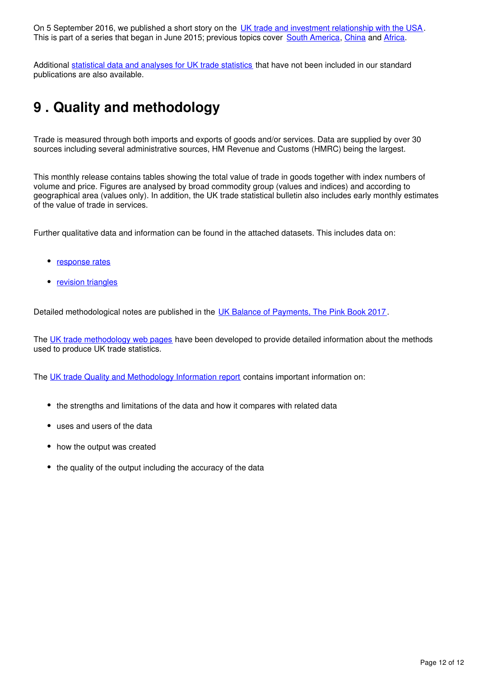On 5 September 2016, we published a short story on the [UK trade and investment relationship with the USA.](https://www.ons.gov.uk/releases/theuktradeandinvestmentrelationshipwiththeunitedstatesofamerica) This is part of a series that began in June 2015; previous topics cover South America[,](https://www.ons.gov.uk/economy/nationalaccounts/balanceofpayments/articles/uktradeandinvestmentwithsouthamerica/2016)China and Africa.

Additional [statistical data and analyses for UK trade statistics](https://www.ons.gov.uk/aboutus/whatwedo/statistics/requestingstatistics/alladhocs) that have not been included in our standard publications are also available.

# <span id="page-11-0"></span>**9 . Quality and methodology**

Trade is measured through both imports and exports of goods and/or services. Data are supplied by over 30 sources including several administrative sources, HM Revenue and Customs (HMRC) being the largest.

This monthly release contains tables showing the total value of trade in goods together with index numbers of volume and price. Figures are analysed by broad commodity group (values and indices) and according to geographical area (values only). In addition, the UK trade statistical bulletin also includes early monthly estimates of the value of trade in services.

Further qualitative data and information can be found in the attached datasets. This includes data on:

- [response rates](https://www.ons.gov.uk/economy/nationalaccounts/balanceofpayments/datasets/responseratesuktrade)
- [revision triangles](https://www.ons.gov.uk/economy/nationalaccounts/balanceofpayments/bulletins/uktrade/april2018/relateddata)

Detailed methodological notes are published in the [UK Balance of Payments, The Pink Book 2017](https://www.ons.gov.uk/releases/unitedkingdombalanceofpaymentsthepinkbook2017).

The [UK trade methodology web pages](http://www.ons.gov.uk/economy/nationalaccounts/balanceofpayments/methodologies/uktrade) have been developed to provide detailed information about the methods used to produce UK trade statistics.

The [UK trade Quality and Methodology Information report](https://www.ons.gov.uk/economy/nationalaccounts/balanceofpayments/qmis/uktradeqmi) contains important information on:

- the strengths and limitations of the data and how it compares with related data
- uses and users of the data
- how the output was created
- the quality of the output including the accuracy of the data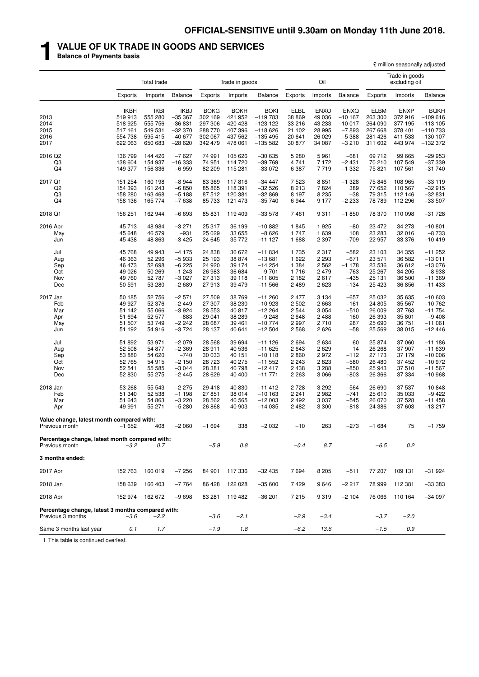## **1 VALUE OF UK TRADE IN GOODS AND SERVICES**

**Balance of Payments basis**

|                                                                        |                                                                    |                                                                    |                                                                         |                                                                    |                                                                    |                                                                        |                                                               |                                                                |                                                                      |                                                                    | £ million seasonally adjusted                                      |                                                                               |
|------------------------------------------------------------------------|--------------------------------------------------------------------|--------------------------------------------------------------------|-------------------------------------------------------------------------|--------------------------------------------------------------------|--------------------------------------------------------------------|------------------------------------------------------------------------|---------------------------------------------------------------|----------------------------------------------------------------|----------------------------------------------------------------------|--------------------------------------------------------------------|--------------------------------------------------------------------|-------------------------------------------------------------------------------|
|                                                                        |                                                                    | Total trade                                                        |                                                                         |                                                                    | Trade in goods                                                     |                                                                        |                                                               | Oil                                                            |                                                                      |                                                                    | Trade in goods<br>excluding oil                                    |                                                                               |
|                                                                        | <b>Exports</b>                                                     | Imports                                                            | Balance                                                                 | Exports                                                            | Imports                                                            | <b>Balance</b>                                                         | Exports                                                       | Imports                                                        | <b>Balance</b>                                                       | Exports                                                            | Imports                                                            | <b>Balance</b>                                                                |
| 2013<br>2014<br>2015<br>2016<br>2017                                   | <b>IKBH</b><br>519 913<br>518 925<br>517 161<br>554 738<br>622 063 | <b>IKBI</b><br>555 280<br>555 756<br>549 531<br>595 415<br>650 683 | <b>IKBJ</b><br>$-35367$<br>$-36831$<br>$-32370$<br>$-40677$<br>$-28620$ | <b>BOKG</b><br>302 169<br>297 306<br>288 770<br>302 067<br>342 479 | <b>BOKH</b><br>421 952<br>420 428<br>407 396<br>437 562<br>478 061 | BOKI<br>$-119783$<br>$-123$ 122<br>$-118626$<br>$-135495$<br>$-135582$ | <b>ELBL</b><br>38 869<br>33 216<br>21 102<br>20 641<br>30 877 | <b>ENXO</b><br>49 036<br>43 233<br>28 995<br>26 0 29<br>34 087 | <b>ENXQ</b><br>$-10167$<br>$-10017$<br>$-7893$<br>$-5388$<br>$-3210$ | <b>ELBM</b><br>263 300<br>264 090<br>267 668<br>281 426<br>311 602 | <b>ENXP</b><br>372 916<br>377 195<br>378 401<br>411 533<br>443 974 | <b>BQKH</b><br>$-109616$<br>$-113105$<br>$-110733$<br>$-130$ 107<br>$-132372$ |
| 2016 Q2<br>Q3<br>Q <sub>4</sub>                                        | 136 799<br>138 604<br>149 377                                      | 144 426<br>154 937<br>156 336                                      | $-7627$<br>$-16333$<br>$-6959$                                          | 74 991<br>74 951<br>82 209                                         | 105 626<br>114 720<br>115 281                                      | $-30635$<br>$-39769$<br>$-33072$                                       | 5 2 8 0<br>4 7 4 1<br>6 3 8 7                                 | 5961<br>7 1 7 2<br>7719                                        | $-681$<br>$-2431$<br>$-1332$                                         | 69712<br>70 210<br>75 821                                          | 99 665<br>107 549<br>107 561                                       | $-29953$<br>$-37339$<br>$-31740$                                              |
| 2017 Q1<br>Q <sub>2</sub><br>Q3<br>Q <sub>4</sub>                      | 151 254<br>154 393<br>158 280<br>158 136                           | 160 198<br>161 243<br>163 468<br>165 774                           | $-8944$<br>$-6850$<br>$-5188$<br>$-7638$                                | 83 369<br>85 865<br>87512<br>85 733                                | 117816<br>118 391<br>120 381<br>121 473                            | $-34447$<br>$-32526$<br>$-32869$<br>$-35740$                           | 7 5 23<br>8 2 1 3<br>8 1 9 7<br>6944                          | 8851<br>7824<br>8 2 3 5<br>9 1 7 7                             | $-1328$<br>389<br>$-38$<br>$-2233$                                   | 75 846<br>77 652<br>79 315<br>78 789                               | 108 965<br>110 567<br>112 146<br>112 296                           | $-33119$<br>$-32915$<br>$-32831$<br>$-33507$                                  |
| 2018 Q1<br>2016 Apr<br>May<br>Jun                                      | 156 251<br>45713<br>45 648<br>45 4 38                              | 162 944<br>48 984<br>46 579<br>48 863                              | $-6693$<br>$-3271$<br>$-931$<br>$-3425$                                 | 85 831<br>25 317<br>25 0 29<br>24 645                              | 119 409<br>36 199<br>33 655<br>35 772                              | $-33578$<br>$-10882$<br>$-8626$<br>$-111127$                           | 7461<br>1845<br>1 747<br>1688                                 | 9311<br>1925<br>1 639<br>2 3 9 7                               | $-1850$<br>$-80$<br>108<br>$-709$                                    | 78 370<br>23 472<br>23 283<br>22 957                               | 110 098<br>34 273<br>32 016<br>33 376                              | $-31728$<br>$-10801$<br>$-8733$<br>$-10419$                                   |
| Jul<br>Aug<br>Sep<br>Oct<br>Nov<br>Dec                                 | 45 768<br>46 363<br>46 473<br>49 0 26<br>49 760<br>50 591          | 49 943<br>52 296<br>52 698<br>50 269<br>52 787<br>53 280           | $-4175$<br>$-5933$<br>$-6225$<br>$-1243$<br>$-3027$<br>$-2689$          | 24 838<br>25 193<br>24 9 20<br>26 983<br>27 313<br>27913           | 36 672<br>38 874<br>39 174<br>36 684<br>39 118<br>39 479           | $-11834$<br>$-13681$<br>$-14254$<br>$-9701$<br>$-11805$<br>$-11566$    | 1 7 3 5<br>1 6 2 2<br>1 3 8 4<br>1716<br>2 1 8 2<br>2 4 8 9   | 2 3 1 7<br>2 2 9 3<br>2 5 6 2<br>2 4 7 9<br>2617<br>2 6 2 3    | $-582$<br>$-671$<br>$-1178$<br>$-763$<br>$-435$<br>$-134$            | 23 103<br>23 571<br>23 536<br>25 267<br>25 131<br>25 4 23          | 34 355<br>36 582<br>36 612<br>34 205<br>36 500<br>36 856           | $-11252$<br>$-13011$<br>$-13076$<br>$-8938$<br>$-11369$<br>$-11433$           |
| 2017 Jan<br>Feb<br>Mar<br>Apr<br>May<br>Jun                            | 50 185<br>49 927<br>51 142<br>51 694<br>51 507<br>51 192           | 52 756<br>52 376<br>55 066<br>52 577<br>53 749<br>54 916           | $-2571$<br>$-2449$<br>$-3924$<br>$-883$<br>$-2242$<br>$-3724$           | 27 509<br>27 307<br>28 553<br>29 041<br>28 687<br>28 137           | 38 769<br>38 230<br>40 817<br>38 289<br>39 461<br>40 641           | $-11260$<br>$-10923$<br>$-12264$<br>$-9248$<br>$-10774$<br>$-12504$    | 2 4 7 7<br>2 5 0 2<br>2 5 4 4<br>2648<br>2 9 9 7<br>2568      | 3 1 3 4<br>2 6 6 3<br>3 0 5 4<br>2 4 8 8<br>2710<br>2626       | $-657$<br>$-161$<br>$-510$<br>160<br>287<br>$-58$                    | 25 032<br>24 805<br>26 009<br>26 393<br>25 690<br>25 5 69          | 35 635<br>35 567<br>37 763<br>35 801<br>36 751<br>38 015           | $-10603$<br>$-10762$<br>$-11754$<br>$-9408$<br>$-11061$<br>$-1246$            |
| Jul<br>Aug<br>Sep<br>Oct<br>Nov<br>Dec                                 | 51 892<br>52 508<br>53 880<br>52 765<br>52 541<br>52 830           | 53 971<br>54 877<br>54 620<br>54 915<br>55 585<br>55 275           | $-2079$<br>$-2369$<br>$-740$<br>$-2150$<br>$-3044$<br>$-2445$           | 28 5 68<br>28 911<br>30 033<br>28 7 23<br>28 381<br>28 629         | 39 694<br>40 536<br>40 151<br>40 275<br>40 798<br>40 400           | $-111126$<br>$-11625$<br>$-10118$<br>$-11552$<br>$-12417$<br>$-11771$  | 2694<br>2643<br>2860<br>2 2 4 3<br>2 4 3 8<br>2 2 6 3         | 2 6 3 4<br>2629<br>2972<br>2823<br>3 2 8 8<br>3 0 6 6          | 60<br>14<br>$-112$<br>$-580$<br>$-850$<br>$-803$                     | 25 874<br>26 268<br>27 173<br>26 480<br>25 943<br>26 366           | 37 060<br>37 907<br>37 179<br>37 452<br>37 510<br>37 334           | $-111186$<br>$-11639$<br>$-10006$<br>$-10972$<br>$-11567$<br>$-10968$         |
| 2018 Jan<br>Feb<br>Mar<br>Apr                                          | 53 268<br>51 340<br>51 643<br>49 991                               | 55 543<br>52 538<br>54 863<br>55 271                               | $-2275$<br>$-1198$<br>$-3220$<br>$-5280$                                | 29 4 18<br>27 851<br>28 5 62<br>26 868                             | 40 830<br>38 014<br>40 565<br>40 903                               | $-11412$<br>$-10163$<br>$-12003$<br>$-14035$                           | 2 7 2 8<br>2 2 4 1<br>2 4 9 2<br>2482                         | 3 2 9 2<br>2982<br>3 0 3 7<br>3 3 0 0                          | $-564$<br>$-741$<br>$-545$<br>$-818$                                 | 26 690<br>25 610<br>26 070<br>24 386                               | 37 537<br>35 033<br>37 528<br>37 603                               | $-10848$<br>$-9422$<br>$-11458$<br>$-13217$                                   |
| Value change, latest month compared with:<br>Previous month            | $-1652$                                                            | 408                                                                | $-2060$                                                                 | $-1694$                                                            | 338                                                                | $-2032$                                                                | $-10$                                                         | 263                                                            | $-273$                                                               | $-1684$                                                            | 75                                                                 | $-1759$                                                                       |
| Percentage change, latest month compared with:<br>Previous month       | $-3.2$                                                             | 0.7                                                                |                                                                         | $-5.9$                                                             | 0.8                                                                |                                                                        | $-0.4$                                                        | 8.7                                                            |                                                                      | $-6.5$                                                             | 0.2                                                                |                                                                               |
| 3 months ended:                                                        |                                                                    |                                                                    |                                                                         |                                                                    |                                                                    |                                                                        |                                                               |                                                                |                                                                      |                                                                    |                                                                    |                                                                               |
| 2017 Apr                                                               | 152 763                                                            | 160 019                                                            | $-7256$                                                                 | 84 901                                                             | 117 336                                                            | $-32435$                                                               | 7694                                                          | 8 2 0 5                                                        | $-511$                                                               | 77 207                                                             | 109 131                                                            | $-31924$                                                                      |
| 2018 Jan                                                               | 158 639                                                            | 166 403                                                            | $-7764$                                                                 | 86 428                                                             | 122 028                                                            | $-35600$                                                               | 7429                                                          | 9646                                                           | $-2217$                                                              | 78 999                                                             | 112 381                                                            | $-33333$                                                                      |
| 2018 Apr                                                               | 152 974                                                            | 162 672                                                            | $-9698$                                                                 | 83 281                                                             | 119 482                                                            | $-36201$                                                               | 7 2 1 5                                                       | 9319                                                           | $-2104$                                                              | 76 066                                                             | 110 164                                                            | $-34097$                                                                      |
| Percentage change, latest 3 months compared with:<br>Previous 3 months | $-3.6$                                                             | $-2.2$                                                             |                                                                         | $-3.6$                                                             | $-2.1$                                                             |                                                                        | $-2.9$                                                        | $-3.4$                                                         |                                                                      | $-3.7$                                                             | $-2.0$                                                             |                                                                               |
| Same 3 months last year                                                | 0.1                                                                | 1.7                                                                |                                                                         | $-1.9$                                                             | 1.8                                                                |                                                                        | $-6.2$                                                        | 13.6                                                           |                                                                      | $-1.5$                                                             | 0.9                                                                |                                                                               |

1 This table is continued overleaf.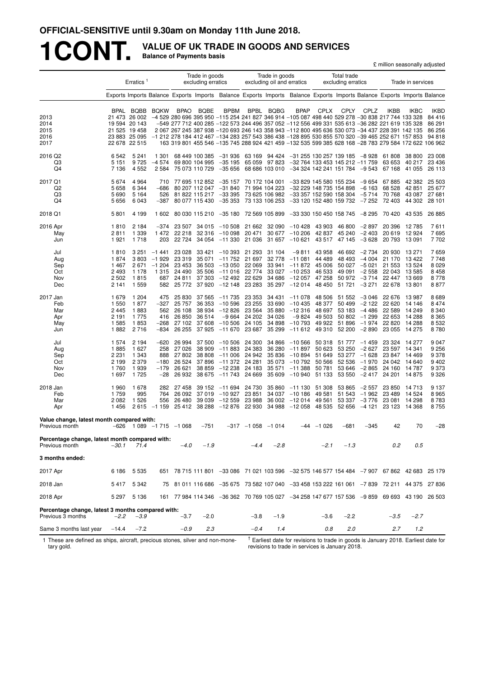# **1CONT. VALUE OF UK TRADE IN GOODS AND SERVICES Balance of Payments basis**

|                                                                        |                                                      |                                                                                                  |                                                        |                                                            |                                                         |                                                                                                      |                                                           |                                                                      |                                                                                                                                                                                                                                                                                                                                                                                                                                                                                                                                           |                                                          |                                                                                          |                                                                | £ million seasonally adjusted                             |                                                                |                                                          |
|------------------------------------------------------------------------|------------------------------------------------------|--------------------------------------------------------------------------------------------------|--------------------------------------------------------|------------------------------------------------------------|---------------------------------------------------------|------------------------------------------------------------------------------------------------------|-----------------------------------------------------------|----------------------------------------------------------------------|-------------------------------------------------------------------------------------------------------------------------------------------------------------------------------------------------------------------------------------------------------------------------------------------------------------------------------------------------------------------------------------------------------------------------------------------------------------------------------------------------------------------------------------------|----------------------------------------------------------|------------------------------------------------------------------------------------------|----------------------------------------------------------------|-----------------------------------------------------------|----------------------------------------------------------------|----------------------------------------------------------|
|                                                                        |                                                      | $E$ rratics <sup>1</sup>                                                                         |                                                        |                                                            | Trade in goods<br>excluding erratics                    |                                                                                                      |                                                           | Trade in goods<br>excluding oil and erratics                         |                                                                                                                                                                                                                                                                                                                                                                                                                                                                                                                                           |                                                          | Total trade<br>excluding erratics                                                        |                                                                |                                                           | Trade in services                                              |                                                          |
|                                                                        |                                                      |                                                                                                  |                                                        |                                                            |                                                         |                                                                                                      |                                                           |                                                                      | Exports Imports Balance Exports Imports Balance Exports Imports Balance Exports Imports Balance Exports Imports Balance                                                                                                                                                                                                                                                                                                                                                                                                                   |                                                          |                                                                                          |                                                                |                                                           |                                                                |                                                          |
| 2013<br>2014<br>2015<br>2016<br>2017                                   | <b>BPAL</b>                                          | <b>BQBB</b><br>21 473 26 002<br>19 594 20 143<br>21 525 19 458<br>23 883 25 095<br>22 678 22 515 | <b>BQKW</b>                                            | <b>BPAO</b>                                                | <b>BQBE</b>                                             | <b>BPBM</b>                                                                                          |                                                           | BPBL BQBG                                                            | BPAP<br>-4 529 280 696 395 950 -115 254 241 827 346 914 -105 087 498 440 529 278 -30 838 217 744 133 328<br>-549 277 712 400 285 -122 573 244 496 357 052 -112 556 499 331 535 613 -36 282 221 619 135 328<br>2 067 267 245 387 938 -120 693 246 143 358 943 -112 800 495 636 530 073 -34 437 228 391 142 135<br>$-1$ 212 278 184 412 467 $-134$ 283 257 543 386 438 $-128$ 895 530 855 570 320 $-39$ 465 252 671 157 853 94 818<br>163 319 801 455 546 -135 745 288 924 421 459 -132 535 599 385 628 168 -28 783 279 584 172 622 106 962 | <b>CPLX</b>                                              | <b>CPLY</b>                                                                              | CPLZ                                                           | IKBB                                                      | <b>IKBC</b>                                                    | <b>IKBD</b><br>84 416<br>86 291<br>86 256                |
| 2016 Q2<br>Q3<br>Q4                                                    | 6 5 4 2<br>5 1 5 1<br>7 1 3 6                        | 5 2 4 1<br>9725<br>4 5 5 2                                                                       | 1 301<br>$-4574$<br>2 5 8 4                            |                                                            | 68 449 100 385<br>69 800 104 995<br>75 073 110 729      | -31 936<br>$-35195$<br>$-35656$                                                                      | 63 169<br>65 059                                          | 94 424<br>97 823                                                     | $-31$ 255 130 257 139 185 $-8$ 928<br>68 686 103 010 -34 324 142 241 151 784 -9 543                                                                                                                                                                                                                                                                                                                                                                                                                                                       |                                                          | $-32$ 764 133 453 145 212 -11 759                                                        |                                                                | 61 808<br>63 653<br>67 168                                | 38 800<br>40 217<br>41 055                                     | 23 008<br>23 4 36<br>26 113                              |
| 2017 Q1<br>Q2<br>Q3<br>Q4                                              | 5 6 7 4<br>5658<br>5690<br>5656                      | 4 9 64<br>6 3 4 4<br>5 1 6 4<br>6 0 4 3                                                          | 710<br>-686<br>526<br>$-387$                           |                                                            |                                                         | 77 695 112 852 -35 157<br>80 207 112 047 -31 840<br>81 822 115 217 -33 395<br>80 077 115 430 -35 353 |                                                           | 70 172 104 001<br>71 994 104 223<br>73 625 106 982<br>73 133 106 253 | -33 357 152 590 158 304                                                                                                                                                                                                                                                                                                                                                                                                                                                                                                                   |                                                          | -33 829 145 580 155 234<br>-32 229 148 735 154 898<br>$-33$ 120 152 480 159 732 $-7$ 252 | -9 654<br>$-6163$<br>$-5714$                                   | 67 885<br>68 528<br>70 768<br>72 403                      | 42 382<br>42 851<br>43 087<br>44 302 28 101                    | 25 503<br>25 677<br>27 681                               |
| 2018 Q1                                                                | 5801                                                 | 4 1 9 9                                                                                          | 1 602                                                  |                                                            |                                                         | 80 030 115 210 -35 180                                                                               |                                                           | 72 569 105 899                                                       | $-33330150450158745 -8295$                                                                                                                                                                                                                                                                                                                                                                                                                                                                                                                |                                                          |                                                                                          |                                                                | 70 420                                                    | 43 535                                                         | 26 885                                                   |
| 2016 Apr<br>May<br>Jun                                                 | 1810<br>2811<br>1921                                 | 2 1 8 4<br>1 3 3 9<br>1718                                                                       | -374<br>1472<br>203                                    | 23 507<br>22 218<br>22 7 24                                |                                                         | $34015 - 10508$<br>$32316 - 10098$<br>34 054 -11 330                                                 | 21 662<br>20 471<br>21 036                                |                                                                      | $32090 - 10428$<br>$30677 - 10206$<br>$31657 - 10621$                                                                                                                                                                                                                                                                                                                                                                                                                                                                                     | 43 903<br>42 837<br>43 517                               | 46 800<br>45 240<br>47 145                                                               | -2 897<br>$-2403$<br>$-3628$                                   | 20 396<br>20 619<br>20 793                                | 12 785<br>12 924<br>13 091                                     | 7611<br>7695<br>7702                                     |
| Jul<br>Aug<br>Sep<br>Oct<br>Nov<br>Dec                                 | 1810<br>1874<br>1467<br>2493<br>2 5 0 2<br>2 1 4 1   | 3 251<br>3803<br>2671<br>1 1 7 8<br>1815<br>1 5 5 9                                              | $-1441$<br>$-1929$<br>$-1204$<br>1 3 1 5<br>687<br>582 | 23 0 28<br>23 319<br>23 453<br>24 490<br>24 811            | 33 4 21<br>35 071<br>36 503<br>35 506<br>37 303         | $-10.393$<br>$-11752$<br>$-13050$<br>-11 016<br>$-12492$<br>25 772 37 920 -12 148 23 283             | 21 293<br>21 697<br>22 069<br>22 774<br>22 6 29           | 31 104<br>32778<br>33 941<br>34 686                                  | $-9811$<br>$-11081$<br>$-11872$<br>33 027 -10 253<br>$-12057$<br>35 297 -12 014                                                                                                                                                                                                                                                                                                                                                                                                                                                           | 43 958<br>44 489<br>45 006<br>46 533<br>47 258<br>48 450 | 46 692<br>48 493<br>50 027<br>49 091<br>50 972<br>51 721                                 | $-2734$<br>$-4004$<br>$-5021$<br>$-2558$<br>$-3714$<br>$-3271$ | 20 930<br>21 170<br>21 553<br>22 043<br>22 447            | 13 271<br>13422<br>13 524<br>13 585<br>13 669<br>22 678 13 801 | 7659<br>7748<br>8 0 2 9<br>8 4 5 8<br>8778<br>8877       |
| 2017 Jan<br>Feb<br>Mar<br>Apr<br>May<br>Jun                            | 1679<br>1 550<br>2445<br>2 1 9 1<br>1 585<br>1882    | 1 204<br>1877<br>1883<br>1 7 7 5<br>1853<br>2716                                                 | 475<br>$-327$<br>562<br>416<br>$-268$<br>-834          | 25 830<br>25 757<br>26 108<br>26 850<br>27 102<br>26 255   | 37 565<br>36 353<br>38 934<br>36 514<br>37 608<br>37925 | -11 735<br>$-10596$<br>-12 826<br>$-9664$<br>$-10,506$<br>$-11670$                                   | 23 353<br>23 255<br>23 5 64<br>24 202<br>24 105<br>23 687 | 34 431<br>33 690<br>35 880<br>34 0 26<br>34 898<br>35 299            | $-11078$<br>$-10435$<br>$-12316$<br>$-9824$<br>$-10793$<br>$-11612$ 49 310                                                                                                                                                                                                                                                                                                                                                                                                                                                                | 48 506<br>48 377<br>48 697<br>49 503<br>49 922           | 51 552<br>50 499<br>53 183<br>50 802<br>51896<br>52 200                                  | $-3046$<br>$-2122$<br>$-4486$<br>$-1299$<br>$-1974$<br>$-2890$ | 22 676<br>22 620<br>22 589<br>22 653<br>22 8 20<br>23 055 | 13 987<br>14 14 6<br>14 249<br>14 288<br>14 288<br>14 275      | 8689<br>8 4 7 4<br>8 3 4 0<br>8 3 6 5<br>8 5 3 2<br>8780 |
| Jul<br>Aug<br>Sep<br>Oct<br>Nov<br>Dec                                 | 1 574<br>1885<br>2 2 3 1<br>2 1 9 9<br>1760<br>1 697 | 2 1 9 4<br>1 627<br>1 3 4 3<br>2 3 7 9<br>1939<br>1725                                           | $-620$<br>258<br>888<br>$-180$<br>$-179$<br>$-28$      | 26 994<br>27 0 26<br>27 802<br>26 5 24<br>26 621<br>26 932 | 38 909<br>38 808<br>37896<br>38 859<br>38 675           | $37500 - 10506$<br>-11 883<br>$-11006$<br>$-11372$<br>-12 238<br>$-11743$                            | 24 300<br>24 383<br>24 942<br>24 281<br>24 183<br>24 6 69 | 34 866<br>36 280<br>35836<br>35 073<br>35 571<br>35 609              | $-10566$<br>-11 897<br>$-10.894$<br>$-10792$<br>$-11388$<br>$-10940$                                                                                                                                                                                                                                                                                                                                                                                                                                                                      | 50 318<br>50 623<br>51 649<br>50 566<br>50 781<br>51 133 | 51 777<br>53 250<br>53 277<br>52 536<br>53 646<br>53 550                                 | -1459<br>$-2627$<br>$-1628$<br>$-1970$<br>$-2865$<br>$-2417$   | 23 324<br>23 597<br>23 847<br>24 160<br>24 201            | 14 277<br>14 341<br>14 469<br>24 042 14 640<br>14 787<br>14875 | 9047<br>9 2 5 6<br>9378<br>9 4 0 2<br>9373<br>9 3 2 6    |
| 2018 Jan<br>Feb<br>Mar<br>Apr                                          | 1960<br>1759<br>2082<br>1456                         | 1678<br>995<br>1 5 2 6<br>2615                                                                   | 282<br>764<br>556<br>$-1159$                           | 27 458<br>26 092<br>26 480<br>25 4 12                      | 39 152<br>37019<br>39 039                               | $-11694$<br>$-10927$<br>$-12559$<br>38 288 -12 876 22 930                                            | 24 730<br>23 851<br>23 988                                | 35 860<br>34 037<br>34 988                                           | $-11130$<br>$-10186$<br>36 002 -12 014<br>-12 058                                                                                                                                                                                                                                                                                                                                                                                                                                                                                         | 51 308<br>49 581<br>49 561                               | 53 865<br>51 543<br>53 337<br>48 535 52 656                                              | $-2557$<br>$-1962$<br>$-3776$<br>-4 121                        | 23 850<br>23 4 89<br>23 081<br>23 123                     | 14 713<br>14 524<br>14 298<br>14 368                           | 9 1 3 7<br>8965<br>8783<br>8755                          |
| Value change, latest month compared with:<br>Previous month            | -626                                                 |                                                                                                  |                                                        | $1089 - 1715 - 1068$                                       | $-751$                                                  |                                                                                                      |                                                           | $-317 -1058 -1014$                                                   |                                                                                                                                                                                                                                                                                                                                                                                                                                                                                                                                           | $-44 - 1026$                                             | $-681$                                                                                   | $-345$                                                         | 42                                                        | 70                                                             | $-28$                                                    |
| Percentage change, latest month compared with:<br>Previous month       | $-30.1$                                              | 71.4                                                                                             |                                                        | $-4.0$                                                     | $-1.9$                                                  |                                                                                                      | $-4.4$                                                    | $-2.8$                                                               |                                                                                                                                                                                                                                                                                                                                                                                                                                                                                                                                           | $-2.1$                                                   | $-1.3$                                                                                   |                                                                | 0.2                                                       | 0.5                                                            |                                                          |
| 3 months ended:                                                        |                                                      |                                                                                                  |                                                        |                                                            |                                                         |                                                                                                      |                                                           |                                                                      |                                                                                                                                                                                                                                                                                                                                                                                                                                                                                                                                           |                                                          |                                                                                          |                                                                |                                                           |                                                                |                                                          |
| 2017 Apr                                                               | 6 186                                                | 5 5 3 5                                                                                          |                                                        |                                                            |                                                         |                                                                                                      |                                                           |                                                                      | 651 78 715 111 801 -33 086 71 021 103 596 -32 575 146 577 154 484 -7 907 67 862 42 683 25 179                                                                                                                                                                                                                                                                                                                                                                                                                                             |                                                          |                                                                                          |                                                                |                                                           |                                                                |                                                          |
| 2018 Jan                                                               | 5 417                                                | 5 3 4 2                                                                                          |                                                        |                                                            |                                                         |                                                                                                      |                                                           |                                                                      | 75 81 011 116 686 -35 675 73 582 107 040 -33 458 153 222 161 061 -7 839 72 211 44 375 27 836                                                                                                                                                                                                                                                                                                                                                                                                                                              |                                                          |                                                                                          |                                                                |                                                           |                                                                |                                                          |
| 2018 Apr                                                               | 5 297                                                | 5 1 3 6                                                                                          |                                                        |                                                            |                                                         |                                                                                                      |                                                           |                                                                      | 161 77 984 114 346 -36 362 70 769 105 027 -34 258 147 677 157 536 -9 859 69 693 43 190 26 503                                                                                                                                                                                                                                                                                                                                                                                                                                             |                                                          |                                                                                          |                                                                |                                                           |                                                                |                                                          |
| Percentage change, latest 3 months compared with:<br>Previous 3 months | $-2.2$                                               | $-3.9$                                                                                           |                                                        | $-3.7$                                                     | $-2.0$                                                  |                                                                                                      | $-3.8$                                                    | $-1.9$                                                               |                                                                                                                                                                                                                                                                                                                                                                                                                                                                                                                                           | $-3.6$                                                   | $-2.2$                                                                                   |                                                                | $-3.5$                                                    | $-2.7$                                                         |                                                          |
| Same 3 months last year                                                | $-14.4$                                              | $-7.2$                                                                                           |                                                        | $-0.9$                                                     | 2.3                                                     |                                                                                                      | $-0.4$                                                    | 1.4                                                                  |                                                                                                                                                                                                                                                                                                                                                                                                                                                                                                                                           | 0.8                                                      | 2.0                                                                                      |                                                                | 2.7                                                       | 1.2                                                            |                                                          |

1 These are defined as ships, aircraft, precious stones, silver and non-monetary gold.

 $^{\dagger}$  Earliest date for revisions to trade in goods is January 2018. Earliest date for revisions to trade in services is January 2018.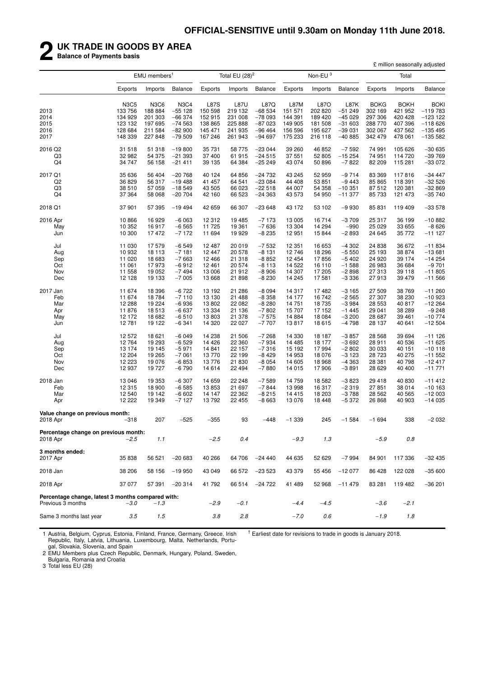# **2 UK TRADE IN GOODS BY AREA**

**Balance of Payments basis**

|                                                                        |             |                               |                |             |                   |                |          |                     |                |             | £ million seasonally adjusted |                |
|------------------------------------------------------------------------|-------------|-------------------------------|----------------|-------------|-------------------|----------------|----------|---------------------|----------------|-------------|-------------------------------|----------------|
|                                                                        |             | EMU members <sup>1</sup>      |                |             | Total EU $(28)^2$ |                |          | Non-EU <sup>3</sup> |                |             | Total                         |                |
|                                                                        | Exports     | Imports                       | <b>Balance</b> | Exports     | Imports           | Balance        | Exports  | Imports             | <b>Balance</b> | Exports     | Imports                       | <b>Balance</b> |
|                                                                        | <b>N3C5</b> | N <sub>3</sub> C <sub>6</sub> | <b>N3C4</b>    | <b>L87S</b> | <b>L87U</b>       | L87Q           | L87M     | L87O                | L87K           | <b>BOKG</b> | <b>BOKH</b>                   | <b>BOKI</b>    |
| 2013                                                                   | 133 756     | 188884                        | $-55128$       | 150 598     | 219 132           | $-68534$       | 151 571  | 202 820             | $-51249$       | 302 169     | 421 952                       | $-119783$      |
| 2014                                                                   | 134 929     | 201 303                       | $-66374$       | 152 915     | 231 008           | $-78093$       | 144 391  | 189 420             | $-45029$       | 297 306     | 420 428                       | $-123$ 122     |
| 2015                                                                   | 123 132     | 197 695                       | $-74563$       | 138 865     | 225 888           | $-87023$       | 149 905  | 181 508             | $-31603$       | 288 770     | 407 396                       | $-118626$      |
| 2016                                                                   | 128 684     | 211 584                       | $-82900$       | 145 471     | 241 935           | $-96464$       | 156 596  | 195 627             | $-39031$       | 302 067     | 437 562                       | $-135495$      |
| 2017                                                                   | 148 339     | 227 848                       | $-79509$       | 167 246     | 261 943           | $-94697$       | 175 233  | 216 118             | $-40885$       | 342 479     | 478 061                       | $-1355582$     |
| 2016 Q2                                                                | 31 518      | 51 318                        | $-19800$       | 35 731      | 58 775            | $-23044$       | 39 260   | 46 852              | $-7592$        | 74 991      | 105 626                       | $-30635$       |
| Q3                                                                     | 32 982      | 54 375                        | $-21393$       | 37 400      | 61 915            | $-24515$       | 37 551   | 52 805              | $-15254$       | 74 951      | 114 720                       | $-39769$       |
| Q <sub>4</sub>                                                         | 34 747      | 56 158                        | $-21411$       | 39 135      | 64 384            | $-25249$       | 43 0 74  | 50 896              | $-7822$        | 82 209      | 115 281                       | $-33072$       |
| 2017 Q1                                                                | 35 636      | 56 404                        | $-20768$       | 40 124      | 64 856            | $-24732$       | 43 245   | 52 959              | $-9714$        | 83 369      | 117816                        | $-34447$       |
| Q <sub>2</sub>                                                         | 36 829      | 56 317                        | $-19488$       | 41 457      | 64 541            | $-23084$       | 44 408   | 53 851              | $-9443$        | 85 865      | 118 391                       | $-32526$       |
| Q3                                                                     | 38 510      | 57 059                        | $-18549$       | 43 505      | 66 023            | $-22518$       | 44 007   | 54 358              | $-10.351$      | 87 512      | 120 381                       | $-32869$       |
| Q <sub>4</sub>                                                         | 37 364      | 58 068                        | $-20704$       | 42 160      | 66 523            | $-24363$       | 43 573   | 54 950              | $-11377$       | 85 733      | 121 473                       | $-35740$       |
| 2018 Q1                                                                | 37 901      | 57 395                        | $-19494$       | 42 659      | 66 307            | $-23648$       | 43 172   | 53 102              | $-9930$        | 85 831      | 119 409                       | $-33578$       |
| 2016 Apr                                                               | 10 866      | 16 929                        | $-6063$        | 12312       | 19 4 85           | $-7173$        | 13 005   | 16714               | $-3709$        | 25 317      | 36 199                        | $-10882$       |
| May                                                                    | 10 352      | 16917                         | $-6565$        | 11725       | 19 361            | $-7636$        | 13 304   | 14 294              | $-990$         | 25 0 29     | 33 655                        | $-8626$        |
| Jun                                                                    | 10 300      | 17472                         | $-7172$        | 11 694      | 19 929            | $-8235$        | 12 951   | 15 844              | $-2893$        | 24 645      | 35 772                        | -11 127        |
| Jul                                                                    | 11 030      | 17 579                        | $-6549$        | 12 487      | 20 019            | $-7532$        | 12 351   | 16 653              | $-4302$        | 24 838      | 36 672                        | $-11834$       |
| Aug                                                                    | 10 932      | 18 113                        | $-7181$        | 12 447      | 20 578            | $-8131$        | 12746    | 18 29 6             | $-5550$        | 25 193      | 38 874                        | $-13681$       |
| Sep                                                                    | 11 0 20     | 18 683                        | $-7663$        | 12 4 6 6    | 21 318            | $-8852$        | 12 4 54  | 17856               | $-5402$        | 24 9 20     | 39 174                        | $-14254$       |
| Oct                                                                    | 11 061      | 17973                         | $-6912$        | 12 4 61     | 20 574            | $-8113$        | 14 522   | 16 110              | $-1588$        | 26 983      | 36 684                        | $-9701$        |
| Nov                                                                    | 11 558      | 19 052                        | $-7494$        | 13 006      | 21912             | $-8906$        | 14 307   | 17 205              | $-2898$        | 27 313      | 39 118                        | $-11805$       |
| Dec                                                                    | 12 1 28     | 19 133                        | $-7005$        | 13 6 68     | 21 898            | $-8230$        | 14 245   | 17581               | $-3336$        | 27913       | 39 479                        | $-11566$       |
| 2017 Jan                                                               | 11 674      | 18 396                        | $-6722$        | 13 192      | 21 286            | $-8094$        | 14 317   | 17482               | $-3165$        | 27 509      | 38 769                        | $-11260$       |
| Feb                                                                    | 11 674      | 18 784                        | $-7110$        | 13 130      | 21 488            | $-8358$        | 14 177   | 16742               | $-2565$        | 27 307      | 38 230                        | $-10923$       |
| Mar                                                                    | 12 288      | 19 224                        | $-6936$        | 13802       | 22 082            | $-8280$        | 14 751   | 18 735              | $-3984$        | 28 553      | 40 817                        | $-12264$       |
| Apr                                                                    | 11 876      | 18 513                        | $-6637$        | 13 3 3 4    | 21 136            | $-7802$        | 15 707   | 17 152              | $-1445$        | 29 041      | 38 289                        | $-9248$        |
| May                                                                    | 12 172      | 18 682                        | $-6510$        | 13803       | 21 378            | $-7575$        | 14 8 84  | 18 0 84             | $-3200$        | 28 687      | 39 461                        | $-10774$       |
| Jun                                                                    | 12781       | 19 122                        | $-6341$        | 14 3 20     | 22 027            | $-7707$        | 13817    | 18 615              | $-4798$        | 28 137      | 40 641                        | $-12504$       |
| Jul                                                                    | 12 572      | 18 621                        | $-6049$        | 14 238      | 21 506            | $-7268$        | 14 330   | 18 187              | $-3857$        | 28 5 68     | 39 694                        | $-11126$       |
| Aug                                                                    | 12764       | 19 293                        | $-6529$        | 14 4 26     | 22 360            | $-7934$        | 14 4 8 5 | 18 177              | $-3692$        | 28 911      | 40 536                        | $-11625$       |
| Sep                                                                    | 13 174      | 19 145                        | $-5971$        | 14 841      | 22 157            | $-7316$        | 15 192   | 17994               | $-2802$        | 30 033      | 40 151                        | $-10118$       |
| Oct                                                                    | 12 204      | 19 265                        | $-7061$        | 13770       | 22 199            | $-8429$        | 14 953   | 18 076              | $-3123$        | 28 723      | 40 275                        | $-11552$       |
| Nov                                                                    | 12 223      | 19 0 76                       | $-6853$        | 13776       | 21 830            | $-8054$        | 14 605   | 18 968              | $-4363$        | 28 381      | 40 798                        | $-12417$       |
| Dec                                                                    | 12 937      | 19 727                        | $-6790$        | 14 614      | 22 4 94           | $-7880$        | 14 015   | 17 906              | $-3891$        | 28 629      | 40 400                        | $-11771$       |
| 2018 Jan                                                               | 13 046      | 19 353                        | $-6307$        | 14 659      | 22 248            | $-7589$        | 14 759   | 18 5 82             | $-3823$        | 29 418      | 40 830                        | $-11412$       |
| Feb                                                                    | 12 3 15     | 18 900                        | $-6585$        | 13853       | 21 697            | $-7844$        | 13 998   | 16 317              | $-2319$        | 27851       | 38 014                        | $-10163$       |
| Mar                                                                    | 12 540      | 19 142                        | $-6602$        | 14 147      | 22 3 62           | $-8215$        | 14 4 15  | 18 203              | $-3788$        | 28 5 62     | 40 565                        | $-12003$       |
| Apr                                                                    | 12 222      | 19 349                        | $-7127$        | 13792       | 22 455            | $-8663$        | 13 0 76  | 18 4 48             | $-5372$        | 26 868      | 40 903                        | $-14035$       |
| Value change on previous month:<br>2018 Apr                            | $-318$      | 207                           | -525           | $-355$      | 93                | -448           | $-1339$  | 245                 | $-1584$        | $-1694$     | 338                           | -2 032         |
|                                                                        |             |                               |                |             |                   |                |          |                     |                |             |                               |                |
| Percentage change on previous month:<br>2018 Apr                       | -2.5        | 1.1                           |                | $-2.5$      | 0.4               |                | $-9.3$   | 1.3                 |                | $-5.9$      | 0.8                           |                |
| 3 months ended:                                                        |             |                               |                |             |                   |                |          |                     |                |             |                               |                |
| 2017 Apr                                                               | 35 838      | 56 521                        | $-20683$       | 40 266      | 64 706            | $-24440$       | 44 635   | 52 629              | $-7994$        | 84 901      | 117 336                       | $-32435$       |
| 2018 Jan                                                               | 38 206      | 58 156                        | $-19950$       | 43 049      | 66 572            | $-23523$       | 43 379   | 55 456              | $-12077$       | 86 428      | 122 028                       | $-35600$       |
| 2018 Apr                                                               | 37 077      | 57 391                        | $-20314$       | 41792       |                   | 66 514 -24 722 | 41 489   | 52 968              | $-11479$       | 83 281      | 119 482                       | $-36201$       |
| Percentage change, latest 3 months compared with:<br>Previous 3 months | $-3.0$      | $-1.3$                        |                | $-2.9$      | $-0.1$            |                | $-4.4$   | $-4.5$              |                | $-3.6$      | $-2.1$                        |                |
| Same 3 months last year                                                | 3.5         | 1.5                           |                | 3.8         | 2.8               |                | $-7.0$   | 0.6                 |                | $-1.9$      | 1.8                           |                |
|                                                                        |             |                               |                |             |                   |                |          |                     |                |             |                               |                |

1 Austria, Belgium, Cyprus, Estonia, Finland, France, Germany, Greece, Irish Republic, Italy, Latvia, Lithuania, Luxembourg, Malta, Netherlands, Portugal, Slovakia, Slovenia, and Spain

 $<sup>†</sup>$  Earliest date for revisions to trade in goods is January 2018.</sup>

2 EMU Members plus Czech Republic, Denmark, Hungary, Poland, Sweden, Bulgaria, Romania and Croatia

3 Total less EU (28)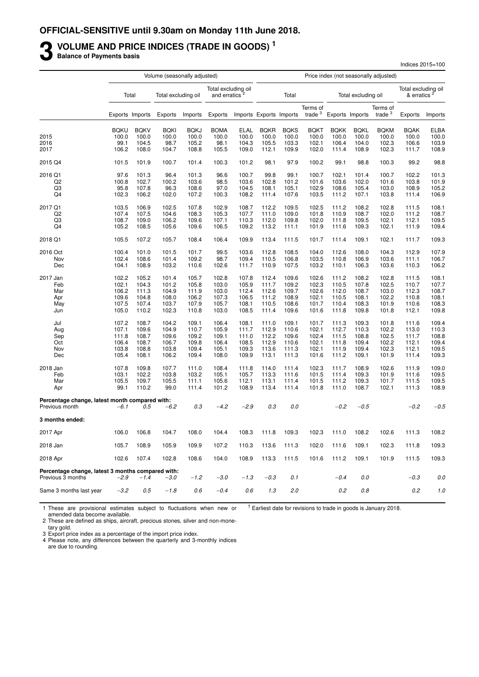# **3** VOLUME AND PRICE INDICES (TRADE IN GOODS)<sup>1</sup><br>Balance of Payments basis

**Balance of Payments basis**

|                                                                        |                |                 | Volume (seasonally adjusted) |                |                                                  |                |                         |                |                       |                |                     | Price index (not seasonally adjusted) |                                   |                |
|------------------------------------------------------------------------|----------------|-----------------|------------------------------|----------------|--------------------------------------------------|----------------|-------------------------|----------------|-----------------------|----------------|---------------------|---------------------------------------|-----------------------------------|----------------|
|                                                                        |                | Total           | Total excluding oil          |                | Total excluding oil<br>and erratics <sup>2</sup> |                |                         | Total          |                       |                | Total excluding oil |                                       | Total excluding oil<br>& erratics |                |
|                                                                        |                | Exports Imports | Exports                      | Imports        | Exports                                          |                | Imports Exports Imports |                | Terms of<br>trade $3$ |                | Exports Imports     | Terms of<br>trade $3$                 | Exports                           | Imports        |
|                                                                        | <b>BQKU</b>    | <b>BQKV</b>     | <b>BQKI</b>                  | <b>BQKJ</b>    | <b>BOMA</b>                                      | <b>ELAL</b>    | <b>BQKR</b>             | <b>BQKS</b>    | <b>BQKT</b>           | <b>BOKK</b>    | <b>BQKL</b>         | <b>BQKM</b>                           | <b>BQAK</b>                       | <b>ELBA</b>    |
| 2015                                                                   | 100.0          | 100.0           | 100.0                        | 100.0          | 100.0                                            | 100.0          | 100.0                   | 100.0          | 100.0                 | 100.0          | 100.0               | 100.0                                 | 100.0                             | 100.0          |
| 2016                                                                   | 99.1           | 104.5           | 98.7                         | 105.2          | 98.1                                             | 104.3          | 105.5                   | 103.3          | 102.1                 | 106.4          | 104.0               | 102.3                                 | 106.6                             | 103.9          |
| 2017                                                                   | 106.2          | 108.0           | 104.7                        | 108.8          | 105.5                                            | 109.0          | 112.1                   | 109.9          | 102.0                 | 111.4          | 108.9               | 102.3                                 | 111.7                             | 108.9          |
| 2015 Q4                                                                | 101.5          | 101.9           | 100.7                        | 101.4          | 100.3                                            | 101.2          | 98.1                    | 97.9           | 100.2                 | 99.1           | 98.8                | 100.3                                 | 99.2                              | 98.8           |
| 2016 Q1                                                                | 97.6           | 101.3           | 96.4                         | 101.3          | 96.6                                             | 100.7          | 99.8                    | 99.1           | 100.7                 | 102.1          | 101.4               | 100.7                                 | 102.2                             | 101.3          |
| Q <sub>2</sub>                                                         | 100.8          | 102.7           | 100.2                        | 103.6          | 98.5                                             | 103.6          | 102.8                   | 101.2          | 101.6                 | 103.6          | 102.0               | 101.6                                 | 103.8                             | 101.9          |
| Q3                                                                     | 95.8           | 107.8           | 96.3                         | 108.6          | 97.0                                             | 104.5          | 108.1                   | 105.1          | 102.9                 | 108.6          | 105.4               | 103.0                                 | 108.9                             | 105.2          |
| Q <sub>4</sub>                                                         | 102.3          | 106.2           | 102.0                        | 107.2          | 100.3                                            | 108.2          | 111.4                   | 107.6          | 103.5                 | 111.2          | 107.1               | 103.8                                 | 111.4                             | 106.9          |
| 2017 Q1                                                                | 103.5          | 106.9           | 102.5                        | 107.8          | 102.9                                            | 108.7          | 112.2                   | 109.5          | 102.5                 | 111.2          | 108.2               | 102.8                                 | 111.5                             | 108.1          |
| Q <sub>2</sub>                                                         | 107.4          | 107.5           | 104.6                        | 108.3          | 105.3                                            | 107.7          | 111.0                   | 109.0          | 101.8                 | 110.9          | 108.7               | 102.0                                 | 111.2                             | 108.7          |
| Q3                                                                     | 108.7          | 109.0           | 106.2                        | 109.6          | 107.1                                            | 110.3          | 112.0                   | 109.8          | 102.0                 | 111.8          | 109.5               | 102.1                                 | 112.1                             | 109.5          |
| Q4                                                                     | 105.2          | 108.5           | 105.6                        | 109.6          | 106.5                                            | 109.2          | 113.2                   | 111.1          | 101.9                 | 111.6          | 109.3               | 102.1                                 | 111.9                             | 109.4          |
| 2018 Q1                                                                | 105.5          | 107.2           | 105.7                        | 108.4          | 106.4                                            | 109.9          | 113.4                   | 111.5          | 101.7                 | 111.4          | 109.1               | 102.1                                 | 111.7                             | 109.3          |
| 2016 Oct                                                               | 100.4          | 101.0           | 101.5                        | 101.7          | 99.5                                             | 103.6          | 112.8                   | 108.5          | 104.0                 | 112.6          | 108.0               | 104.3                                 | 112.9                             | 107.9          |
| Nov                                                                    | 102.4          | 108.6           | 101.4                        | 109.2          | 98.7                                             | 109.4          | 110.5                   | 106.8          | 103.5                 | 110.8          | 106.9               | 103.6                                 | 111.1                             | 106.7          |
| Dec                                                                    | 104.1          | 108.9           | 103.2                        | 110.6          | 102.6                                            | 111.7          | 110.9                   | 107.5          | 103.2                 | 110.1          | 106.3               | 103.6                                 | 110.3                             | 106.2          |
| 2017 Jan                                                               | 102.2          | 105.2           | 101.4                        | 105.7          | 102.8                                            | 107.8          | 112.4                   | 109.6          | 102.6                 | 111.2          | 108.2               | 102.8                                 | 111.5                             | 108.1          |
| Feb                                                                    | 102.1          | 104.3           | 101.2                        | 105.8          | 103.0                                            | 105.9          | 111.7                   | 109.2          | 102.3                 | 110.5          | 107.8               | 102.5                                 | 110.7                             | 107.7          |
| Mar                                                                    | 106.2          | 111.3           | 104.9                        | 111.9          | 103.0                                            | 112.4          | 112.6                   | 109.7          | 102.6                 | 112.0          | 108.7               | 103.0                                 | 112.3                             | 108.7          |
| Apr                                                                    | 109.6          | 104.8           | 108.0                        | 106.2          | 107.3                                            | 106.5          | 111.2                   | 108.9          | 102.1                 | 110.5          | 108.1               | 102.2                                 | 110.8                             | 108.1          |
| May                                                                    | 107.5          | 107.4           | 103.7                        | 107.9          | 105.7                                            | 108.1          | 110.5                   | 108.6          | 101.7                 | 110.4          | 108.3               | 101.9                                 | 110.6                             | 108.3          |
| Jun                                                                    | 105.0          | 110.2           | 102.3                        | 110.8          | 103.0                                            | 108.5          | 111.4                   | 109.6          | 101.6                 | 111.8          | 109.8               | 101.8                                 | 112.1                             | 109.8          |
| Jul                                                                    | 107.2          | 108.7           | 104.2                        | 109.1          | 106.4                                            | 108.1          | 111.0                   | 109.1          | 101.7                 | 111.3          | 109.3               | 101.8                                 | 111.6                             | 109.4          |
| Aug                                                                    | 107.1          | 109.6           | 104.9                        | 110.7          | 105.9                                            | 111.7          | 112.9                   | 110.6          | 102.1                 | 112.7          | 110.3               | 102.2                                 | 113.0                             | 110.3          |
| Sep                                                                    | 111.8          | 108.7           | 109.6                        | 109.2          | 109.1                                            | 111.0          | 112.2                   | 109.6          | 102.4                 | 111.5          | 108.8               | 102.5                                 | 111.7                             | 108.8          |
| Oct                                                                    | 106.4          | 108.7           | 106.7                        | 109.8          | 106.4                                            | 108.5          | 112.9                   | 110.6          | 102.1                 | 111.8          | 109.4               | 102.2                                 | 112.1                             | 109.4          |
| Nov                                                                    | 103.8          | 108.8           | 103.8                        | 109.4          | 105.1                                            | 109.3          | 113.6                   | 111.3          | 102.1                 | 111.9          | 109.4               | 102.3                                 | 112.1                             | 109.5          |
| Dec                                                                    | 105.4          | 108.1           | 106.2                        | 109.4          | 108.0                                            | 109.9          | 113.1                   | 111.3          | 101.6                 | 111.2          | 109.1               | 101.9                                 | 111.4                             | 109.3          |
| 2018 Jan                                                               | 107.8          | 109.8           | 107.7                        | 111.0          | 108.4                                            | 111.8          | 114.0                   | 111.4          | 102.3                 | 111.7          | 108.9               | 102.6                                 | 111.9                             | 109.0          |
| Feb<br>Mar                                                             | 103.1<br>105.5 | 102.2<br>109.7  | 103.8<br>105.5               | 103.2          | 105.1<br>105.6                                   | 105.7<br>112.1 | 113.3<br>113.1          | 111.6<br>111.4 | 101.5                 | 111.4          | 109.3<br>109.3      | 101.9<br>101.7                        | 111.6<br>111.5                    | 109.5<br>109.5 |
| Apr                                                                    | 99.1           | 110.2           | 99.0                         | 111.1<br>111.4 | 101.2                                            | 108.9          | 113.4                   | 111.4          | 101.5<br>101.8        | 111.2<br>111.0 | 108.7               | 102.1                                 | 111.3                             | 108.9          |
| Percentage change, latest month compared with:                         |                |                 |                              |                | $-4.2$                                           |                |                         |                |                       | $-0.2$         |                     |                                       |                                   |                |
| Previous month                                                         | $-6.1$         | 0.5             | $-6.2$                       | 0.3            |                                                  | $-2.9$         | 0.3                     | 0.0            |                       |                | $-0.5$              |                                       | $-0.2$                            | $-0.5$         |
| 3 months ended:                                                        |                |                 |                              |                |                                                  |                |                         |                |                       |                |                     |                                       |                                   |                |
| 2017 Apr                                                               | 106.0          | 106.8           | 104.7                        | 108.0          | 104.4                                            | 108.3          | 111.8                   | 109.3          | 102.3                 | 111.0          | 108.2               | 102.6                                 | 111.3                             | 108.2          |
| 2018 Jan                                                               | 105.7          | 108.9           | 105.9                        | 109.9          | 107.2                                            | 110.3          | 113.6                   | 111.3          | 102.0                 | 111.6          | 109.1               | 102.3                                 | 111.8                             | 109.3          |
| 2018 Apr                                                               | 102.6          | 107.4           | 102.8                        | 108.6          | 104.0                                            | 108.9          | 113.3                   | 111.5          | 101.6                 | 111.2          | 109.1               | 101.9                                 | 111.5                             | 109.3          |
| Percentage change, latest 3 months compared with:<br>Previous 3 months | $-2.9$         | $-1.4$          | $-3.0$                       | $-1.2$         | $-3.0$                                           | $-1.3$         | $-0.3$                  | 0.1            |                       | $-0.4$         | 0.0                 |                                       | $-0.3$                            | $0.0$          |
| Same 3 months last year                                                | $-3.2$         | 0.5             | $-1.8$                       | 0.6            | $-0.4$                                           | 0.6            | 1.3                     | 2.0            |                       | 0.2            | 0.8                 |                                       | 0.2                               | 1.0            |
|                                                                        |                |                 |                              |                |                                                  |                |                         |                |                       |                |                     |                                       |                                   |                |

Indices 2015=100

1 These are provisional estimates subject to fluctuations when new or amended data become available.  $<sup>†</sup>$  Earliest date for revisions to trade in goods is January 2018.</sup>

2 These are defined as ships, aircraft, precious stones, silver and non-mone-

tary gold.

3 Export price index as a percentage of the import price index.

4 Please note, any differences between the quarterly and 3-monthly indices are due to rounding.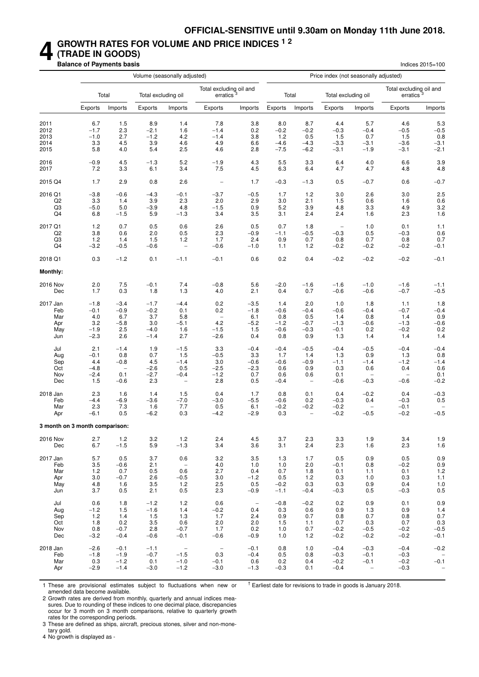### **4 GROWTH RATES FOR VOLUME AND PRICE INDICES 1 2 (TRADE IN GOODS)**

**Balance of Payments basis** Indices 2015=100

|                                |         |                          |         | Volume (seasonally adjusted) |                                     |                                 |         |                   | Price index (not seasonally adjusted) |                          |                                     |                          |
|--------------------------------|---------|--------------------------|---------|------------------------------|-------------------------------------|---------------------------------|---------|-------------------|---------------------------------------|--------------------------|-------------------------------------|--------------------------|
|                                |         | Total                    |         | Total excluding oil          | Total excluding oil and<br>erratics |                                 |         | Total             | Total excluding oil                   |                          | Total excluding oil and<br>erratics |                          |
|                                | Exports | Imports                  | Exports | Imports                      | Exports                             | Imports                         | Exports | Imports           | <b>Exports</b>                        | Imports                  | Exports                             | Imports                  |
| 2011                           | 6.7     | 1.5                      | 8.9     | 1.4                          | 7.8                                 | 3.8                             | 8.0     | 8.7               | 4.4                                   | 5.7                      | 4.6                                 | 5.3                      |
| 2012                           | $-1.7$  | 2.3                      | $-2.1$  | 1.6                          | $-1.4$                              | 0.2                             | $-0.2$  | $-0.2$            | $-0.3$                                | $-0.4$                   | $-0.5$                              | $-0.5$                   |
| 2013                           | $-1.0$  | 2.7                      | $-1.2$  | 4.2                          | $-1.4$                              | 3.8                             | 1.2     | 0.5               | 1.5                                   | 0.7                      | 1.5                                 | 0.8                      |
| 2014                           | 3.3     | 4.5                      | 3.9     | 4.6                          | 4.9                                 | 6.6                             | $-4.6$  | $-4.3$            | $-3.3$                                | $-3.1$                   | $-3.6$                              | $-3.1$                   |
| 2015                           | 5.8     | 4.0                      | 5.4     | 2.5                          | 4.6                                 | 2.8                             | $-7.5$  | $-6.2$            | $-3.1$                                | $-1.9$                   | -3.1                                | $-2.1$                   |
| 2016                           | -0.9    | 4.5                      | $-1.3$  | 5.2                          | $-1.9$                              | 4.3                             | 5.5     | 3.3               | 6.4                                   | 4.0                      | 6.6                                 | 3.9                      |
| 2017                           | 7.2     | 3.3                      | 6.1     | 3.4                          | 7.5                                 | 4.5                             | 6.3     | 6.4               | 4.7                                   | 4.7                      | 4.8                                 | 4.8                      |
| 2015 Q4                        | 1.7     | 2.9                      | 0.8     | 2.6                          | $\qquad \qquad -$                   | 1.7                             | $-0.3$  | $-1.3$            | 0.5                                   | $-0.7$                   | 0.6                                 | $-0.7$                   |
| 2016 Q1                        | $-3.8$  | $-0.6$                   | $-4.3$  | $-0.1$                       | $-3.7$                              | $-0.5$                          | 1.7     | 1.2               | 3.0                                   | 2.6                      | 3.0                                 | 2.5                      |
| Q2                             | 3.3     | 1.4                      | 3.9     | 2.3                          | 2.0                                 | 2.9                             | 3.0     | 2.1               | 1.5                                   | 0.6                      | 1.6                                 | 0.6                      |
| Q3                             | $-5.0$  | 5.0                      | $-3.9$  | 4.8                          | $-1.5$                              | 0.9                             | 5.2     | 3.9               | 4.8                                   | 3.3                      | 4.9                                 | 3.2                      |
| Q4                             | 6.8     | $-1.5$                   | 5.9     | $-1.3$                       | 3.4                                 | 3.5                             | 3.1     | 2.4               | 2.4                                   | 1.6                      | 2.3                                 | 1.6                      |
| 2017 Q1                        | 1.2     | 0.7                      | 0.5     | 0.6                          | 2.6                                 | 0.5                             | 0.7     | 1.8               | $\overline{\phantom{m}}$              | 1.0                      | 0.1                                 | 1.1                      |
| Q2                             | 3.8     | 0.6                      | 2.0     | 0.5                          | 2.3                                 | $-0.9$                          | $-1.1$  | $-0.5$            | $-0.3$                                | 0.5                      | $-0.3$                              | 0.6                      |
| Q3                             | $1.2$   | 1.4                      | 1.5     | 1.2                          | 1.7                                 | 2.4                             | 0.9     | 0.7               | 0.8                                   | 0.7                      | 0.8                                 | 0.7                      |
| Q4                             | -3.2    | $-0.5$                   | $-0.6$  | $\overline{\phantom{a}}$     | $-0.6$                              | $-1.0$                          | 1.1     | 1.2               | $-0.2$                                | $-0.2$                   | $-0.2$                              | $-0.1$                   |
| 2018 Q1                        | 0.3     | $-1.2$                   | 0.1     | $-1.1$                       | $-0.1$                              | 0.6                             | 0.2     | 0.4               | $-0.2$                                | $-0.2$                   | $-0.2$                              | $-0.1$                   |
| Monthly:                       |         |                          |         |                              |                                     |                                 |         |                   |                                       |                          |                                     |                          |
| 2016 Nov                       | 2.0     | 7.5                      | $-0.1$  | 7.4                          | $-0.8$                              | 5.6                             | $-2.0$  | $-1.6$            | $-1.6$                                | $-1.0$                   | $-1.6$                              | $-1.1$                   |
| Dec                            | 1.7     | 0.3                      | 1.8     | 1.3                          | 4.0                                 | 2.1                             | 0.4     | 0.7               | $-0.6$                                | $-0.6$                   | $-0.7$                              | $-0.5$                   |
| 2017 Jan                       | $-1.8$  | $-3.4$                   | $-1.7$  | $-4.4$                       | 0.2                                 | $-3.5$                          | 1.4     | 2.0               | 1.0                                   | 1.8                      | 1.1                                 | 1.8                      |
| Feb                            | $-0.1$  | $-0.9$                   | $-0.2$  | 0.1                          | 0.2                                 | $-1.8$                          | $-0.6$  | $-0.4$            | $-0.6$                                | $-0.4$                   | $-0.7$                              | $-0.4$                   |
| Mar                            | 4.0     | 6.7                      | 3.7     | 5.8                          | $\overline{\phantom{0}}$            | 6.1                             | 0.8     | 0.5               | 1.4                                   | 0.8                      | 1.4                                 | 0.9                      |
| Apr                            | 3.2     | $-5.8$                   | 3.0     | $-5.1$                       | 4.2                                 | $-5.2$                          | $-1.2$  | $-0.7$            | $-1.3$                                | $-0.6$                   | $-1.3$                              | $-0.6$                   |
| May                            | $-1.9$  | 2.5                      | $-4.0$  | 1.6                          | $-1.5$                              | 1.5                             | $-0.6$  | $-0.3$            | $-0.1$                                | 0.2                      | $-0.2$                              | 0.2                      |
| Jun                            | $-2.3$  | 2.6                      | $-1.4$  | 2.7                          | $-2.6$                              | 0.4                             | 0.8     | 0.9               | 1.3                                   | 1.4                      | 1.4                                 | 1.4                      |
| Jul                            | 2.1     | $-1.4$                   | 1.9     | $-1.5$                       | 3.3                                 | $-0.4$                          | $-0.4$  | $-0.5$            | $-0.4$                                | $-0.5$                   | $-0.4$                              | $-0.4$                   |
| Aug                            | $-0.1$  | 0.8                      | 0.7     | 1.5                          | $-0.5$                              | 3.3                             | 1.7     | 1.4               | 1.3                                   | 0.9                      | 1.3                                 | 0.8                      |
| Sep                            | 4.4     | $-0.8$                   | 4.5     | $-1.4$                       | 3.0                                 | $-0.6$                          | $-0.6$  | $-0.9$            | $-1.1$                                | $-1.4$                   | $-1.2$                              | $-1.4$                   |
| Oct                            | $-4.8$  | $\overline{\phantom{a}}$ | $-2.6$  | 0.5                          | $-2.5$                              | $-2.3$                          | 0.6     | 0.9               | 0.3                                   | 0.6                      | 0.4                                 | 0.6                      |
| Nov                            | $-2.4$  | 0.1                      | $-2.7$  | $-0.4$                       | $-1.2$                              | 0.7                             | 0.6     | 0.6               | 0.1                                   | -                        | $\qquad \qquad -$                   | 0.1                      |
| Dec                            | 1.5     | $-0.6$                   | 2.3     | $\qquad \qquad -$            | 2.8                                 | 0.5                             | $-0.4$  | $\qquad \qquad -$ | $-0.6$                                | $-0.3$                   | $-0.6$                              | $-0.2$                   |
| 2018 Jan                       | 2.3     | 1.6                      | 1.4     | 1.5                          | 0.4                                 | 1.7                             | 0.8     | 0.1               | 0.4                                   | $-0.2$                   | 0.4                                 | $-0.3$                   |
| Feb                            | $-4.4$  | -6.9                     | -3.6    | $-7.0$                       | $-3.0$                              | $-5.5$                          | $-0.6$  | 0.2               | $-0.3$                                | 0.4                      | $-0.3$                              | 0.5                      |
| Mar                            | 2.3     | 7.3                      | 1.6     | 7.7                          | 0.5                                 | 6.1                             | $-0.2$  | $-0.2$            | $-0.2$                                | $\qquad \qquad -$        | $-0.1$                              | $\qquad \qquad -$        |
| Apr                            | $-6.1$  | 0.5                      | $-6.2$  | 0.3                          | $-4.2$                              | $-2.9$                          | 0.3     | $\qquad \qquad -$ | $-0.2$                                | $-0.5$                   | $-0.2$                              | $-0.5$                   |
| 3 month on 3 month comparison: |         |                          |         |                              |                                     |                                 |         |                   |                                       |                          |                                     |                          |
| 2016 Nov                       | 2.7     | 1.2                      | 3.2     | 1.2                          | 2.4                                 | 4.5                             | 3.7     | 2.3               | 3.3                                   | 1.9                      | 3.4                                 | 1.9                      |
| Dec                            | 6.7     | $-1.5$                   | 5.9     | $-1.3$                       | 3.4                                 | 3.6                             | 3.1     | 2.4               | 2.3                                   | 1.6                      | 2.3                                 | 1.6                      |
| 2017 Jan                       | 5.7     | 0.5                      | 3.7     | 0.6                          | 3.2                                 | 3.5                             | 1.3     | 1.7               | 0.5                                   | 0.9                      | 0.5                                 | $0.9\,$                  |
| Feb                            | 3.5     | $-0.6$                   | 2.1     | $\hspace{0.1cm} -$           | 4.0                                 | 1.0                             | 1.0     | 2.0               | $-0.1$                                | 0.8                      | $-0.2$                              | 0.9                      |
| Mar                            | $1.2$   | 0.7                      | 0.5     | 0.6                          | 2.7                                 | 0.4                             | 0.7     | 1.8               | 0.1                                   | 1.1                      | 0.1                                 | 1.2                      |
| Apr                            | 3.0     | $-0.7$                   | 2.6     | $-0.5$                       | 3.0                                 | $-1.2$                          | 0.5     | 1.2               | 0.3                                   | 1.0                      | 0.3                                 | 1.1                      |
| May                            | 4.8     | 1.6                      | 3.5     | $1.2$                        | 2.5                                 | 0.5                             | $-0.2$  | 0.3               | 0.3                                   | 0.9                      | 0.4                                 | 1.0                      |
| Jun                            | 3.7     | 0.5                      | 2.1     | 0.5                          | 2.3                                 | $-0.9$                          | $-1.1$  | $-0.4$            | $-0.3$                                | 0.5                      | $-0.3$                              | 0.5                      |
| Jul                            | 0.6     | 1.8                      | $-1.2$  | 1.2                          | 0.6                                 | $\hspace{0.1mm}-\hspace{0.1mm}$ | $-0.8$  | $-0.2$            | 0.2                                   | 0.9                      | 0.1                                 | 0.9                      |
| Aug                            | $-1.2$  | 1.5                      | $-1.6$  | 1.4                          | $-0.2$                              | 0.4                             | 0.3     | 0.6               | 0.9                                   | 1.3                      | 0.9                                 | 1.4                      |
| Sep                            | 1.2     | 1.4                      | 1.5     | 1.3                          | 1.7                                 | 2.4                             | 0.9     | 0.7               | 0.8                                   | 0.7                      | 0.8                                 | 0.7                      |
| Oct                            | 1.8     | 0.2                      | 3.5     | 0.6                          | 2.0                                 | 2.0                             | 1.5     | 1.1               | 0.7                                   | 0.3                      | 0.7                                 | 0.3                      |
| Nov                            | 0.8     | $-0.7$                   | 2.8     | $-0.7$                       | 1.7                                 | 0.2                             | 1.0     | 0.7               | $-0.2$                                | $-0.5$                   | $-0.2$                              | $-0.5$                   |
| Dec                            | $-3.2$  | $-0.4$                   | $-0.6$  | $-0.1$                       | $-0.6$                              | $-0.9$                          | 1.0     | 1.2               | $-0.2$                                | $-0.2$                   | $-0.2$                              | $-0.1$                   |
| 2018 Jan                       | $-2.6$  | $-0.1$                   | $-1.1$  | $\sim$                       | $\hspace{0.1mm}-\hspace{0.1mm}$     | $-0.1$                          | 0.8     | 1.0               | $-0.4$                                | $-0.3$                   | $-0.4$                              | $-0.2$                   |
| Feb                            | $-1.8$  | $-1.9$                   | $-0.7$  | $-1.5$                       | 0.3                                 | $-0.4$                          | 0.5     | 0.8               | $-0.3$                                | $-0.1$                   | $-0.3$                              | $\overline{\phantom{a}}$ |
| Mar                            | 0.3     | $-1.2$                   | 0.1     | $-1.0$                       | $-0.1$                              | 0.6                             | 0.2     | 0.4               | $-0.2$                                | $-0.1$                   | $-0.2$                              | $-0.1$                   |
| Apr                            | $-2.9$  | $-1.4$                   | $-3.0$  | $-1.2$                       | $-3.0$                              | $-1.3$                          | $-0.3$  | 0.1               | $-0.4$                                | $\overline{\phantom{a}}$ | $-0.3$                              | $\overline{\phantom{a}}$ |

1 These are provisional estimates subject to fluctuations when new or amended data become available.

 $<sup>†</sup>$  Earliest date for revisions to trade in goods is January 2018.</sup>

2 Growth rates are derived from monthly, quarterly and annual indices measures. Due to rounding of these indices to one decimal place, discrepancies occur for 3 month on 3 month comparisons, relative to quarterly growth rates for the corresponding periods.

3 These are defined as ships, aircraft, precious stones, silver and non-monetary gold.

4 No growth is displayed as -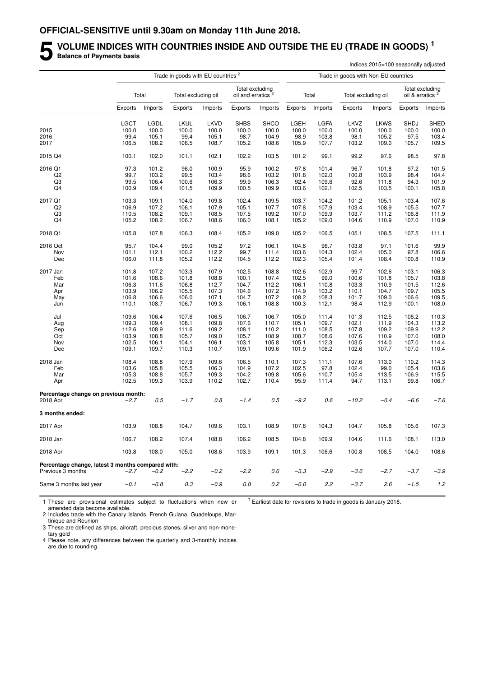#### **5** VOLUME INDICES WITH COUNTRIES INSIDE AND OUTSIDE THE EU (TRADE IN GOODS)<sup>1</sup><br>Balance of Payments basis **Balance of Payments basis** Indices 2015=100 seasonally adjusted

|                                                   |             |         | Trade in goods with EU countries <sup>2</sup> |             |                                     |             |         |         | Trade in goods with Non-EU countries |             |                             |                 |
|---------------------------------------------------|-------------|---------|-----------------------------------------------|-------------|-------------------------------------|-------------|---------|---------|--------------------------------------|-------------|-----------------------------|-----------------|
|                                                   |             | Total   | Total excluding oil                           |             | Total excluding<br>oil and erratics |             |         | Total   | Total excluding oil                  |             | oil & erratics <sup>3</sup> | Total excluding |
|                                                   | Exports     | Imports | Exports                                       | Imports     | Exports                             | Imports     | Exports | Imports | Exports                              | Imports     | Exports                     | Imports         |
|                                                   | <b>LGCT</b> | LGDL    | LKUL                                          | <b>LKVD</b> | <b>SHBS</b>                         | <b>SHCO</b> | LGEH    | LGFA    | LKVZ                                 | <b>LKWS</b> | SHDJ                        | <b>SHED</b>     |
| 2015                                              | 100.0       | 100.0   | 100.0                                         | 100.0       | 100.0                               | 100.0       | 100.0   | 100.0   | 100.0                                | 100.0       | 100.0                       | 100.0           |
| 2016                                              | 99.4        | 105.1   | 99.4                                          | 105.1       | 98.7                                | 104.9       | 98.9    | 103.8   | 98.1                                 | 105.2       | 97.5                        | 103.4           |
| 2017                                              | 106.5       | 108.2   | 106.5                                         | 108.7       | 105.2                               | 108.6       | 105.9   | 107.7   | 103.2                                | 109.0       | 105.7                       | 109.5           |
| 2015 Q4                                           | 100.1       | 102.0   | 101.1                                         | 102.1       | 102.2                               | 103.5       | 101.2   | 99.1    | 99.2                                 | 97.6        | 98.5                        | 97.8            |
| 2016 Q1                                           | 97.3        | 101.2   | 96.0                                          | 100.9       | 95.9                                | 100.2       | 97.8    | 101.4   | 96.7                                 | 101.8       | 97.2                        | 101.5           |
| Q2                                                | 99.7        | 103.2   | 99.5                                          | 103.4       | 98.6                                | 103.2       | 101.8   | 102.0   | 100.8                                | 103.9       | 98.4                        | 104.4           |
| Q3                                                | 99.5        | 106.4   | 100.6                                         | 106.3       | 99.9                                | 106.3       | 92.4    | 109.6   | 92.6                                 | 111.8       | 94.3                        | 101.9           |
| Q4                                                | 100.9       | 109.4   | 101.5                                         | 109.9       | 100.5                               | 109.9       | 103.6   | 102.1   | 102.5                                | 103.5       | 100.1                       | 105.8           |
| 2017 Q1                                           | 103.3       | 109.1   | 104.0                                         | 109.8       | 102.4                               | 109.5       | 103.7   | 104.2   | 101.2                                | 105.1       | 103.4                       | 107.6           |
| Q2                                                | 106.9       | 107.2   | 106.1                                         | 107.9       | 105.1                               | 107.7       | 107.8   | 107.9   | 103.4                                | 108.9       | 105.5                       | 107.7           |
| Q3                                                | 110.5       | 108.2   | 109.1                                         | 108.5       | 107.5                               | 109.2       | 107.0   | 109.9   | 103.7                                | 111.2       | 106.8                       | 111.9           |
| Q4                                                | 105.2       | 108.2   | 106.7                                         | 108.6       | 106.0                               | 108.1       | 105.2   | 109.0   | 104.6                                | 110.9       | 107.0                       | 110.9           |
| 2018 Q1                                           | 105.8       | 107.8   | 106.3                                         | 108.4       | 105.2                               | 109.0       | 105.2   | 106.5   | 105.1                                | 108.5       | 107.5                       | 111.1           |
| 2016 Oct                                          | 95.7        | 104.4   | 99.0                                          | 105.2       | 97.2                                | 106.1       | 104.8   | 96.7    | 103.8                                | 97.1        | 101.6                       | 99.9            |
| Nov                                               | 101.1       | 112.1   | 100.2                                         | 112.2       | 99.7                                | 111.4       | 103.6   | 104.3   | 102.4                                | 105.0       | 97.8                        | 106.6           |
| Dec                                               | 106.0       | 111.8   | 105.2                                         | 112.2       | 104.5                               | 112.2       | 102.3   | 105.4   | 101.4                                | 108.4       | 100.8                       | 110.9           |
| 2017 Jan                                          | 101.8       | 107.2   | 103.3                                         | 107.9       | 102.5                               | 108.8       | 102.6   | 102.9   | 99.7                                 | 102.6       | 103.1                       | 106.3           |
| Feb                                               | 101.6       | 108.6   | 101.8                                         | 108.8       | 100.1                               | 107.4       | 102.5   | 99.0    | 100.6                                | 101.8       | 105.7                       | 103.8           |
| Mar                                               | 106.3       | 111.6   | 106.8                                         | 112.7       | 104.7                               | 112.2       | 106.1   | 110.8   | 103.3                                | 110.9       | 101.5                       | 112.6           |
| Apr                                               | 103.9       | 106.2   | 105.5                                         | 107.3       | 104.6                               | 107.2       | 114.9   | 103.2   | 110.1                                | 104.7       | 109.7                       | 105.5           |
| May                                               | 106.8       | 106.6   | 106.0                                         | 107.1       | 104.7                               | 107.2       | 108.2   | 108.3   | 101.7                                | 109.0       | 106.6                       | 109.5           |
| Jun                                               | 110.1       | 108.7   | 106.7                                         | 109.3       | 106.1                               | 108.8       | 100.3   | 112.1   | 98.4                                 | 112.9       | 100.1                       | 108.0           |
| Jul                                               | 109.6       | 106.4   | 107.6                                         | 106.5       | 106.7                               | 106.7       | 105.0   | 111.4   | 101.3                                | 112.5       | 106.2                       | 110.3           |
| Aug                                               | 109.3       | 109.4   | 108.1                                         | 109.8       | 107.6                               | 110.7       | 105.1   | 109.7   | 102.1                                | 111.9       | 104.3                       | 113.2           |
| Sep                                               | 112.6       | 108.9   | 111.6                                         | 109.2       | 108.1                               | 110.2       | 111.0   | 108.5   | 107.8                                | 109.2       | 109.9                       | 112.2           |
| Oct                                               | 103.9       | 108.8   | 105.7                                         | 109.0       | 105.7                               | 108.9       | 108.7   | 108.6   | 107.6                                | 110.9       | 107.0                       | 108.0           |
| Nov                                               | 102.5       | 106.1   | 104.1                                         | 106.1       | 103.1                               | 105.8       | 105.1   | 112.3   | 103.5                                | 114.0       | 107.0                       | 114.4           |
| Dec                                               | 109.1       | 109.7   | 110.3                                         | 110.7       | 109.1                               | 109.6       | 101.9   | 106.2   | 102.6                                | 107.7       | 107.0                       | 110.4           |
| 2018 Jan                                          | 108.4       | 108.8   | 107.9                                         | 109.6       | 106.5                               | 110.1       | 107.3   | 111.1   | 107.6                                | 113.0       | 110.2                       | 114.3           |
| Feb                                               | 103.6       | 105.8   | 105.5                                         | 106.3       | 104.9                               | 107.2       | 102.5   | 97.8    | 102.4                                | 99.0        | 105.4                       | 103.6           |
| Mar                                               | 105.3       | 108.8   | 105.7                                         | 109.3       | 104.2                               | 109.8       | 105.6   | 110.7   | 105.4                                | 113.5       | 106.9                       | 115.5           |
| Apr                                               | 102.5       | 109.3   | 103.9                                         | 110.2       | 102.7                               | 110.4       | 95.9    | 111.4   | 94.7                                 | 113.1       | 99.8                        | 106.7           |
| Percentage change on previous month:<br>2018 Apr  | $-2.7$      | 0.5     | $-1.7$                                        | 0.8         | $-1.4$                              | 0.5         | $-9.2$  | 0.6     | $-10.2$                              | $-0.4$      | $-6.6$                      | $-7.6$          |
| 3 months ended:                                   |             |         |                                               |             |                                     |             |         |         |                                      |             |                             |                 |
| 2017 Apr                                          | 103.9       | 108.8   | 104.7                                         | 109.6       | 103.1                               | 108.9       | 107.8   | 104.3   | 104.7                                | 105.8       | 105.6                       | 107.3           |
|                                                   |             |         |                                               |             |                                     |             |         |         |                                      |             |                             |                 |
| 2018 Jan                                          | 106.7       | 108.2   | 107.4                                         | 108.8       | 106.2                               | 108.5       | 104.8   | 109.9   | 104.6                                | 111.6       | 108.1                       | 113.0           |
| 2018 Apr                                          | 103.8       | 108.0   | 105.0                                         | 108.6       | 103.9                               | 109.1       | 101.3   | 106.6   | 100.8                                | 108.5       | 104.0                       | 108.6           |
| Percentage change, latest 3 months compared with: |             |         |                                               |             |                                     |             |         |         |                                      |             |                             |                 |
| Previous 3 months                                 | $-2.7$      | $-0.2$  | $-2.2$                                        | $-0.2$      | $-2.2$                              | $0.6\,$     | $-3.3$  | $-2.9$  | $-3.6$                               | $-2.7$      | $-3.7$                      | $-3.9$          |
| Same 3 months last year                           | $-0.1$      | $-0.8$  | $0.3\,$                                       | $-0.9$      | $0.8\,$                             | $0.2\,$     | $-6.0$  | 2.2     | $-3.7$                               | 2.6         | $-1.5$                      | 1.2             |

1 These are provisional estimates subject to fluctuations when new or amended data become available.

 $^{\dagger}$  Earliest date for revisions to trade in goods is January 2018.

2 Includes trade with the Canary Islands, French Guiana, Guadeloupe, Martinique and Reunion

3 These are defined as ships, aircraft, precious stones, silver and non-monetary gold

4 Please note, any differences between the quarterly and 3-monthly indices are due to rounding.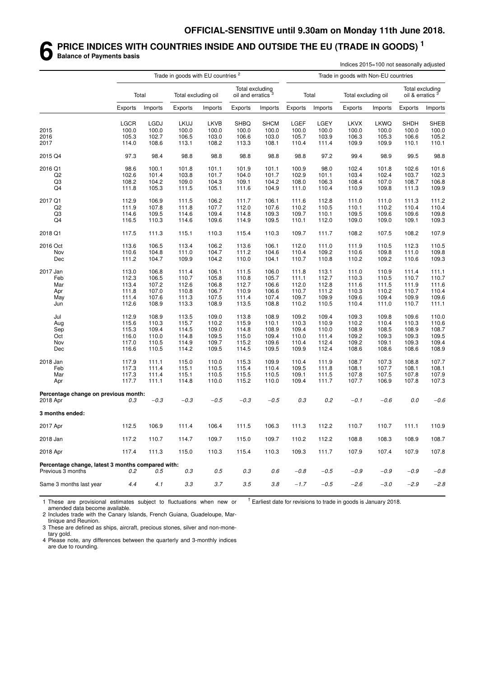#### **6 PRICE INDICES WITH COUNTRIES INSIDE AND OUTSIDE THE EU (TRADE IN GOODS) <sup>1</sup> Balance of Payments basis**

|                                                                        |                |         | Trade in goods with EU countries <sup>2</sup> |         |                                                  |             |                |         |                                      | Indices 2015=100 not seasonally adjusted |             |                                                |
|------------------------------------------------------------------------|----------------|---------|-----------------------------------------------|---------|--------------------------------------------------|-------------|----------------|---------|--------------------------------------|------------------------------------------|-------------|------------------------------------------------|
|                                                                        |                |         |                                               |         |                                                  |             |                |         | Trade in goods with Non-EU countries |                                          |             |                                                |
|                                                                        |                | Total   | Total excluding oil                           |         | Total excluding<br>oil and erratics <sup>3</sup> |             |                | Total   | Total excluding oil                  |                                          |             | Total excluding<br>oil & erratics <sup>3</sup> |
|                                                                        | <b>Exports</b> | Imports | Exports                                       | Imports | Exports                                          | Imports     | <b>Exports</b> | Imports | Exports                              | Imports                                  | Exports     | Imports                                        |
|                                                                        | <b>LGCR</b>    | LGDJ    | <b>LKUJ</b>                                   | LKVB    | <b>SHBQ</b>                                      | <b>SHCM</b> | LGEF           | LGEY    | <b>LKVX</b>                          | <b>LKWQ</b>                              | <b>SHDH</b> | <b>SHEB</b>                                    |
| 2015                                                                   | 100.0          | 100.0   | 100.0                                         | 100.0   | 100.0                                            | 100.0       | 100.0          | 100.0   | 100.0                                | 100.0                                    | 100.0       | 100.0                                          |
| 2016                                                                   | 105.3          | 102.7   | 106.5                                         | 103.0   | 106.6                                            | 103.0       | 105.7          | 103.9   | 106.3                                | 105.3                                    | 106.6       | 105.2                                          |
| 2017                                                                   | 114.0          | 108.6   | 113.1                                         | 108.2   | 113.3                                            | 108.1       | 110.4          | 111.4   | 109.9                                | 109.9                                    | 110.1       | 110.1                                          |
| 2015 Q4                                                                | 97.3           | 98.4    | 98.8                                          | 98.8    | 98.8                                             | 98.8        | 98.8           | 97.2    | 99.4                                 | 98.9                                     | 99.5        | 98.8                                           |
| 2016 Q1                                                                | 98.6           | 100.1   | 101.8                                         | 101.1   | 101.9                                            | 101.1       | 100.9          | 98.0    | 102.4                                | 101.8                                    | 102.6       | 101.6                                          |
| Q <sub>2</sub>                                                         | 102.6          | 101.4   | 103.8                                         | 101.7   | 104.0                                            | 101.7       | 102.9          | 101.1   | 103.4                                | 102.4                                    | 103.7       | 102.3                                          |
| Q3                                                                     | 108.2          | 104.2   | 109.0                                         | 104.3   | 109.1                                            | 104.2       | 108.0          | 106.3   | 108.4                                | 107.0                                    | 108.7       | 106.8                                          |
| Q4                                                                     | 111.8          | 105.3   | 111.5                                         | 105.1   | 111.6                                            | 104.9       | 111.0          | 110.4   | 110.9                                | 109.8                                    | 111.3       | 109.9                                          |
| 2017 Q1                                                                | 112.9          | 106.9   | 111.5                                         | 106.2   | 111.7                                            | 106.1       | 111.6          | 112.8   | 111.0                                | 111.0                                    | 111.3       | 111.2                                          |
| Q <sub>2</sub>                                                         | 111.9          | 107.8   | 111.8                                         | 107.7   | 112.0                                            | 107.6       | 110.2          | 110.5   | 110.1                                | 110.2                                    | 110.4       | 110.4                                          |
| Q3                                                                     | 114.6          | 109.5   | 114.6                                         | 109.4   | 114.8                                            | 109.3       | 109.7          | 110.1   | 109.5                                | 109.6                                    | 109.6       | 109.8                                          |
| Q4                                                                     | 116.5          | 110.3   | 114.6                                         | 109.6   | 114.9                                            | 109.5       | 110.1          | 112.0   | 109.0                                | 109.0                                    | 109.1       | 109.3                                          |
| 2018 Q1                                                                | 117.5          | 111.3   | 115.1                                         | 110.3   | 115.4                                            | 110.3       | 109.7          | 111.7   | 108.2                                | 107.5                                    | 108.2       | 107.9                                          |
| 2016 Oct                                                               | 113.6          | 106.5   | 113.4                                         | 106.2   | 113.6                                            | 106.1       | 112.0          | 111.0   | 111.9                                | 110.5                                    | 112.3       | 110.5                                          |
| Nov                                                                    | 110.6          | 104.8   | 111.0                                         | 104.7   | 111.2                                            | 104.6       | 110.4          | 109.2   | 110.6                                | 109.8                                    | 111.0       | 109.8                                          |
| Dec                                                                    | 111.2          | 104.7   | 109.9                                         | 104.2   | 110.0                                            | 104.1       | 110.7          | 110.8   | 110.2                                | 109.2                                    | 110.6       | 109.3                                          |
| 2017 Jan                                                               | 113.0          | 106.8   | 111.4                                         | 106.1   | 111.5                                            | 106.0       | 111.8          | 113.1   | 111.0                                | 110.9                                    | 111.4       | 111.1                                          |
| Feb                                                                    | 112.3          | 106.5   | 110.7                                         | 105.8   | 110.8                                            | 105.7       | 111.1          | 112.7   | 110.3                                | 110.5                                    | 110.7       | 110.7                                          |
| Mar                                                                    | 113.4          | 107.2   | 112.6                                         | 106.8   | 112.7                                            | 106.6       | 112.0          | 112.8   | 111.6                                | 111.5                                    | 111.9       | 111.6                                          |
| Apr                                                                    | 111.8          | 107.0   | 110.8                                         | 106.7   | 110.9                                            | 106.6       | 110.7          | 111.2   | 110.3                                | 110.2                                    | 110.7       | 110.4                                          |
| May                                                                    | 111.4          | 107.6   | 111.3                                         | 107.5   | 111.4                                            | 107.4       | 109.7          | 109.9   | 109.6                                | 109.4                                    | 109.9       | 109.6                                          |
| Jun                                                                    | 112.6          | 108.9   | 113.3                                         | 108.9   | 113.5                                            | 108.8       | 110.2          | 110.5   | 110.4                                | 111.0                                    | 110.7       | 111.1                                          |
| Jul                                                                    | 112.9          | 108.9   | 113.5                                         | 109.0   | 113.8                                            | 108.9       | 109.2          | 109.4   | 109.3                                | 109.8                                    | 109.6       | 110.0                                          |
| Aug                                                                    | 115.6          | 110.3   | 115.7                                         | 110.2   | 115.9                                            | 110.1       | 110.3          | 110.9   | 110.2                                | 110.4                                    | 110.3       | 110.6                                          |
| Sep                                                                    | 115.3          | 109.4   | 114.5                                         | 109.0   | 114.8                                            | 108.9       | 109.4          | 110.0   | 108.9                                | 108.5                                    | 108.9       | 108.7                                          |
| Oct                                                                    | 116.0          | 110.0   | 114.8                                         | 109.5   | 115.0                                            | 109.4       | 110.0          | 111.4   | 109.2                                | 109.3                                    | 109.3       | 109.5                                          |
| Nov                                                                    | 117.0          | 110.5   | 114.9                                         | 109.7   | 115.2                                            | 109.6       | 110.4          | 112.4   | 109.2                                | 109.1                                    | 109.3       | 109.4                                          |
| Dec                                                                    | 116.6          | 110.5   | 114.2                                         | 109.5   | 114.5                                            | 109.5       | 109.9          | 112.4   | 108.6                                | 108.6                                    | 108.6       | 108.9                                          |
| 2018 Jan                                                               | 117.9          | 111.1   | 115.0                                         | 110.0   | 115.3                                            | 109.9       | 110.4          | 111.9   | 108.7                                | 107.3                                    | 108.8       | 107.7                                          |
| Feb                                                                    | 117.3          | 111.4   | 115.1                                         | 110.5   | 115.4                                            | 110.4       | 109.5          | 111.8   | 108.1                                | 107.7                                    | 108.1       | 108.1                                          |
| Mar                                                                    | 117.3          | 111.4   | 115.1                                         | 110.5   | 115.5                                            | 110.5       | 109.1          | 111.5   | 107.8                                | 107.5                                    | 107.8       | 107.9                                          |
| Apr                                                                    | 117.7          | 111.1   | 114.8                                         | 110.0   | 115.2                                            | 110.0       | 109.4          | 111.7   | 107.7                                | 106.9                                    | 107.8       | 107.3                                          |
| Percentage change on previous month:                                   |                |         |                                               |         |                                                  |             |                |         |                                      |                                          |             |                                                |
| 2018 Apr                                                               | 0.3            | $-0.3$  | $-0.3$                                        | $-0.5$  | $-0.3$                                           | $-0.5$      | 0.3            | 0.2     | $-0.1$                               | $-0.6$                                   | 0.0         | $-0.6$                                         |
| 3 months ended:                                                        |                |         |                                               |         |                                                  |             |                |         |                                      |                                          |             |                                                |
| 2017 Apr                                                               | 112.5          | 106.9   | 111.4                                         | 106.4   | 111.5                                            | 106.3       | 111.3          | 112.2   | 110.7                                | 110.7                                    | 111.1       | 110.9                                          |
| 2018 Jan                                                               | 117.2          | 110.7   | 114.7                                         | 109.7   | 115.0                                            | 109.7       | 110.2          | 112.2   | 108.8                                | 108.3                                    | 108.9       | 108.7                                          |
| 2018 Apr                                                               | 117.4          | 111.3   | 115.0                                         | 110.3   | 115.4                                            | 110.3       | 109.3          | 111.7   | 107.9                                | 107.4                                    | 107.9       | 107.8                                          |
| Percentage change, latest 3 months compared with:<br>Previous 3 months | 0.2            | 0.5     | 0.3                                           | $0.5\,$ | 0.3                                              | 0.6         | $-0.8$         | $-0.5$  | $-0.9$                               | $-0.9$                                   | $-0.9$      | $-0.8$                                         |
|                                                                        |                |         |                                               |         |                                                  |             |                |         |                                      |                                          |             |                                                |
| Same 3 months last year                                                | 4.4            | 4.1     | 3.3                                           | 3.7     | $3.5\,$                                          | $3.8\,$     | $-1.7$         | $-0.5$  | $-2.6$                               | $-3.0$                                   | $-2.9$      | $-2.8$                                         |

1 These are provisional estimates subject to fluctuations when new or amended data become available.  $^{\dagger}$  Earliest date for revisions to trade in goods is January 2018.

2 Includes trade with the Canary Islands, French Guiana, Guadeloupe, Martinique and Reunion.

3 These are defined as ships, aircraft, precious stones, silver and non-monetary gold.

4 Please note, any differences between the quarterly and 3-monthly indices are due to rounding.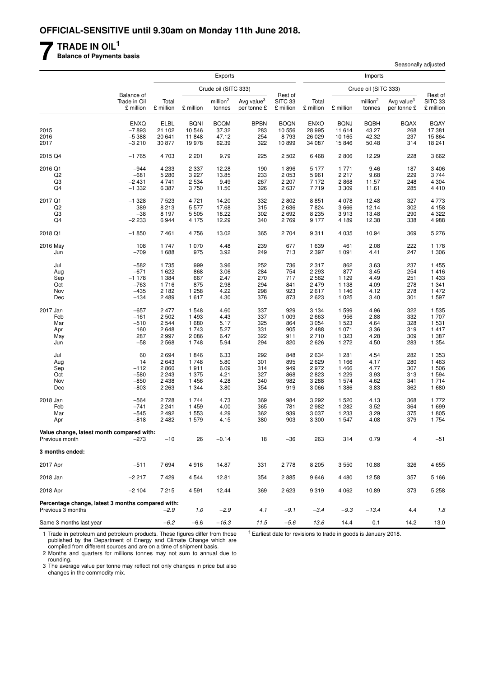**7 TRADE IN OIL<sup>1</sup>**

**Balance of Payments basis**

|                                                             |                                         |                       |                       | Exports                        |                                       |                                 |                       |                       | Imports                        |                                       |                                 |
|-------------------------------------------------------------|-----------------------------------------|-----------------------|-----------------------|--------------------------------|---------------------------------------|---------------------------------|-----------------------|-----------------------|--------------------------------|---------------------------------------|---------------------------------|
|                                                             |                                         |                       |                       | Crude oil (SITC 333)           |                                       |                                 |                       |                       | Crude oil (SITC 333)           |                                       |                                 |
|                                                             | Balance of<br>Trade in Oil<br>£ million | Total<br>£ million    | £ million             | million <sup>2</sup><br>tonnes | Avg value <sup>3</sup><br>per tonne £ | Rest of<br>SITC 33<br>£ million | Total<br>£ million    | £ million             | million <sup>2</sup><br>tonnes | Avg value <sup>3</sup><br>per tonne £ | Rest of<br>SITC 33<br>£ million |
|                                                             |                                         |                       |                       |                                |                                       |                                 |                       |                       |                                |                                       |                                 |
| 2015                                                        | <b>ENXQ</b><br>$-7893$                  | <b>ELBL</b><br>21 102 | <b>BQNI</b><br>10 546 | <b>BOQM</b><br>37.32           | <b>BPBN</b><br>283                    | <b>BOQN</b><br>10 556           | <b>ENXO</b><br>28 995 | <b>BQNJ</b><br>11 614 | <b>BQBH</b><br>43.27           | <b>BQAX</b><br>268                    | <b>BQAY</b><br>17 381           |
| 2016                                                        | $-5388$                                 | 20 641                | 11 848                | 47.12                          | 254                                   | 8793                            | 26 0 29               | 10 165                | 42.32                          | 237                                   | 15 8 64                         |
| 2017                                                        | $-3210$                                 | 30 877                | 19 978                | 62.39                          | 322                                   | 10899                           | 34 087                | 15846                 | 50.48                          | 314                                   | 18 241                          |
| 2015 Q4                                                     | $-1765$                                 | 4 703                 | 2 2 0 1               | 9.79                           | 225                                   | 2 5 0 2                         | 6468                  | 2806                  | 12.29                          | 228                                   | 3662                            |
| 2016 Q1                                                     | $-944$                                  | 4 2 3 3               | 2 3 3 7               | 12.28                          | 190                                   | 1896                            | 5 1 7 7               | 1 7 7 1               | 9.46                           | 187                                   | 3 4 0 6                         |
| Q2                                                          | $-681$                                  | 5 2 8 0               | 3 2 2 7               | 13.85                          | 233                                   | 2 0 5 3                         | 5961                  | 2 2 1 7               | 9.68                           | 229                                   | 3744                            |
| Q3                                                          | $-2431$                                 | 4 7 4 1               | 2 5 3 4               | 9.49                           | 267                                   | 2 2 0 7                         | 7 1 7 2               | 2868                  | 11.57                          | 248                                   | 4 3 0 4                         |
| Q4                                                          | $-1332$                                 | 6 3 8 7               | 3750                  | 11.50                          | 326                                   | 2637                            | 7719                  | 3 3 0 9               | 11.61                          | 285                                   | 4 4 1 0                         |
| 2017 Q1                                                     | $-1328$                                 | 7523                  | 4 7 2 1               | 14.20                          | 332                                   | 2802                            | 8851                  | 4 0 7 8               | 12.48                          | 327                                   | 4773                            |
| Q <sub>2</sub>                                              | 389                                     | 8 2 1 3               | 5 5 7 7               | 17.68                          | 315                                   | 2636                            | 7824                  | 3 6 6 6               | 12.14                          | 302                                   | 4 1 5 8                         |
| Q3                                                          | $-38$                                   | 8 1 9 7               | 5 5 0 5               | 18.22                          | 302                                   | 2 6 9 2                         | 8 2 3 5               | 3913                  | 13.48                          | 290                                   | 4 3 2 2                         |
| Q4                                                          | $-2233$                                 | 6944                  | 4 1 7 5               | 12.29                          | 340                                   | 2769                            | 9 1 7 7               | 4 189                 | 12.38                          | 338                                   | 4988                            |
| 2018 Q1                                                     | $-1850$                                 | 7461                  | 4756                  | 13.02                          | 365                                   | 2 7 0 4                         | 9311                  | 4 0 3 5               | 10.94                          | 369                                   | 5 2 7 6                         |
| 2016 May                                                    | 108                                     | 1 7 4 7               | 1 0 7 0               | 4.48                           | 239                                   | 677                             | 1 6 3 9               | 461                   | 2.08                           | 222                                   | 1 1 7 8                         |
| Jun                                                         | $-709$                                  | 1688                  | 975                   | 3.92                           | 249                                   | 713                             | 2 3 9 7               | 1 0 9 1               | 4.41                           | 247                                   | 1 306                           |
| Jul                                                         | $-582$                                  | 1 7 3 5               | 999                   | 3.96                           | 252                                   | 736                             | 2 3 1 7               | 862                   | 3.63                           | 237                                   | 1 4 5 5                         |
| Aug                                                         | $-671$                                  | 1 6 2 2               | 868                   | 3.06                           | 284                                   | 754                             | 2 2 9 3               | 877                   | 3.45                           | 254                                   | 1 4 1 6                         |
| Sep                                                         | $-1178$                                 | 1 3 8 4               | 667                   | 2.47                           | 270                                   | 717                             | 2 5 6 2               | 1 1 2 9               | 4.49                           | 251                                   | 1 4 3 3                         |
| Oct                                                         | $-763$                                  | 1716                  | 875                   | 2.98                           | 294                                   | 841                             | 2 4 7 9               | 1 1 3 8               | 4.09                           | 278                                   | 1 341                           |
| Nov                                                         | $-435$                                  | 2 1 8 2               | 1 2 5 8               | 4.22                           | 298                                   | 923                             | 2617                  | 1 1 4 6               | 4.12                           | 278                                   | 1 472                           |
| Dec                                                         | $-134$                                  | 2 4 8 9               | 1617                  | 4.30                           | 376                                   | 873                             | 2 6 2 3               | 1 0 2 5               | 3.40                           | 301                                   | 1 597                           |
| 2017 Jan                                                    | $-657$                                  | 2 4 7 7               | 1 548                 | 4.60                           | 337                                   | 929                             | 3 1 3 4               | 1599                  | 4.96                           | 322                                   | 1 5 3 5                         |
| Feb                                                         | $-161$                                  | 2 5 0 2               | 1 4 9 3               | 4.43                           | 337                                   | 1 0 0 9                         | 2 6 6 3               | 956                   | 2.88                           | 332                                   | 1707                            |
| Mar                                                         | $-510$                                  | 2 5 4 4               | 1680                  | 5.17                           | 325                                   | 864                             | 3 0 5 4               | 1 5 2 3               | 4.64                           | 328                                   | 1531                            |
| Apr                                                         | 160                                     | 2648                  | 1743                  | 5.27                           | 331                                   | 905                             | 2 4 8 8               | 1 0 7 1               | 3.36                           | 319                                   | 1 4 1 7                         |
| May                                                         | 287                                     | 2997                  | 2 0 8 6               | 6.47                           | 322                                   | 911                             | 2710                  | 1 3 2 3               | 4.28                           | 309                                   | 1 3 8 7                         |
| Jun                                                         | $-58$                                   | 2568                  | 1748                  | 5.94                           | 294                                   | 820                             | 2626                  | 1 272                 | 4.50                           | 283                                   | 1 3 5 4                         |
| Jul                                                         | 60                                      | 2694                  | 1846                  | 6.33                           | 292                                   | 848                             | 2 6 3 4               | 1 2 8 1               | 4.54                           | 282                                   | 1 3 5 3                         |
| Aug                                                         | 14                                      | 2 6 4 3               | 1748                  | 5.80                           | 301                                   | 895                             | 2629                  | 1 1 6 6               | 4.17                           | 280                                   | 1 4 6 3                         |
| Sep                                                         | $-112$                                  | 2860                  | 1911                  | 6.09                           | 314                                   | 949                             | 2972                  | 1466                  | 4.77                           | 307                                   | 1 506                           |
| Oct                                                         | $-580$                                  | 2 2 4 3               | 1 375                 | 4.21                           | 327                                   | 868                             | 2823                  | 1 2 2 9               | 3.93                           | 313                                   | 1 5 9 4                         |
| Nov                                                         | $-850$                                  | 2 4 3 8               | 1 4 5 6               | 4.28                           | 340                                   | 982                             | 3 2 8 8               | 1 574                 | 4.62                           | 341                                   | 1 7 1 4                         |
| Dec                                                         | $-803$                                  | 2 2 6 3               | 1 3 4 4               | 3.80                           | 354                                   | 919                             | 3 0 6 6               | 1 3 8 6               | 3.83                           | 362                                   | 1680                            |
| 2018 Jan                                                    | $-564$                                  | 2728                  | 1 744                 | 4.73                           | 369                                   | 984                             | 3 2 9 2               | 1 5 2 0               | 4.13                           | 368                                   | 1 772                           |
| Feb                                                         | $-741$                                  | 2 2 4 1               | 1 4 5 9               | 4.00                           | 365                                   | 781                             | 2982                  | 1 2 8 2               | 3.52                           | 364                                   | 1 6 9 9                         |
| Mar                                                         | $-545$                                  | 2 4 9 2               | 1 5 5 3               | 4.29                           | 362                                   | 939                             | 3 0 3 7               | 1 2 3 3               | 3.29                           | 375                                   | 1805                            |
| Apr                                                         | $-818$                                  | 2 4 8 2               | 1579                  | 4.15                           | 380                                   | 903                             | 3 3 0 0               | 1 5 4 7               | 4.08                           | 379                                   | 1 7 5 4                         |
| Value change, latest month compared with:<br>Previous month | $-273$                                  | $-10$                 | 26                    | $-0.14$                        | 18                                    | $-36$                           | 263                   | 314                   | 0.79                           | 4                                     | $-51$                           |
| 3 months ended:                                             |                                         |                       |                       |                                |                                       |                                 |                       |                       |                                |                                       |                                 |
| 2017 Apr                                                    | $-511$                                  | 7694                  | 4916                  | 14.87                          | 331                                   | 2778                            | 8 2 0 5               | 3550                  | 10.88                          | 326                                   | 4 6 5 5                         |
| 2018 Jan                                                    | $-2217$                                 | 7429                  | 4 5 4 4               | 12.81                          | 354                                   | 2885                            | 9646                  | 4 4 8 0               | 12.58                          | 357                                   | 5 166                           |
| 2018 Apr                                                    | $-2104$                                 | 7 2 1 5               | 4 5 9 1               | 12.44                          | 369                                   | 2623                            | 9319                  | 4 0 6 2               | 10.89                          | 373                                   | 5 2 5 8                         |
| Percentage change, latest 3 months compared with:           |                                         |                       |                       |                                |                                       |                                 |                       |                       |                                |                                       |                                 |
| Previous 3 months                                           |                                         | $-2.9$                | 1.0                   | $-2.9$                         | 4.1                                   | $-9.1$                          | $-3.4$                | $-9.3$                | $-13.4$                        | 4.4                                   | 1.8                             |
| Same 3 months last year                                     |                                         | $-6.2$                | $-6.6$                | $-16.3$                        | 11.5                                  | $-5.6$                          | 13.6                  | 14.4                  | 0.1                            | 14.2                                  | 13.0                            |

 $<sup>†</sup>$  Earliest date for revisions to trade in goods is January 2018.</sup>

Seasonally adjusted

1 Trade in petroleum and petroleum products. These figures differ from those published by the Department of Energy and Climate Change which are compiled from different sources and are on a time of shipment basis.

2 Months and quarters for millions tonnes may not sum to annual due to rounding.

3 The average value per tonne may reflect not only changes in price but also changes in the commodity mix.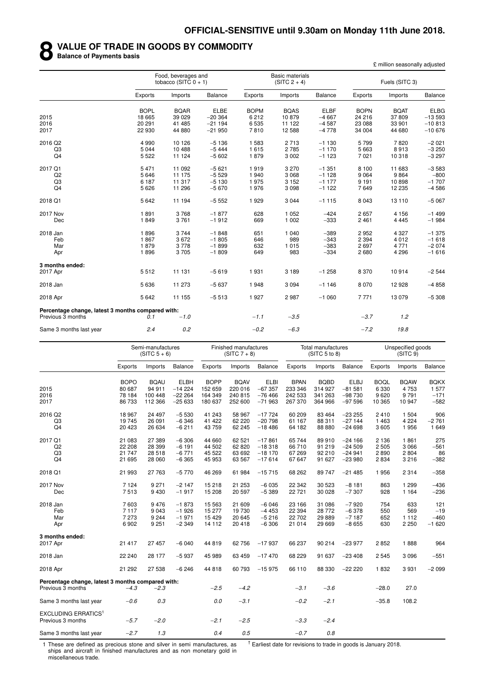#### **8 VALUE OF TRADE IN GOODS BY COMMODITY**

**Balance of Payments basis**

£ million seasonally adjusted

|                                                   |             | Food, beverages and<br>tobacco (SITC $0 + 1$ ) |             |             | <b>Basic materials</b><br>$(SITC 2 + 4)$ |             |             | Fuels (SITC 3) |             |
|---------------------------------------------------|-------------|------------------------------------------------|-------------|-------------|------------------------------------------|-------------|-------------|----------------|-------------|
|                                                   | Exports     | Imports                                        | Balance     | Exports     | Imports                                  | Balance     | Exports     | Imports        | Balance     |
|                                                   | <b>BOPL</b> | <b>BQAR</b>                                    | <b>ELBE</b> | <b>BOPM</b> | <b>BQAS</b>                              | <b>ELBF</b> | <b>BOPN</b> | <b>BQAT</b>    | <b>ELBG</b> |
| 2015                                              | 18 6 65     | 39 0 29                                        | $-20364$    | 6 2 1 2     | 10879                                    | $-4667$     | 24 216      | 37809          | $-13593$    |
| 2016                                              | 20 291      | 41 485                                         | $-21194$    | 6535        | 11 122                                   | $-4587$     | 23 088      | 33 901         | $-10813$    |
| 2017                                              | 22 930      | 44 880                                         | $-21950$    | 7810        | 12 5 8 8                                 | $-4778$     | 34 004      | 44 680         | $-10676$    |
| 2016 Q2                                           | 4 9 9 0     | 10 126                                         | $-5136$     | 1 5 8 3     | 2 7 1 3                                  | $-1130$     | 5799        | 7820           | $-2021$     |
| Q3                                                | 5044        | 10 488                                         | $-5444$     | 1615        | 2785                                     | $-1170$     | 5 6 6 3     | 8913           | $-3250$     |
| Q <sub>4</sub>                                    | 5 5 2 2     | 11 124                                         | $-5602$     | 1879        | 3 0 0 2                                  | $-1123$     | 7 0 21      | 10318          | $-3297$     |
| 2017 Q1                                           | 5471        | 11 092                                         | $-5621$     | 1919        | 3 2 7 0                                  | $-1351$     | 8 100       | 11 683         | $-3583$     |
| Q2                                                | 5646        | 11 175                                         | $-5529$     | 1940        | 3 0 6 8                                  | $-1128$     | 9 0 6 4     | 9864           | $-800$      |
| Q3                                                | 6 187       | 11 317                                         | $-5130$     | 1975        | 3 1 5 2                                  | $-1177$     | 9 1 9 1     | 10898          | $-1707$     |
| Q <sub>4</sub>                                    | 5626        | 11 296                                         | $-5670$     | 1976        | 3 0 9 8                                  | $-1122$     | 7649        | 12 2 35        | $-4586$     |
| 2018 Q1                                           | 5642        | 11 194                                         | $-5552$     | 1929        | 3 0 4 4                                  | $-1115$     | 8 0 4 3     | 13 110         | $-5067$     |
| 2017 Nov                                          | 1891        | 3768                                           | $-1877$     | 628         | 1 0 5 2                                  | $-424$      | 2657        | 4 1 5 6        | $-1499$     |
| Dec                                               | 1849        | 3761                                           | $-1912$     | 669         | 1 0 0 2                                  | $-333$      | 2 4 6 1     | 4 4 4 5        | $-1984$     |
| 2018 Jan                                          | 1896        | 3744                                           | $-1848$     | 651         | 1 0 4 0                                  | $-389$      | 2952        | 4 3 2 7        | $-1375$     |
| Feb                                               | 1867        | 3672                                           | $-1805$     | 646         | 989                                      | $-343$      | 2 3 9 4     | 4012           | $-1618$     |
| Mar                                               | 1879        | 3778                                           | $-1899$     | 632         | 1 0 1 5                                  | $-383$      | 2697        | 4 7 7 1        | $-2074$     |
| Apr                                               | 1896        | 3705                                           | $-1809$     | 649         | 983                                      | $-334$      | 2680        | 4 2 9 6        | $-1616$     |
| 3 months ended:                                   |             |                                                |             |             |                                          |             |             |                |             |
| 2017 Apr                                          | 5512        | 11 131                                         | $-5619$     | 1931        | 3 1 8 9                                  | $-1258$     | 8 3 7 0     | 10914          | $-2544$     |
| 2018 Jan                                          | 5636        | 11 273                                         | $-5637$     | 1948        | 3 0 9 4                                  | $-1146$     | 8 0 7 0     | 12928          | $-4858$     |
| 2018 Apr                                          | 5642        | 11 155                                         | $-5513$     | 1927        | 2987                                     | $-1060$     | 7771        | 13 0 79        | $-5308$     |
| Percentage change, latest 3 months compared with: |             |                                                |             |             |                                          |             |             |                |             |
| Previous 3 months                                 | 0.1         | $-1.0$                                         |             | $-1.1$      | $-3.5$                                   |             | $-3.7$      | 1.2            |             |
| Same 3 months last year                           | 2.4         | 0.2                                            |             | $-0.2$      | $-6.3$                                   |             | $-7.2$      | 19.8           |             |

|                                                   |             | Semi-manufactures<br>$(SITC 5 + 6)$ |             |             | Finished manufactures<br>$(SITC 7 + 8)$ |             |             | <b>Total manufactures</b><br>(SITC 5 to 8) |             |             | Unspecified goods<br>(SITC <sub>9</sub> ) |                |
|---------------------------------------------------|-------------|-------------------------------------|-------------|-------------|-----------------------------------------|-------------|-------------|--------------------------------------------|-------------|-------------|-------------------------------------------|----------------|
|                                                   | Exports     | Imports                             | Balance     | Exports     | Imports                                 | Balance     | Exports     | Imports                                    | Balance     | Exports     | Imports                                   | <b>Balance</b> |
|                                                   | <b>BOPO</b> | <b>BQAU</b>                         | <b>ELBH</b> | <b>BOPP</b> | <b>BQAV</b>                             | <b>ELBI</b> | <b>BPAN</b> | <b>BQBD</b>                                | <b>ELBJ</b> | <b>BOQL</b> | <b>BQAW</b>                               | <b>BQKX</b>    |
| 2015                                              | 80 687      | 94 911                              | $-14224$    | 152 659     | 220 016                                 | $-67357$    | 233 346     | 314 927                                    | $-81581$    | 6 3 3 0     | 4753                                      | 1577           |
| 2016                                              | 78 184      | 100 448                             | $-222264$   | 164 349     | 240 815                                 | $-76466$    | 242 533     | 341 263                                    | $-98730$    | 9620        | 9791                                      | $-171$         |
| 2017                                              | 86 733      | 112 366                             | $-25633$    | 180 637     | 252 600                                 | $-71963$    | 267 370     | 364 966                                    | $-97596$    | 10 365      | 10 947                                    | $-582$         |
| 2016 Q2                                           | 18 967      | 24 497                              | $-5530$     | 41 243      | 58 967                                  | $-17724$    | 60 209      | 83 4 64                                    | $-23255$    | 2410        | 1 504                                     | 906            |
| Q <sub>3</sub>                                    | 19745       | 26 091                              | $-6346$     | 41 422      | 62 220                                  | $-20798$    | 61 167      | 88 311                                     | $-27144$    | 1 4 6 3     | 4 2 2 4                                   | $-2761$        |
| Q4                                                | 20 4 23     | 26 634                              | $-6211$     | 43 759      | 62 245                                  | $-18486$    | 64 182      | 88 880                                     | $-24698$    | 3 6 0 5     | 1956                                      | 1 6 4 9        |
| 2017 Q1                                           | 21 083      | 27 389                              | $-6306$     | 44 660      | 62 521                                  | $-17861$    | 65 744      | 89910                                      | $-24166$    | 2 1 3 6     | 1861                                      | 275            |
| Q2                                                | 22 208      | 28 399                              | $-6191$     | 44 502      | 62 820                                  | $-18318$    | 66 710      | 91 219                                     | $-24509$    | 2 5 0 5     | 3 0 6 6                                   | $-561$         |
| Q3                                                | 21 747      | 28 518                              | $-6771$     | 45 522      | 63 692                                  | $-18170$    | 67 269      | 92 210                                     | $-24941$    | 2890        | 2804                                      | 86             |
| Q4                                                | 21 695      | 28 060                              | $-6365$     | 45 953      | 63 567                                  | $-17614$    | 67 647      | 91 627                                     | $-23980$    | 2834        | 3216                                      | $-382$         |
| 2018 Q1                                           | 21 993      | 27 763                              | $-5770$     | 46 269      | 61 984                                  | $-15715$    | 68 262      | 89747                                      | $-21485$    | 1956        | 2 3 1 4                                   | $-358$         |
| <b>2017 Nov</b>                                   | 7 1 2 4     | 9 2 7 1                             | $-2147$     | 15 218      | 21 253                                  | $-6035$     | 22 342      | 30 523                                     | $-8181$     | 863         | 1 2 9 9                                   | $-436$         |
| Dec                                               | 7513        | 9 4 3 0                             | $-1917$     | 15 208      | 20 597                                  | $-5389$     | 22 7 21     | 30 0 28                                    | $-7307$     | 928         | 1 1 6 4                                   | $-236$         |
| 2018 Jan                                          | 7603        | 9476                                | $-1873$     | 15 5 63     | 21 609                                  | $-6046$     | 23 166      | 31 086                                     | $-7920$     | 754         | 633                                       | 121            |
| Feb                                               | 7 1 1 7     | 9043                                | $-1926$     | 15 277      | 19 730                                  | $-4453$     | 22 3 94     | 28 7 7 2                                   | $-6378$     | 550         | 569                                       | $-19$          |
| Mar                                               | 7 2 7 3     | 9 2 4 4                             | $-1971$     | 15 4 29     | 20 645                                  | $-5216$     | 22 702      | 29 8 89                                    | $-7187$     | 652         | 1 1 1 2                                   | $-460$         |
| Apr                                               | 6902        | 9 2 5 1                             | $-2349$     | 14 112      | 20 418                                  | $-6306$     | 21 014      | 29 6 69                                    | $-8655$     | 630         | 2 2 5 0                                   | $-1620$        |
| 3 months ended:                                   |             |                                     |             |             |                                         |             |             |                                            |             |             |                                           |                |
| 2017 Apr                                          | 21 417      | 27 457                              | $-6040$     | 44 819      | 62 756                                  | $-17937$    | 66 237      | 90 214                                     | $-23977$    | 2852        | 1888                                      | 964            |
| 2018 Jan                                          | 22 240      | 28 177                              | $-5937$     | 45 989      | 63 459                                  | $-17470$    | 68 229      | 91 637                                     | $-23408$    | 2 5 4 5     | 3096                                      | $-551$         |
| 2018 Apr                                          | 21 29 2     | 27 538                              | $-6246$     | 44 818      | 60 793                                  | $-15975$    | 66 110      | 88 330                                     | $-22220$    | 1832        | 3931                                      | $-2099$        |
| Percentage change, latest 3 months compared with: |             |                                     |             |             |                                         |             |             |                                            |             |             |                                           |                |
| Previous 3 months                                 | $-4.3$      | $-2.3$                              |             | $-2.5$      | $-4.2$                                  |             | $-3.1$      | $-3.6$                                     |             | $-28.0$     | 27.0                                      |                |
| Same 3 months last year                           | $-0.6$      | 0.3                                 |             | 0.0         | $-3.1$                                  |             | $-0.2$      | $-2.1$                                     |             | $-35.8$     | 108.2                                     |                |
| <b>EXCLUDING ERRATICS1</b><br>Previous 3 months   | $-5.7$      | $-2.0$                              |             | $-2.1$      | $-2.5$                                  |             | $-3.3$      | $-2.4$                                     |             |             |                                           |                |
| Same 3 months last year                           | $-2.7$      | 1.3                                 |             | 0.4         | 0.5                                     |             | $-0.7$      | 0.8                                        |             |             |                                           |                |

1 These are defined as precious stone and silver in semi manufactures, as ships and aircraft in finished manufactures and as non monetary gold in miscellaneous trade.

 $<sup>†</sup>$  Earliest date for revisions to trade in goods is January 2018.</sup>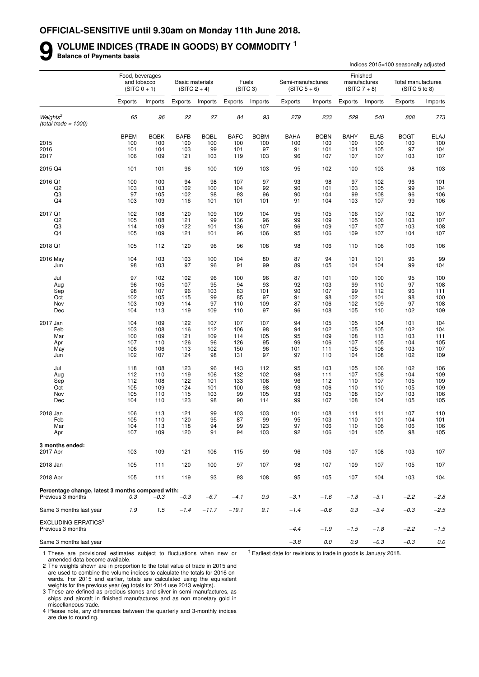**9**

## **VOLUME INDICES (TRADE IN GOODS) BY COMMODITY <sup>1</sup>**

**Balance of Payments basis**

|                                                                        |             |                                                  |             |                                          |             |                               |                                     |             |         |                                            | Indices 2015=100 seasonally adjusted |             |
|------------------------------------------------------------------------|-------------|--------------------------------------------------|-------------|------------------------------------------|-------------|-------------------------------|-------------------------------------|-------------|---------|--------------------------------------------|--------------------------------------|-------------|
|                                                                        |             | Food, beverages<br>and tobacco<br>$(SITC 0 + 1)$ |             | <b>Basic materials</b><br>$(SITC 2 + 4)$ |             | Fuels<br>(SITC <sub>3</sub> ) | Semi-manufactures<br>$(SITC 5 + 6)$ |             |         | Finished<br>manufactures<br>$(SITC 7 + 8)$ | Total manufactures<br>(SITC 5 to 8)  |             |
|                                                                        | Exports     | Imports                                          | Exports     | Imports                                  | Exports     | Imports                       | Exports                             | Imports     | Exports | Imports                                    | Exports                              | Imports     |
| Weights <sup>2</sup><br>$(total trade = 1000)$                         | 65          | 96                                               | 22          | 27                                       | 84          | 93                            | 279                                 | 233         | 529     | 540                                        | 808                                  | 773         |
|                                                                        | <b>BPEM</b> | <b>BQBK</b>                                      | <b>BAFB</b> | <b>BQBL</b>                              | <b>BAFC</b> | <b>BQBM</b>                   | <b>BAHA</b>                         | <b>BQBN</b> | BAHY    | <b>ELAB</b>                                | <b>BOGT</b>                          | <b>ELAJ</b> |
| 2015                                                                   | 100         | 100                                              | 100         | 100                                      | 100         | 100                           | 100                                 | 100         | 100     | 100                                        | 100                                  | 100         |
| 2016                                                                   | 101         | 104                                              | 103         | 99                                       | 101         | 97                            | 91                                  | 101         | 101     | 105                                        | 97                                   | 104         |
| 2017                                                                   | 106         | 109                                              | 121         | 103                                      | 119         | 103                           | 96                                  | 107         | 107     | 107                                        | 103                                  | 107         |
| 2015 Q4                                                                | 101         | 101                                              | 96          | 100                                      | 109         | 103                           | 95                                  | 102         | 100     | 103                                        | 98                                   | 103         |
| 2016 Q1                                                                | 100         | 100                                              | 94          | 98                                       | 107         | 97                            | 93                                  | 98          | 97      | 102                                        | 96                                   | 101         |
| Q <sub>2</sub>                                                         | 103         | 103                                              | 102         | 100                                      | 104         | 92                            | 90                                  | 101         | 103     | 105                                        | 99                                   | 104         |
| Q3                                                                     | 97          | 105                                              | 102         | 98                                       | 93          | 96                            | 90                                  | 104         | 99      | 108                                        | 96                                   | 106         |
| Q <sub>4</sub>                                                         | 103         | 109                                              | 116         | 101                                      | 101         | 101                           | 91                                  | 104         | 103     | 107                                        | 99                                   | 106         |
| 2017 Q1                                                                | 102         | 108                                              | 120         | 109                                      | 109         | 104                           | 95                                  | 105         | 106     | 107                                        | 102                                  | 107         |
| Q <sub>2</sub>                                                         | 105         | 108                                              | 121         | 99                                       | 136         | 96                            | 99                                  | 109         | 105     | 106                                        | 103                                  | 107         |
| Q3                                                                     | 114         | 109                                              | 122         | 101                                      | 136         | 107                           | 96                                  | 109         | 107     | 107                                        | 103                                  | 108         |
| Q <sub>4</sub>                                                         | 105         | 109                                              | 121         | 101                                      | 96          | 106                           | 95                                  | 106         | 109     | 107                                        | 104                                  | 107         |
| 2018 Q1                                                                | 105         | 112                                              | 120         | 96                                       | 96          | 108                           | 98                                  | 106         | 110     | 106                                        | 106                                  | 106         |
| 2016 May                                                               | 104         | 103                                              | 103         | 100                                      | 104         | 80                            | 87                                  | 94          | 101     | 101                                        | 96                                   | 99          |
| Jun                                                                    | 98          | 103                                              | 97          | 96                                       | 91          | 99                            | 89                                  | 105         | 104     | 104                                        | 99                                   | 104         |
| Jul                                                                    | 97          | 102                                              | 102         | 96                                       | 100         | 96                            | 87                                  | 101         | 100     | 100                                        | 95                                   | 100         |
| Aug                                                                    | 96          | 105                                              | 107         | 95                                       | 94          | 93                            | 92                                  | 103         | 99      | 110                                        | 97                                   | 108         |
| Sep                                                                    | 98          | 107                                              | 96          | 103                                      | 83          | 101                           | 90                                  | 107         | 99      | 112                                        | 96                                   | 111         |
| Oct                                                                    | 102         | 105                                              | 115         | 99                                       | 85          | 97                            | 91                                  | 98          | 102     | 101                                        | 98                                   | 100         |
| Nov                                                                    | 103         | 109                                              | 114         | 97                                       | 110         | 109                           | 87                                  | 106         | 102     | 109                                        | 97                                   | 108         |
| Dec                                                                    | 104         | 113                                              | 119         | 109                                      | 110         | 97                            | 96                                  | 108         | 105     | 110                                        | 102                                  | 109         |
| 2017 Jan                                                               | 104         | 109                                              | 122         | 107                                      | 107         | 107                           | 94                                  | 105         | 105     | 104                                        | 101                                  | 104         |
| Feb                                                                    | 103         | 108                                              | 116         | 112                                      | 106         | 98                            | 94                                  | 102         | 105     | 105                                        | 102                                  | 104         |
| Mar                                                                    | 100         | 109                                              | 121         | 109                                      | 114         | 105                           | 95                                  | 109         | 108     | 113                                        | 103                                  | 111         |
| Apr                                                                    | 107         | 110                                              | 126         | 96                                       | 126         | 95                            | 99                                  | 106         | 107     | 105                                        | 104                                  | 105         |
| May                                                                    | 106         | 106                                              | 113         | 102                                      | 150         | 96                            | 101                                 | 111         | 105     | 106                                        | 103                                  | 107         |
| Jun                                                                    | 102         | 107                                              | 124         | 98                                       | 131         | 97                            | 97                                  | 110         | 104     | 108                                        | 102                                  | 109         |
| Jul                                                                    | 118         | 108                                              | 123         | 96                                       | 143         | 112                           | 95                                  | 103         | 105     | 106                                        | 102                                  | 106         |
| Aug                                                                    | 112         | 110                                              | 119         | 106                                      | 132         | 102                           | 98                                  | 111         | 107     | 108                                        | 104                                  | 109         |
| Sep                                                                    | 112         | 108                                              | 122         | 101                                      | 133         | 108                           | 96                                  | 112         | 110     | 107                                        | 105                                  | 109         |
| Oct                                                                    | 105         | 109                                              | 124         | 101                                      | 100         | 98                            | 93                                  | 106         | 110     | 110                                        | 105                                  | 109         |
| Nov                                                                    | 105         | 110                                              | 115         | 103                                      | 99          | 105                           | 93                                  | 105         | 108     | 107                                        | 103                                  | 106         |
| Dec                                                                    | 104         | 110                                              | 123         | 98                                       | 90          | 114                           | 99                                  | 107         | 108     | 104                                        | 105                                  | 105         |
| 2018 Jan                                                               | 106         | 113                                              | 121         | 99                                       | 103         | 103                           | 101                                 | 108         | 111     | 111                                        | 107                                  | 110         |
| Feb                                                                    | 105         | 110                                              | 120         | 95                                       | 87          | 99                            | 95                                  | 103         | 110     | 101                                        | 104                                  | 101         |
| Mar                                                                    | 104         | 113                                              | 118         | 94                                       | 99          | 123                           | 97                                  | 106         | 110     | 106                                        | 106                                  | 106         |
| Apr                                                                    | 107         | 109                                              | 120         | 91                                       | 94          | 103                           | 92                                  | 106         | 101     | 105                                        | 98                                   | 105         |
| 3 months ended:<br>2017 Apr                                            | 103         | 109                                              | 121         | 106                                      | 115         | 99                            | 96                                  | 106         | 107     | 108                                        | 103                                  | 107         |
| 2018 Jan                                                               | 105         | 111                                              | 120         | 100                                      | 97          | 107                           | 98                                  | 107         | 109     | 107                                        | 105                                  | 107         |
| 2018 Apr                                                               | 105         | 111                                              | 119         | 93                                       | 93          | 108                           | 95                                  | 105         | 107     | 104                                        | 103                                  | 104         |
|                                                                        |             |                                                  |             |                                          |             |                               |                                     |             |         |                                            |                                      |             |
| Percentage change, latest 3 months compared with:<br>Previous 3 months | 0.3         | $-0.3$                                           | $-0.3$      | $-6.7$                                   | $-4.1$      | 0.9                           | $-3.1$                              | $-1.6$      | $-1.8$  | $-3.1$                                     | $-2.2$                               | $-2.8$      |
| Same 3 months last year                                                | 1.9         | 1.5                                              | $-1.4$      | $-11.7$                                  | $-19.1$     | 9.1                           | $-1.4$                              | $-0.6$      | 0.3     | $-3.4$                                     | $-0.3$                               | $-2.5$      |
| <b>EXCLUDING ERRATICS3</b><br>Previous 3 months                        |             |                                                  |             |                                          |             |                               | $-4.4$                              | $-1.9$      | $-1.5$  | $-1.8$                                     | $-2.2$                               | $-1.5$      |
| Same 3 months last year                                                |             |                                                  |             |                                          |             |                               | $-3.8$                              | $0.0\,$     | 0.9     | $-0.3$                                     | $-0.3$                               | $0.0\,$     |

1 These are provisional estimates subject to fluctuations when new or amended data become available.

 $<sup>†</sup>$  Earliest date for revisions to trade in goods is January 2018.</sup>

2 The weights shown are in proportion to the total value of trade in 2015 and are used to combine the volume indices to calculate the totals for 2016 onwards. For 2015 and earlier, totals are calculated using the equivalent weights for the previous year (eg totals for 2014 use 2013 weights).

3 These are defined as precious stones and silver in semi manufactures, as ships and aircraft in finished manufactures and as non monetary gold in miscellaneous trade.

4 Please note, any differences between the quarterly and 3-monthly indices are due to rounding.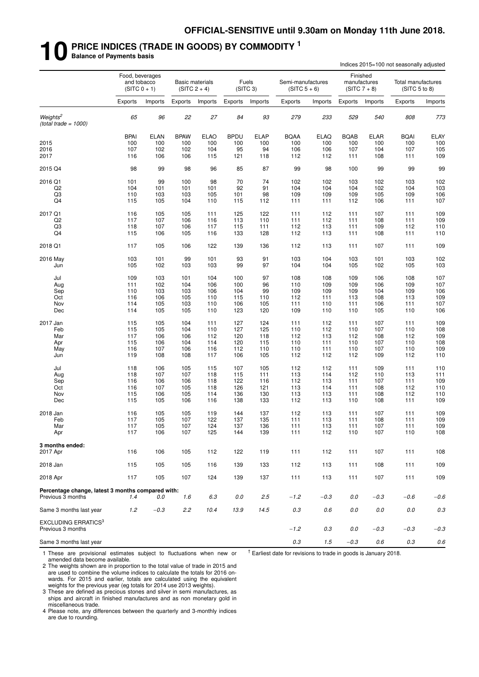# **10 PRICE INDICES (TRADE IN GOODS) BY COMMODITY <sup>1</sup> Balance of Payments basis**

|  |  |  | <b>Balance of Payments basis</b> |  |  |
|--|--|--|----------------------------------|--|--|
|--|--|--|----------------------------------|--|--|

|                                                                        |             |                                                  |             |                                          |             |                               |                                     |             | Indices 2015=100 not seasonally adjusted   |             |                                     |            |  |  |
|------------------------------------------------------------------------|-------------|--------------------------------------------------|-------------|------------------------------------------|-------------|-------------------------------|-------------------------------------|-------------|--------------------------------------------|-------------|-------------------------------------|------------|--|--|
|                                                                        |             | Food, beverages<br>and tobacco<br>$(SITC 0 + 1)$ |             | <b>Basic materials</b><br>$(SITC 2 + 4)$ |             | Fuels<br>(SITC <sub>3</sub> ) | Semi-manufactures<br>$(SITC 5 + 6)$ |             | Finished<br>manufactures<br>$(SITC 7 + 8)$ |             | Total manufactures<br>(SITC 5 to 8) |            |  |  |
|                                                                        | Exports     | Imports                                          | Exports     | Imports                                  | Exports     | Imports                       | Exports                             | Imports     | Exports                                    | Imports     | Exports                             | Imports    |  |  |
| Weights <sup>2</sup><br>(total trade = $1000$ )                        | 65          | 96                                               | 22          | 27                                       | 84          | 93                            | 279                                 | 233         | 529                                        | 540         | 808                                 | 773        |  |  |
|                                                                        | <b>BPAI</b> | <b>ELAN</b>                                      | <b>BPAW</b> | <b>ELAO</b>                              | <b>BPDU</b> | <b>ELAP</b>                   | <b>BQAA</b>                         | <b>ELAQ</b> | <b>BQAB</b>                                | <b>ELAR</b> | <b>BQAI</b>                         | ELAY       |  |  |
| 2015                                                                   | 100         | 100                                              | 100         | 100                                      | 100         | 100                           | 100                                 | 100         | 100                                        | 100         | 100                                 | 100        |  |  |
| 2016                                                                   | 107         | 102                                              | 102         | 104                                      | 95          | 94                            | 106                                 | 106         | 107                                        | 104         | 107                                 | 105        |  |  |
| 2017                                                                   | 116         | 106                                              | 106         | 115                                      | 121         | 118                           | 112                                 | 112         | 111                                        | 108         | 111                                 | 109        |  |  |
| 2015 Q4                                                                | 98          | 99                                               | 98          | 96                                       | 85          | 87                            | 99                                  | 98          | 100                                        | 99          | 99                                  | 99         |  |  |
| 2016 Q1                                                                | 101         | 99                                               | 100         | 98                                       | 70          | 74                            | 102                                 | 102         | 103                                        | 102         | 103                                 | 102        |  |  |
| Q2                                                                     | 104         | 101                                              | 101         | 101                                      | 92          | 91                            | 104                                 | 104         | 104                                        | 102         | 104                                 | 103        |  |  |
| Q3                                                                     | 110         | 103                                              | 103         | 105                                      | 101         | 98                            | 109                                 | 109         | 109                                        | 105         | 109                                 | 106        |  |  |
| Q4                                                                     | 115         | 105                                              | 104         | 110                                      | 115         | 112                           | 111                                 | 111         | 112                                        | 106         | 111                                 | 107        |  |  |
| 2017 Q1                                                                | 116         | 105                                              | 105         | 111                                      | 125         | 122                           | 111                                 | 112         | 111                                        | 107         | 111                                 | 109        |  |  |
| Q <sub>2</sub>                                                         | 117         | 107                                              | 106         | 116                                      | 113         | 110                           | 111                                 | 112         | 111                                        | 108         | 111                                 | 109        |  |  |
| Q3                                                                     | 118         | 107                                              | 106         | 117                                      | 115         | 111                           | 112                                 | 113         | 111                                        | 109         | 112                                 | 110        |  |  |
| Q4                                                                     | 115         | 106                                              | 105         | 116                                      | 133         | 128                           | 112                                 | 113         | 111                                        | 108         | 111                                 | 110        |  |  |
| 2018 Q1                                                                | 117         | 105                                              | 106         | 122                                      | 139         | 136                           | 112                                 | 113         | 111                                        | 107         | 111                                 | 109        |  |  |
| 2016 May                                                               | 103         | 101                                              | 99          | 101                                      | 93          | 91                            | 103                                 | 104         | 103                                        | 101         | 103                                 | 102        |  |  |
| Jun                                                                    | 105         | 102                                              | 103         | 103                                      | 99          | 97                            | 104                                 | 104         | 105                                        | 102         | 105                                 | 103        |  |  |
| Jul                                                                    | 109         | 103                                              | 101         | 104                                      | 100         | 97                            | 108                                 | 108         | 109                                        | 106         | 108                                 | 107        |  |  |
| Aug                                                                    | 111         | 102                                              | 104         | 106                                      | 100         | 96                            | 110                                 | 109         | 109                                        | 106         | 109                                 | 107        |  |  |
| Sep                                                                    | 110         | 103                                              | 103         | 106                                      | 104         | 99                            | 109                                 | 109         | 109                                        | 104         | 109                                 | 106        |  |  |
| Oct                                                                    | 116         | 106                                              | 105         | 110                                      | 115         | 110                           | 112                                 | 111         | 113                                        | 108         | 113                                 | 109        |  |  |
| Nov                                                                    | 114         | 105                                              | 103         | 110                                      | 106         | 105                           | 111                                 | 110         | 111                                        | 106         | 111                                 | 107        |  |  |
| Dec                                                                    | 114         | 105                                              | 105         | 110                                      | 123         | 120                           | 109                                 | 110         | 110                                        | 105         | 110                                 | 106        |  |  |
| 2017 Jan                                                               | 115         | 105                                              | 104         | 111                                      | 127         | 124                           | 111                                 | 112         | 111                                        | 107         | 111                                 | 109        |  |  |
| Feb                                                                    | 115         | 105                                              | 104         | 110                                      | 127         | 125                           | 110                                 | 112         | 110                                        | 107         | 110                                 | 108        |  |  |
| Mar                                                                    | 117         | 106                                              | 106         | 112                                      | 120         | 118                           | 112                                 | 113         | 112                                        | 108         | 112                                 | 109        |  |  |
| Apr                                                                    | 115         | 106                                              | 104         | 114                                      | 120         | 115                           | 110                                 | 111         | 110                                        | 107         | 110                                 | 108        |  |  |
| May                                                                    | 116         | 107                                              | 106         | 116                                      | 112         | 110                           | 110                                 | 111         | 110                                        | 107         | 110                                 | 109        |  |  |
| Jun                                                                    | 119         | 108                                              | 108         | 117                                      | 106         | 105                           | 112                                 | 112         | 112                                        | 109         | 112                                 | 110        |  |  |
| Jul                                                                    | 118         | 106                                              | 105         | 115                                      | 107         | 105                           | 112                                 | 112         | 111                                        | 109         | 111                                 | 110        |  |  |
| Aug                                                                    | 118         | 107                                              | 107         | 118                                      | 115         | 111                           | 113                                 | 114         | 112                                        | 110         | 113                                 | 111        |  |  |
| Sep                                                                    | 116         | 106                                              | 106         | 118                                      | 122         | 116                           | 112                                 | 113         | 111                                        | 107         | 111                                 | 109        |  |  |
| Oct                                                                    | 116         | 107                                              | 105         | 118                                      | 126         | 121                           | 113                                 | 114         | 111                                        | 108         | 112                                 | 110        |  |  |
| Nov                                                                    | 115         | 106                                              | 105         | 114                                      | 136         | 130                           | 113                                 | 113         | 111                                        | 108         | 112                                 | 110        |  |  |
| Dec                                                                    | 115         | 105                                              | 106         | 116                                      | 138         | 133                           | 112                                 | 113         | 110                                        | 108         | 111                                 | 109        |  |  |
|                                                                        |             |                                                  |             |                                          |             |                               |                                     |             |                                            |             |                                     |            |  |  |
| 2018 Jan                                                               | 116         | 105                                              | 105         | 119                                      | 144         | 137                           | 112                                 | 113         | 111                                        | 107         | 111                                 | 109        |  |  |
| Feb                                                                    | 117         | 105                                              | 107         | 122                                      | 137         | 135                           | 111                                 | 113         | 111                                        | 108         | 111                                 | 109<br>109 |  |  |
| Mar<br>Apr                                                             | 117<br>117  | 105<br>106                                       | 107<br>107  | 124<br>125                               | 137<br>144  | 136<br>139                    | 111<br>111                          | 113<br>112  | 111<br>110                                 | 107<br>107  | 111<br>110                          | 108        |  |  |
| 3 months ended:                                                        |             |                                                  |             |                                          |             |                               |                                     |             |                                            |             |                                     |            |  |  |
| 2017 Apr                                                               | 116         | 106                                              | 105         | 112                                      | 122         | 119                           | 111                                 | 112         | 111                                        | 107         | 111                                 | 108        |  |  |
| 2018 Jan                                                               | 115         | 105                                              | 105         | 116                                      | 139         | 133                           | 112                                 | 113         | 111                                        | 108         | 111                                 | 109        |  |  |
|                                                                        |             |                                                  |             |                                          |             |                               |                                     |             |                                            |             |                                     |            |  |  |
| 2018 Apr                                                               | 117         | 105                                              | 107         | 124                                      | 139         | 137                           | 111                                 | 113         | 111                                        | 107         | 111                                 | 109        |  |  |
| Percentage change, latest 3 months compared with:<br>Previous 3 months | 1.4         | 0.0                                              | 1.6         | 6.3                                      | 0.0         | 2.5                           | $-1.2$                              | $-0.3$      | 0.0                                        | $-0.3$      | $-0.6$                              | $-0.6$     |  |  |
| Same 3 months last year                                                | 1.2         | $-0.3$                                           | 2.2         | 10.4                                     | 13.9        | 14.5                          | 0.3                                 | 0.6         | 0.0                                        | 0.0         | 0.0                                 | 0.3        |  |  |
| <b>EXCLUDING ERRATICS<sup>3</sup></b><br>Previous 3 months             |             |                                                  |             |                                          |             |                               | $-1.2$                              | 0.3         | 0.0                                        | $-0.3$      | $-0.3$                              | $-0.3$     |  |  |
| Same 3 months last year                                                |             |                                                  |             |                                          |             |                               | $0.3\,$                             | 1.5         | $-0.3$                                     | $0.6\,$     | $0.3\,$                             | $0.6\,$    |  |  |
|                                                                        |             |                                                  |             |                                          |             |                               |                                     |             |                                            |             |                                     |            |  |  |

1 These are provisional estimates subject to fluctuations when new or amended data become available.

 $<sup>†</sup>$  Earliest date for revisions to trade in goods is January 2018.</sup>

2 The weights shown are in proportion to the total value of trade in 2015 and are used to combine the volume indices to calculate the totals for 2016 onwards. For 2015 and earlier, totals are calculated using the equivalent weights for the previous year (eg totals for 2014 use 2013 weights).

3 These are defined as precious stones and silver in semi manufactures, as ships and aircraft in finished manufactures and as non monetary gold in miscellaneous trade.

4 Please note, any differences between the quarterly and 3-monthly indices are due to rounding.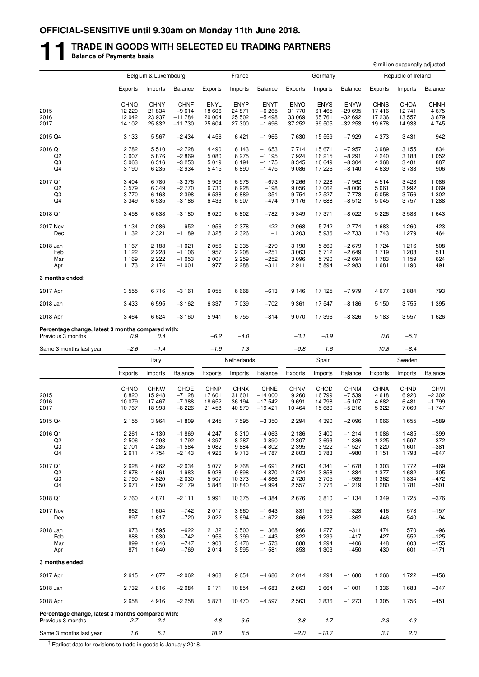# **11 TRADE IN GOODS WITH SELECTED EU TRADING PARTNERS Balance of Payments basis**

|                                                                        |                       |                       |                    |                       |                       |                         |                        |                       |                         |                      | £ million seasonally adjusted |                        |
|------------------------------------------------------------------------|-----------------------|-----------------------|--------------------|-----------------------|-----------------------|-------------------------|------------------------|-----------------------|-------------------------|----------------------|-------------------------------|------------------------|
|                                                                        |                       | Belgium & Luxembourg  |                    |                       | France                |                         |                        | Germany               |                         |                      | Republic of Ireland           |                        |
|                                                                        | Exports               | Imports               | <b>Balance</b>     | Exports               | Imports               | <b>Balance</b>          | Exports                | Imports               | Balance                 | Exports              | Imports                       | <b>Balance</b>         |
|                                                                        |                       | <b>CHNY</b>           | <b>CHNF</b>        |                       |                       |                         |                        |                       |                         |                      |                               |                        |
| 2015                                                                   | <b>CHNQ</b><br>12 220 | 21 834                | $-9614$            | ENYL<br>18 606        | <b>ENYP</b><br>24 871 | <b>ENYT</b><br>$-6265$  | <b>ENYO</b><br>31 770  | <b>ENYS</b><br>61 465 | <b>ENYW</b><br>$-29695$ | <b>CHNS</b><br>17416 | <b>CHOA</b><br>12741          | CHNH<br>4675           |
| 2016                                                                   | 12 042                | 23 937                | $-11784$           | 20 004                | 25 502                | $-5498$                 | 33 069                 | 65 761                | $-32692$                | 17 236               | 13 557                        | 3679                   |
| 2017                                                                   | 14 102                | 25 832                | $-11730$           | 25 604                | 27 300                | $-1696$                 | 37 252                 | 69 505                | $-32253$                | 19678                | 14 933                        | 4745                   |
| 2015 Q4                                                                | 3 1 3 3               | 5 5 6 7               | $-2434$            | 4 4 5 6               | 6421                  | $-1965$                 | 7630                   | 15 559                | $-7929$                 | 4 3 7 3              | 3 4 3 1                       | 942                    |
| 2016 Q1                                                                | 2782                  | 5510                  | $-2728$            | 4 4 9 0               | 6 1 4 3               | $-1653$                 | 7714                   | 15 671                | $-7957$                 | 3989                 | 3 1 5 5                       | 834                    |
| Q <sub>2</sub>                                                         | 3 0 0 7               | 5876                  | $-2869$            | 5 0 8 0               | 6 2 7 5               | $-1195$                 | 7924                   | 16 215                | $-8291$                 | 4 2 4 0              | 3 1 8 8                       | 1 0 5 2                |
| Q3<br>Q4                                                               | 3 0 6 3<br>3 1 9 0    | 6316<br>6 2 3 5       | $-3253$<br>$-2934$ | 5019<br>5415          | 6 1 9 4<br>6890       | $-1175$<br>$-1475$      | 8 3 4 5<br>9086        | 16 649<br>17 226      | $-8304$<br>$-8140$      | 4 3 6 8<br>4639      | 3 4 8 1<br>3733               | 887<br>906             |
| 2017 Q1                                                                | 3 4 0 4               | 6780                  | $-3376$            | 5903                  | 6576                  | $-673$                  | 9 2 6 6                | 17 228                | $-7962$                 | 4514                 | 3 4 2 8                       | 1 0 8 6                |
| Q <sub>2</sub>                                                         | 3579                  | 6 3 4 9               | $-2770$            | 6730                  | 6928                  | $-198$                  | 9 0 5 6                | 17 062                | $-8006$                 | 5 0 6 1              | 3992                          | 1 0 6 9                |
| Q3                                                                     | 3770                  | 6 1 6 8               | $-2398$            | 6 5 38                | 6889                  | $-351$                  | 9754                   | 17 527                | $-7773$                 | 5 0 5 8              | 3756                          | 1 3 0 2                |
| Q4                                                                     | 3 3 4 9               | 6 5 3 5               | $-3186$            | 6433                  | 6907                  | $-474$                  | 9 1 7 6                | 17688                 | $-8512$                 | 5 0 4 5              | 3757                          | 1 2 8 8                |
| 2018 Q1                                                                | 3 4 5 8               | 6638                  | $-3180$            | 6 0 20                | 6802                  | $-782$                  | 9 3 4 9                | 17 371                | -8 022                  | 5 2 2 6              | 3583                          | 1 6 4 3                |
| <b>2017 Nov</b><br>Dec                                                 | 1 1 3 4<br>1 1 3 2    | 2 0 8 6<br>2 3 2 1    | $-952$<br>$-1189$  | 1956<br>2 3 2 5       | 2 3 7 8<br>2 3 2 6    | $-422$<br>$-1$          | 2968<br>3 2 0 3        | 5742<br>5936          | $-2774$<br>$-2733$      | 1683<br>1743         | 1 260<br>1 279                | 423<br>464             |
|                                                                        |                       |                       |                    |                       |                       |                         |                        |                       |                         |                      |                               |                        |
| 2018 Jan                                                               | 1 1 6 7               | 2 1 8 8               | $-1021$            | 2 0 5 6               | 2 3 3 5               | $-279$                  | 3 1 9 0                | 5869                  | $-2679$                 | 1 7 2 4              | 1 2 1 6                       | 508                    |
| Feb<br>Mar                                                             | 1 1 2 2<br>1 1 6 9    | 2 2 2 8<br>2 2 2 2    | $-1106$<br>$-1053$ | 1957<br>2 0 0 7       | 2 2 0 8<br>2 2 5 9    | $-251$<br>$-252$        | 3 0 6 3<br>3 0 9 6     | 5712<br>5790          | $-2649$<br>$-2694$      | 1719<br>1783         | 1 208<br>1 1 5 9              | 511<br>624             |
| Apr                                                                    | 1 1 7 3               | 2 1 7 4               | $-1001$            | 1977                  | 2 2 8 8               | $-311$                  | 2911                   | 5894                  | $-2983$                 | 1681                 | 1 1 9 0                       | 491                    |
| 3 months ended:                                                        |                       |                       |                    |                       |                       |                         |                        |                       |                         |                      |                               |                        |
| 2017 Apr                                                               | 3 5 5 5               | 6716                  | $-3161$            | 6 0 5 5               | 6668                  | $-613$                  | 9 1 4 6                | 17 125                | $-7979$                 | 4677                 | 3884                          | 793                    |
| 2018 Jan                                                               | 3 4 3 3               | 6595                  | $-3162$            | 6 3 3 7               | 7 0 3 9               | $-702$                  | 9 3 6 1                | 17 547                | $-8186$                 | 5 1 5 0              | 3755                          | 1 3 9 5                |
| 2018 Apr                                                               | 3 4 6 4               | 6624                  | $-3160$            | 5941                  | 6755                  | $-814$                  | 9 0 7 0                | 17 396                | -8 326                  | 5 1 8 3              | 3557                          | 1 6 2 6                |
| Percentage change, latest 3 months compared with:<br>Previous 3 months | 0.9                   | 0.4                   |                    | $-6.2$                | $-4.0$                |                         | $-3.1$                 | $-0.9$                |                         | 0.6                  | $-5.3$                        |                        |
| Same 3 months last year                                                | $-2.6$                | $-1.4$                |                    | $-1.9$                | 1.3                   |                         | $-0.8$                 | 1.6                   |                         | 10.8                 | $-8.4$                        |                        |
|                                                                        |                       | Italy                 |                    |                       | Netherlands           |                         |                        | Spain                 |                         |                      | Sweden                        |                        |
|                                                                        | Exports               | Imports               | <b>Balance</b>     | Exports               | Imports               | Balance                 | Exports                | Imports               | Balance                 | Exports              | Imports                       | <b>Balance</b>         |
|                                                                        |                       |                       |                    |                       |                       |                         |                        |                       |                         |                      |                               |                        |
| 2015                                                                   | <b>CHNO</b><br>8820   | <b>CHNW</b><br>15 948 | CHOE<br>$-7128$    | <b>CHNP</b><br>17 601 | <b>CHNX</b><br>31 601 | <b>CHNE</b><br>$-14000$ | <b>CHNV</b><br>9 2 6 0 | <b>CHOD</b><br>16 799 | <b>CHNM</b><br>$-7539$  | <b>CHNA</b><br>4618  | <b>CHND</b><br>6920           | <b>CHVI</b><br>$-2302$ |
| 2016                                                                   | 10 079                | 17467                 | $-7388$            | 18 652                | 36 194                | $-17542$                | 9691                   | 14 798                | $-5107$                 | 4682                 | 6481                          | $-1799$                |
| 2017                                                                   | 10767                 | 18 993                | $-8226$            | 21 458                | 40 879                | $-19421$                | 10 4 64                | 15 680                | $-5216$                 | 5 3 2 2              | 7 0 6 9                       | $-1747$                |
| 2015 Q4                                                                | 2 1 5 5               | 3 9 6 4               | $-1809$            | 4 2 4 5               | 7 5 9 5               | $-3350$                 | 2 2 9 4                | 4 3 9 0               | $-2096$                 | 1 0 6 6              | 1 6 5 5                       | $-589$                 |
| 2016 Q1                                                                | 2 2 6 1               | 4 1 3 0               | $-1869$            | 4 2 4 7               | 8310                  | $-4063$                 | 2 1 8 6                | 3 4 0 0               | $-1214$                 | 1 0 8 6              | 1 4 8 5                       | $-399$                 |
| Q <sub>2</sub>                                                         | 2 5 0 6               | 4 2 9 8               | $-1792$            | 4 3 9 7               | 8 2 8 7               | $-3890$                 | 2 3 0 7                | 3693                  | $-1386$                 | 1 2 2 5              | 1 597                         | $-372$                 |
| Q3<br>Q4                                                               | 2 701<br>2611         | 4 2 8 5<br>4 7 5 4    | $-1584$<br>$-2143$ | 5 0 8 2<br>4926       | 9884<br>9713          | $-4802$<br>$-4787$      | 2 3 9 5<br>2803        | 3922<br>3783          | $-1527$<br>$-980$       | 1 2 2 0<br>1 1 5 1   | 1 601<br>1798                 | $-381$<br>$-647$       |
| 2017 Q1                                                                | 2628                  | 4 6 6 2               | $-2034$            | 5 0 7 7               | 9768                  | $-4691$                 | 2663                   | 4 3 4 1               | $-1678$                 | 1 3 0 3              | 1772                          | $-469$                 |
| Q <sub>2</sub>                                                         | 2678                  | 4 6 6 1               | $-1983$            | 5 0 28                | 9898                  | $-4870$                 | 2 5 2 4                | 3858                  | $-1334$                 | 1 3 7 7              | 1682                          | $-305$                 |
| Q3                                                                     | 2790                  | 4 8 20                | $-2030$            | 5 5 0 7               | 10 373                | $-4866$                 | 2720                   | 3705                  | $-985$                  | 1 3 6 2              | 1834                          | $-472$                 |
| Q4                                                                     | 2671                  | 4 8 5 0               | $-2179$            | 5846                  | 10 840                | $-4994$                 | 2 5 5 7                | 3776                  | $-1219$                 | 1 2 8 0              | 1781                          | $-501$                 |
| 2018 Q1                                                                | 2760                  | 4871                  | $-2111$            | 5991                  | 10 375                | $-4384$                 | 2676                   | 3810                  | $-1134$                 | 1 3 4 9              | 1725                          | $-376$                 |
| 2017 Nov<br>Dec                                                        | 862<br>897            | 1 604<br>1617         | $-742$<br>$-720$   | 2017<br>2 0 2 2       | 3 6 6 0<br>3694       | $-1643$<br>$-1672$      | 831<br>866             | 1 1 5 9<br>1 2 2 8    | $-328$<br>$-362$        | 416<br>446           | 573<br>540                    | $-157$<br>$-94$        |
|                                                                        |                       |                       |                    |                       |                       |                         |                        |                       |                         |                      |                               |                        |
| 2018 Jan<br>Feb                                                        | 973<br>888            | 1 5 9 5<br>1 6 3 0    | $-622$<br>$-742$   | 2 1 3 2<br>1956       | 3500<br>3 3 9 9       | $-1.368$<br>$-1443$     | 966<br>822             | 1 277<br>1 2 3 9      | $-311$<br>$-417$        | 474<br>427           | 570<br>552                    | $-96$<br>$-125$        |
| Mar                                                                    | 899                   | 1646                  | $-747$             | 1 903                 | 3 4 7 6               | $-1573$                 | 888                    | 1 2 9 4               | $-406$                  | 448                  | 603                           | $-155$                 |
| Apr                                                                    | 871                   | 1 640                 | $-769$             | 2014                  | 3595                  | $-1581$                 | 853                    | 1 3 0 3               | $-450$                  | 430                  | 601                           | $-171$                 |
| 3 months ended:                                                        |                       |                       |                    |                       |                       |                         |                        |                       |                         |                      |                               |                        |
| 2017 Apr                                                               | 2615                  | 4677                  | $-2062$            | 4 9 6 8               | 9654                  | $-4686$                 | 2614                   | 4 2 9 4               | $-1680$                 | 1 2 6 6              | 1722                          | $-456$                 |
| 2018 Jan                                                               | 2 7 3 2               | 4816                  | $-2084$            | 6 1 7 1               | 10 854                | $-4683$                 | 2663                   | 3664                  | $-1001$                 | 1 3 3 6              | 1683                          | $-347$                 |
| 2018 Apr                                                               | 2658                  | 4916                  | $-2258$            | 5873                  | 10 470                | $-4597$                 | 2563                   | 3836                  | $-1273$                 | 1 3 0 5              | 1756                          | $-451$                 |
| Percentage change, latest 3 months compared with:                      |                       |                       |                    |                       |                       |                         |                        |                       |                         |                      |                               |                        |
| Previous 3 months                                                      | $-2.7$                | 2.1                   |                    | $-4.8$                | $-3.5$                |                         | $-3.8$                 | 4.7                   |                         | $-2.3$               | 4.3                           |                        |
| Same 3 months last year                                                | 1.6                   | 5.1                   |                    | 18.2                  | 8.5                   |                         | $-2.0$                 | $-10.7$               |                         | 3.1                  | 2.0                           |                        |

 $\frac{1}{1}$  Earliest date for revisions to trade in goods is January 2018.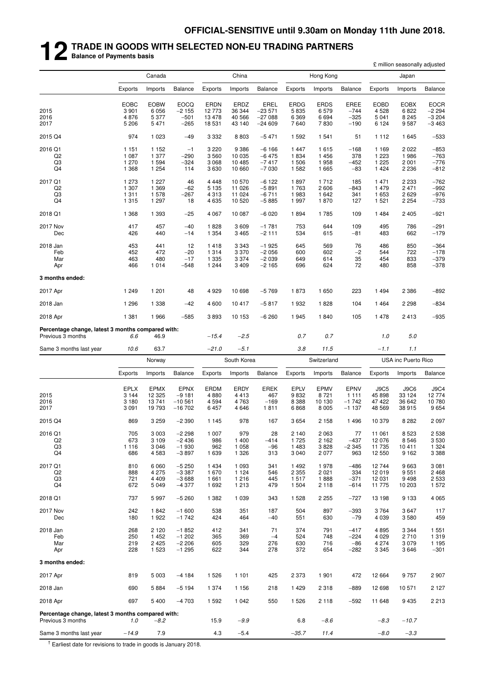# **12 TRADE IN GOODS WITH SELECTED NON-EU TRADING PARTNERS Balance of Payments basis**

|                                                                        |                                              |                                              |                                                |                                            |                                          |                                                 |                                        |                                     |                                              |                                           | £ million seasonally adjusted          |                                              |
|------------------------------------------------------------------------|----------------------------------------------|----------------------------------------------|------------------------------------------------|--------------------------------------------|------------------------------------------|-------------------------------------------------|----------------------------------------|-------------------------------------|----------------------------------------------|-------------------------------------------|----------------------------------------|----------------------------------------------|
|                                                                        |                                              | Canada                                       |                                                |                                            | China                                    |                                                 |                                        | Hong Kong                           |                                              |                                           | Japan                                  |                                              |
|                                                                        | Exports                                      | Imports                                      | <b>Balance</b>                                 | Exports                                    | Imports                                  | <b>Balance</b>                                  | Exports                                | Imports                             | <b>Balance</b>                               | Exports                                   | Imports                                | <b>Balance</b>                               |
| 2015<br>2016<br>2017                                                   | <b>EOBC</b><br>3 9 0 1<br>4876<br>5 2 0 6    | <b>EOBW</b><br>6 0 5 6<br>5 3 7 7<br>5 4 7 1 | <b>EOCQ</b><br>$-2155$<br>$-501$<br>$-265$     | <b>ERDN</b><br>12 773<br>13 4 78<br>18 531 | ERDZ<br>36 344<br>40 566<br>43 140       | <b>EREL</b><br>$-23571$<br>$-27088$<br>$-24609$ | <b>ERDG</b><br>5835<br>6 3 6 9<br>7640 | <b>ERDS</b><br>6579<br>6694<br>7830 | <b>EREE</b><br>$-744$<br>$-325$<br>$-190$    | <b>EOBD</b><br>4528<br>5041<br>6 1 2 4    | <b>EOBX</b><br>6822<br>8 2 4 5<br>9587 | <b>EOCR</b><br>$-2294$<br>$-3204$<br>$-3463$ |
| 2015 Q4                                                                | 974                                          | 1 0 2 3                                      | $-49$                                          | 3 3 3 2                                    | 8803                                     | $-5471$                                         | 1592                                   | 1 541                               | 51                                           | 1 1 1 2                                   | 1645                                   | $-533$                                       |
| 2016 Q1<br>Q2<br>Q3<br>Q4                                              | 1 1 5 1<br>1 0 8 7<br>1 270<br>1 3 6 8       | 1 1 5 2<br>1 377<br>1 5 9 4<br>1 2 5 4       | $-1$<br>$-290$<br>$-324$<br>114                | 3 2 2 0<br>3560<br>3 0 6 8<br>3630         | 9 3 8 6<br>10 035<br>10 485<br>10 660    | $-6166$<br>$-6475$<br>$-7417$<br>$-7030$        | 1447<br>1834<br>1506<br>1582           | 1615<br>1456<br>1958<br>1 6 6 5     | $-168$<br>378<br>$-452$<br>$-83$             | 1 1 6 9<br>1 2 2 3<br>1 2 2 5<br>1424     | 2 0 2 2<br>1986<br>2 0 0 1<br>2 2 3 6  | $-853$<br>$-763$<br>$-776$<br>$-812$         |
| 2017 Q1<br>Q <sub>2</sub><br>Q3<br>Q4                                  | 1 273<br>1 307<br>1 3 1 1<br>1 3 1 5         | 1 2 2 7<br>1 3 6 9<br>1578<br>1 2 9 7        | 46<br>$-62$<br>$-267$<br>18                    | 4 4 4 8<br>5 1 3 5<br>4 3 1 3<br>4635      | 10 570<br>11 0 26<br>11 024<br>10 520    | $-6122$<br>$-5891$<br>$-6711$<br>$-5885$        | 1897<br>1763<br>1983<br>1997           | 1712<br>2606<br>1 642<br>1870       | 185<br>$-843$<br>341<br>127                  | 1471<br>1479<br>1653<br>1 5 2 1           | 2 2 3 3<br>2471<br>2629<br>2 2 5 4     | $-762$<br>$-992$<br>$-976$<br>$-733$         |
| 2018 Q1                                                                | 1 3 6 8                                      | 1 3 9 3                                      | $-25$                                          | 4 0 6 7                                    | 10 087                                   | $-6020$                                         | 1894                                   | 1785                                | 109                                          | 1484                                      | 2 4 0 5                                | $-921$                                       |
| 2017 Nov<br>Dec                                                        | 417<br>426                                   | 457<br>440                                   | $-40$<br>$-14$                                 | 1828<br>1 3 5 4                            | 3609<br>3 4 6 5                          | $-1781$<br>$-2111$                              | 753<br>534                             | 644<br>615                          | 109<br>$-81$                                 | 495<br>483                                | 786<br>662                             | $-291$<br>$-179$                             |
| 2018 Jan<br>Feb<br>Mar<br>Apr                                          | 453<br>452<br>463<br>466                     | 441<br>472<br>480<br>1014                    | 12<br>$-20$<br>$-17$<br>-548                   | 1418<br>1 3 1 4<br>1 3 3 5<br>1 2 4 4      | 3 3 4 3<br>3 3 7 0<br>3 3 7 4<br>3 4 0 9 | $-1925$<br>$-2056$<br>$-2039$<br>$-2165$        | 645<br>600<br>649<br>696               | 569<br>602<br>614<br>624            | 76<br>$-2$<br>35<br>72                       | 486<br>544<br>454<br>480                  | 850<br>722<br>833<br>858               | $-364$<br>$-178$<br>$-379$<br>$-378$         |
| 3 months ended:                                                        |                                              |                                              |                                                |                                            |                                          |                                                 |                                        |                                     |                                              |                                           |                                        |                                              |
| 2017 Apr                                                               | 1 2 4 9                                      | 1 201                                        | 48                                             | 4 9 2 9                                    | 10 698                                   | $-5769$                                         | 1873                                   | 1650                                | 223                                          | 1494                                      | 2 3 8 6                                | $-892$                                       |
| 2018 Jan                                                               | 1 2 9 6                                      | 1 3 3 8                                      | $-42$                                          | 4600                                       | 10 417                                   | $-5817$                                         | 1932                                   | 1828                                | 104                                          | 1464                                      | 2 2 9 8                                | $-834$                                       |
| 2018 Apr                                                               | 1 3 8 1                                      | 1966                                         | $-585$                                         | 3893                                       | 10 153                                   | $-6260$                                         | 1945                                   | 1840                                | 105                                          | 1478                                      | 2413                                   | $-935$                                       |
| Percentage change, latest 3 months compared with:<br>Previous 3 months | 6.6                                          | 46.9                                         |                                                | $-15.4$                                    | $-2.5$                                   |                                                 | 0.7                                    | 0.7                                 |                                              | 1.0                                       | 5.0                                    |                                              |
| Same 3 months last year                                                | 10.6                                         | 63.7                                         |                                                | $-21.0$                                    | $-5.1$                                   |                                                 | 3.8                                    | 11.5                                |                                              | $-1.1$                                    | 1.1                                    |                                              |
|                                                                        |                                              | Norway                                       |                                                | South Korea                                |                                          |                                                 | Switzerland                            |                                     |                                              |                                           | USA inc Puerto Rico                    |                                              |
|                                                                        | Exports                                      | Imports                                      | <b>Balance</b>                                 | Exports                                    | Imports                                  | Balance                                         | Exports                                | Imports                             | <b>Balance</b>                               | Exports                                   | Imports                                | <b>Balance</b>                               |
| 2015<br>2016<br>2017                                                   | <b>EPLX</b><br>3 1 4 4<br>3 1 8 0<br>3 0 9 1 | EPMX<br>12 3 25<br>13741<br>19 793           | <b>EPNX</b><br>$-9181$<br>$-10561$<br>$-16702$ | ERDM<br>4880<br>4 5 9 4<br>6457            | ERDY<br>4413<br>4 7 6 3<br>4 6 4 6       | <b>EREK</b><br>467<br>$-169$<br>1811            | <b>EPLV</b><br>9832<br>8 3 8 8<br>6868 | EPMV<br>8721<br>10 130<br>8 0 0 5   | <b>EPNV</b><br>1 1 1 1<br>$-1742$<br>$-1137$ | <b>J9C5</b><br>45 898<br>47 422<br>48 569 | J9C6<br>33 1 24<br>36 642<br>38 915    | <b>J9C4</b><br>12774<br>10 780<br>9654       |
| 2015 Q4                                                                | 869                                          | 3 2 5 9                                      | $-2390$                                        | 1 1 4 5                                    | 978                                      | 167                                             | 3 6 5 4                                | 2 1 5 8                             | 1 4 9 6                                      | 10 379                                    | 8 2 8 2                                | 2 0 9 7                                      |
| 2016 Q1<br>Q <sub>2</sub><br>Q3<br>Q4                                  | 705<br>673<br>1 1 1 6<br>686                 | 3 0 0 3<br>3 1 0 9<br>3 0 4 6<br>4 5 8 3     | $-2298$<br>$-2436$<br>$-1930$<br>$-3897$       | 1 0 0 7<br>986<br>962<br>1 639             | 979<br>1 4 0 0<br>1 0 5 8<br>1 3 2 6     | 28<br>-414<br>$-96$<br>313                      | 2 140<br>1725<br>1 4 8 3<br>3 0 4 0    | 2 0 6 3<br>2 1 6 2<br>3828<br>2077  | 77<br>$-437$<br>$-2345$<br>963               | 11 061<br>12 0 76<br>11 735<br>12 550     | 8 5 23<br>8546<br>10 411<br>9 1 6 2    | 2 5 3 8<br>3530<br>1 3 2 4<br>3 3 8 8        |
| 2017 Q1<br>Q2<br>Q3<br>Q4                                              | 810<br>888<br>721<br>672                     | 6 0 6 0<br>4 2 7 5<br>4 4 0 9<br>5 0 4 9     | $-5250$<br>$-3387$<br>$-3688$<br>$-4377$       | 1 4 3 4<br>1670<br>1 6 6 1<br>1 6 9 2      | 1 0 9 3<br>1 1 2 4<br>1 2 1 6<br>1 2 1 3 | 341<br>546<br>445<br>479                        | 1 4 9 2<br>2 3 5 5<br>1517<br>1 504    | 1978<br>2 0 2 1<br>1888<br>2 1 1 8  | $-486$<br>334<br>$-371$<br>$-614$            | 12744<br>12019<br>12 031<br>11 775        | 9663<br>9551<br>9 4 9 8<br>10 203      | 3 0 8 1<br>2 4 6 8<br>2 5 3 3<br>1 572       |
| 2018 Q1                                                                | 737                                          | 5997                                         | $-5260$                                        | 1 3 8 2                                    | 1 0 3 9                                  | 343                                             | 1 5 2 8                                | 2 2 5 5                             | $-727$                                       | 13 198                                    | 9 1 3 3                                | 4 0 6 5                                      |
| 2017 Nov<br>Dec                                                        | 242<br>180                                   | 1842<br>1922                                 | $-1600$<br>$-1742$                             | 538<br>424                                 | 351<br>464                               | 187<br>$-40$                                    | 504<br>551                             | 897<br>630                          | $-393$<br>$-79$                              | 3764<br>4 0 3 9                           | 3647<br>3580                           | 117<br>459                                   |
| 2018 Jan<br>Feb<br>Mar<br>Apr                                          | 268<br>250<br>219<br>228                     | 2 1 2 0<br>1 4 5 2<br>2 4 2 5<br>1 5 2 3     | $-1852$<br>$-1202$<br>$-2206$<br>$-1295$       | 412<br>365<br>605<br>622                   | 341<br>369<br>329<br>344                 | 71<br>$-4$<br>276<br>278                        | 374<br>524<br>630<br>372               | 791<br>748<br>716<br>654            | $-417$<br>$-224$<br>$-86$<br>$-282$          | 4895<br>4 0 2 9<br>4 2 7 4<br>3 3 4 5     | 3 3 4 4<br>2710<br>3 0 7 9<br>3646     | 1 5 5 1<br>1 3 1 9<br>1 1 9 5<br>$-301$      |
| 3 months ended:                                                        |                                              |                                              |                                                |                                            |                                          |                                                 |                                        |                                     |                                              |                                           |                                        |                                              |
| 2017 Apr                                                               | 819                                          | 5 0 0 3                                      | $-4184$                                        | 1 5 2 6                                    | 1 1 0 1                                  | 425                                             | 2 3 7 3                                | 1 901                               | 472                                          | 12 6 64                                   | 9757                                   | 2907                                         |
| 2018 Jan                                                               | 690                                          | 5884                                         | $-5194$                                        | 1 374                                      | 1 1 5 6                                  | 218                                             | 1 4 2 9                                | 2 3 1 8                             | $-889$                                       | 12 6 98                                   | 10 571                                 | 2 1 2 7                                      |

2018 Apr 697 5 400 −4 703 1 592 1 042 550 1 526 2 118 −592 11 648 9 435 2 213

**Percentage change, latest 3 months compared with:**<br>Previous 3 months  $1.0 -0.2$ Previous 3 months *1.0* −*8.2* 15.9 −*9.9* 6.8 −*8.6* −*8.3* −*10.7* Same 3 months last year −*14.9* 7.9 4.3 −5.4 −*35.7 11.4* −*8.0* −*3.3*

 $<sup>†</sup>$  Earliest date for revisions to trade in goods is January 2018.</sup>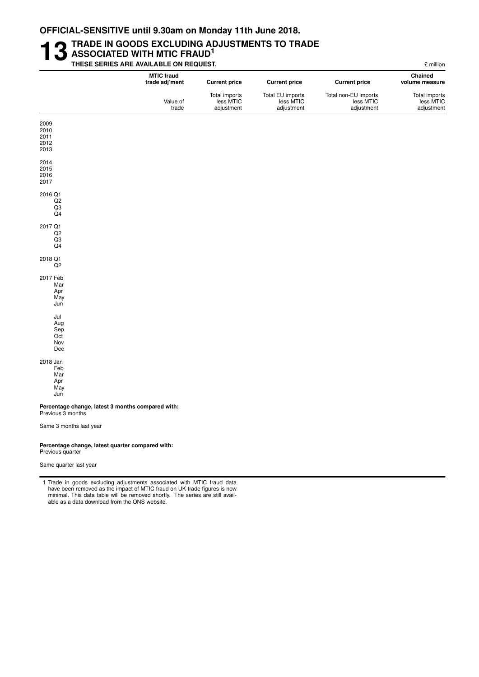### **13** TRADE IN GOODS EXCLUDING ADJUSTMENTS TO TRADE<br>THESE SERIES ARE AVAILABLE ON REQUEST. **ASSOCIATED WITH MTIC FRAUD<sup>1</sup> THESE SERIES ARE AVAILABLE ON REQUEST.** £ million

|                                                                        | <b>MTIC fraud</b><br>trade adj'ment | <b>Current price</b>                     | <b>Current price</b>                        | <b>Current price</b>                            | Chained<br>volume measure                |
|------------------------------------------------------------------------|-------------------------------------|------------------------------------------|---------------------------------------------|-------------------------------------------------|------------------------------------------|
|                                                                        | Value of<br>trade                   | Total imports<br>less MTIC<br>adjustment | Total EU imports<br>less MTIC<br>adjustment | Total non-EU imports<br>less MTIC<br>adjustment | Total imports<br>less MTIC<br>adjustment |
| 2009<br>2010<br>2011<br>2012<br>2013                                   |                                     |                                          |                                             |                                                 |                                          |
| 2014<br>2015<br>2016<br>2017                                           |                                     |                                          |                                             |                                                 |                                          |
| 2016 Q1<br>Q <sub>2</sub><br>Q3<br>Q4                                  |                                     |                                          |                                             |                                                 |                                          |
| 2017 Q1<br>Q2<br>Q3<br>Q4                                              |                                     |                                          |                                             |                                                 |                                          |
| 2018 Q1<br>Q2                                                          |                                     |                                          |                                             |                                                 |                                          |
| 2017 Feb<br>Mar<br>Apr<br>May<br>Jun                                   |                                     |                                          |                                             |                                                 |                                          |
| Jul<br>Aug<br>Sep<br>Oct<br>Nov<br>Dec                                 |                                     |                                          |                                             |                                                 |                                          |
| 2018 Jan<br>Feb<br>Mar<br>Apr<br>May<br>Jun                            |                                     |                                          |                                             |                                                 |                                          |
| Percentage change, latest 3 months compared with:<br>Previous 3 months |                                     |                                          |                                             |                                                 |                                          |
| Same 3 months last year                                                |                                     |                                          |                                             |                                                 |                                          |

#### Percentage change, latest quarter compared with: Previous quarter

able as a data download from the ONS website.

Same quarter last year

1 Trade in goods excluding adjustments associated with MTIC fraud data have been removed as the impact of MTIC fraud on UK trade figures is now minimal. This data table will be removed shortly. The series are still avail-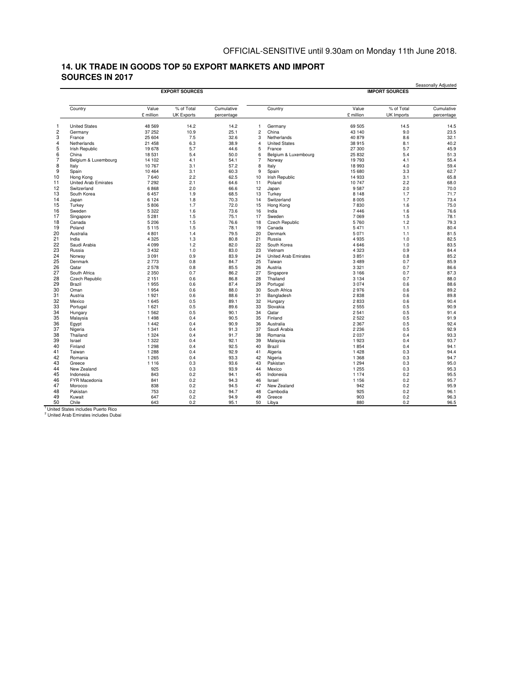#### **14. UK TRADE IN GOODS TOP 50 EXPORT MARKETS AND IMPORT SOURCES IN 2017**

|                |                             |                  | <b>EXPORT SOURCES</b> |              |                |                             |                  | <b>IMPORT SOURCES</b> | Seasonally Adjusted |  |
|----------------|-----------------------------|------------------|-----------------------|--------------|----------------|-----------------------------|------------------|-----------------------|---------------------|--|
|                | Country                     | Value            | % of Total            | Cumulative   |                | Country                     | Value            | % of Total            | Cumulative          |  |
|                |                             | £ million        | <b>UK Exports</b>     | percentage   |                |                             | £ million        | UK Imports            | percentage          |  |
| 1              | <b>United States</b>        | 48 569           | 14.2                  | 14.2         | $\mathbf{1}$   | Germany                     | 69 505           | 14.5                  | 14.5                |  |
| $\overline{c}$ | Germany                     | 37 252           | 10.9                  | 25.1         | $\overline{c}$ | China                       | 43 140           | 9.0                   | 23.5                |  |
| 3              | France                      | 25 604           | 7.5                   | 32.6         | 3              | Netherlands                 | 40 879           | 8.6                   | 32.1                |  |
| 4              | Netherlands                 | 21 458           | 6.3                   | 38.9         | $\overline{4}$ | <b>United States</b>        | 38 915           | 8.1                   | 40.2                |  |
| 5              | <b>Irish Republic</b>       | 19678            | 5.7                   | 44.6         | 5              | France                      | 27 300           | 5.7                   | 45.9                |  |
| 6              | China                       | 18 531           | 5.4                   | 50.0         | 6              | Belgium & Luxembourg        | 25 832           | 5.4                   | 51.3                |  |
| $\overline{7}$ | Belgium & Luxembourg        | 14 102           | 4.1                   | 54.1         | $\overline{7}$ | Norway                      | 19 793           | 4.1                   | 55.4                |  |
| 8<br>9         | Italy                       | 10767<br>10 4 64 | 3.1<br>3.1            | 57.2<br>60.3 | 8              | Italy<br>Spain              | 18 993<br>15 680 | 4.0<br>3.3            | 59.4<br>62.7        |  |
| 10             | Spain<br>Hong Kong          | 7640             | 2.2                   | 62.5         | 9<br>10        | Irish Republic              | 14 933           | 3.1                   | 65.8                |  |
|                | <b>United Arab Emirates</b> | 7 2 9 2          | 2.1                   | 64.6         | 11             | Poland                      | 10 747           | 2.2                   | 68.0                |  |
| 12             | Switzerland                 | 6868             | 2.0                   | 66.6         | 12             | Japan                       | 9587             | 2.0                   | 70.0                |  |
| 13             | South Korea                 | 6457             | 1.9                   | 68.5         | 13             | Turkey                      | 8 1 4 8          | 1.7                   | 71.7                |  |
| 14             | Japan                       | 6 1 2 4          | 1.8                   | 70.3         | 14             | Switzerland                 | 8 0 0 5          | 1.7                   | 73.4                |  |
| 15             | Turkey                      | 5806             | 1.7                   | 72.0         | 15             | Hong Kong                   | 7830             | 1.6                   | 75.0                |  |
| 16             | Sweden                      | 5 3 2 2          | 1.6                   | 73.6         | 16             | India                       | 7446             | 1.6                   | 76.6                |  |
| 17             | Singapore                   | 5 2 8 1          | 1.5                   | 75.1         | 17             | Sweden                      | 7069             | 1.5                   | 78.1                |  |
| 18             | Canada                      | 5 2 0 6          | 1.5                   | 76.6         | 18             | <b>Czech Republic</b>       | 5760             | 1.2                   | 79.3                |  |
| 19             | Poland                      | 5 1 1 5          | 1.5                   | 78.1         | 19             | Canada                      | 5471             | 1.1                   | 80.4                |  |
| 20             | Australia                   | 4 8 0 1          | 1.4                   | 79.5         | 20             | Denmark                     | 5 0 7 1          | 1.1                   | 81.5                |  |
| 21             | India                       | 4 3 2 5          | 1.3                   | 80.8         | 21             | Russia                      | 4935             | 1.0                   | 82.5                |  |
| 22             | Saudi Arabia                | 4 0 9 9          | 1.2                   | 82.0         | 22             | South Korea                 | 4646             | 1.0                   | 83.5                |  |
| 23             | Russia                      | 3 4 3 2          | 1.0                   | 83.0         | 23             | Vietnam                     | 4 3 2 3          | 0.9                   | 84.4                |  |
| 24             | Norway                      | 3 0 9 1          | 0.9                   | 83.9         | 24             | <b>United Arab Emirates</b> | 3851             | 0.8                   | 85.2                |  |
| 25             | Denmark                     | 2773             | 0.8                   | 84.7         | 25             | Taiwan                      | 3489             | 0.7                   | 85.9                |  |
| 26             | Qatar                       | 2578             | 0.8                   | 85.5         | 26             | Austria                     | 3 3 2 1          | 0.7                   | 86.6                |  |
| 27             | South Africa                | 2 3 5 0          | 0.7                   | 86.2         | 27             | Singapore                   | 3 1 6 6          | 0.7                   | 87.3                |  |
| 28             | <b>Czech Republic</b>       | 2 1 5 1          | 0.6                   | 86.8         | 28             | Thailand                    | 3 1 3 4          | 0.7                   | 88.0                |  |
| 29             | Brazil                      | 1955             | 0.6                   | 87.4         | 29             | Portugal                    | 3074             | 0.6                   | 88.6                |  |
| 30             | Oman                        | 1954             | 0.6                   | 88.0         | 30             | South Africa                | 2976             | 0.6                   | 89.2                |  |
| 31             | Austria                     | 1921             | 0.6                   | 88.6         | 31             | Bangladesh                  | 2838             | 0.6                   | 89.8                |  |
| 32<br>33       | Mexico                      | 1645<br>1 6 2 1  | 0.5<br>0.5            | 89.1<br>89.6 | 32<br>33       | Hungary                     | 2833<br>2555     | 0.6                   | 90.4<br>90.9        |  |
| 34             | Portugal                    | 1562             | 0.5                   | 90.1         | 34             | Slovakia<br>Qatar           | 2541             | 0.5<br>0.5            | 91.4                |  |
| 35             | Hungary<br>Malaysia         | 1498             | 0.4                   | 90.5         | 35             | Finland                     | 2522             | 0.5                   | 91.9                |  |
| 36             | Egypt                       | 1 4 4 2          | 0.4                   | 90.9         | 36             | Australia                   | 2 3 6 7          | 0.5                   | 92.4                |  |
| 37             | Nigeria                     | 1 3 4 1          | 0.4                   | 91.3         | 37             | Saudi Arabia                | 2 2 3 6          | 0.5                   | 92.9                |  |
| 38             | Thailand                    | 1 3 2 4          | 0.4                   | 91.7         | 38             | Romania                     | 2037             | 0.4                   | 93.3                |  |
| 39             | Israel                      | 1 3 2 2          | 0.4                   | 92.1         | 39             | Malaysia                    | 1923             | 0.4                   | 93.7                |  |
| 40             | Finland                     | 1 2 9 8          | 0.4                   | 92.5         | 40             | Brazil                      | 1854             | 0.4                   | 94.1                |  |
|                | Taiwan                      | 1 2 8 8          | 0.4                   | 92.9         | 41             | Algeria                     | 1428             | 0.3                   | 94.4                |  |
| 42             | Romania                     | 1 2 6 5          | 0.4                   | 93.3         | 42             | Nigeria                     | 1 3 6 8          | 0.3                   | 94.7                |  |
| 43             | Greece                      | 1 1 1 6          | 0.3                   | 93.6         | 43             | Pakistan                    | 1 2 9 4          | 0.3                   | 95.0                |  |
| 44             | New Zealand                 | 925              | 0.3                   | 93.9         | 44             | Mexico                      | 1 2 5 5          | 0.3                   | 95.3                |  |
| 45             | Indonesia                   | 843              | 0.2                   | 94.1         | 45             | Indonesia                   | 1 1 7 4          | 0.2                   | 95.5                |  |
| 46             | FYR Macedonia               | 841              | 0.2                   | 94.3         | 46             | Israel                      | 1 1 5 6          | 0.2                   | 95.7                |  |
| 47             | Morocco                     | 838              | 0.2                   | 94.5         | 47             | New Zealand                 | 942              | 0.2                   | 95.9                |  |
| 48             | Pakistan                    | 753              | 0.2                   | 94.7         | 48             | Cambodia                    | 925              | 0.2                   | 96.1                |  |
| 49             | Kuwait                      | 647              | 0.2                   | 94.9         | 49             | Greece                      | 903              | 0.2                   | 96.3                |  |
| 50             | Chile                       | 643              | 0.2                   | 95.1         | 50             | Libya                       | 880              | 0.2                   | 96.5                |  |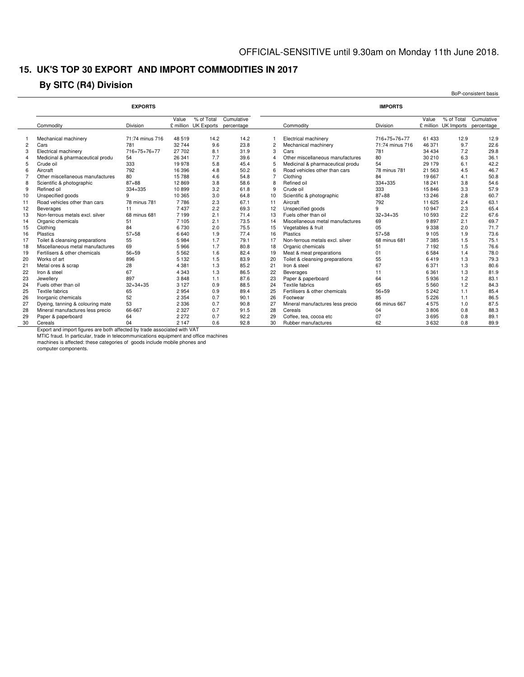### **15. UK'S TOP 30 EXPORT AND IMPORT COMMODITIES IN 2017**

### **By SITC (R4) Division**

|                |                                  |                 |                    |                                 |                          |                         |                                  |                 |         |                                    | BoP-consistent basis     |
|----------------|----------------------------------|-----------------|--------------------|---------------------------------|--------------------------|-------------------------|----------------------------------|-----------------|---------|------------------------------------|--------------------------|
|                |                                  | <b>EXPORTS</b>  |                    |                                 |                          |                         |                                  | <b>IMPORTS</b>  |         |                                    |                          |
|                | Commodity                        | Division        | Value<br>£ million | % of Total<br><b>UK Exports</b> | Cumulative<br>percentage |                         | Commodity                        | Division        | Value   | % of Total<br>£ million UK Imports | Cumulative<br>percentage |
|                | Mechanical machinery             | 71:74 minus 716 | 48 519             | 14.2                            | 14.2                     | 1                       | Electrical machinery             | 716+75+76+77    | 61 433  | 12.9                               | 12.9                     |
| $\overline{c}$ | Cars                             | 781             | 32 744             | 9.6                             | 23.8                     | $\overline{2}$          | Mechanical machinery             | 71:74 minus 716 | 46 371  | 9.7                                | 22.6                     |
| 3              | Electrical machinery             | 716+75+76+77    | 27 702             | 8.1                             | 31.9                     | 3                       | Cars                             | 781             | 34 4 34 | 7.2                                | 29.8                     |
| $\overline{4}$ | Medicinal & pharmaceutical produ | 54              | 26 341             | 7.7                             | 39.6                     | $\overline{\mathbf{A}}$ | Other miscellaneous manufactures | 80              | 30 210  | 6.3                                | 36.1                     |
| 5              | Crude oil                        | 333             | 19 978             | 5.8                             | 45.4                     | 5                       | Medicinal & pharmaceutical produ | 54              | 29 179  | 6.1                                | 42.2                     |
| 6              | Aircraft                         | 792             | 16 396             | 4.8                             | 50.2                     | ĥ                       | Road vehicles other than cars    | 78 minus 781    | 21 563  | 4.5                                | 46.7                     |
|                | Other miscellaneous manufactures | 80              | 15788              | 4.6                             | 54.8                     | $\overline{7}$          | Clothing                         | 84              | 19 667  | 4.1                                | 50.8                     |
| 8              | Scientific & photographic        | $87 + 88$       | 12869              | 3.8                             | 58.6                     | R                       | Refined oil                      | 334+335         | 18 241  | 3.8                                | 54.6                     |
| 9              | Refined oil                      | 334+335         | 10899              | 3.2                             | 61.8                     | 9                       | Crude oil                        | 333             | 15 846  | 3.3                                | 57.9                     |
| 10             | Unspecified goods                | 9               | 10 365             | 3.0                             | 64.8                     | 10                      | Scientific & photographic        | $87 + 88$       | 13 24 6 | 2.8                                | 60.7                     |
| 11             | Road vehicles other than cars    | 78 minus 781    | 7786               | 2.3                             | 67.1                     | 11                      | Aircraft                         | 792             | 11 625  | 2.4                                | 63.1                     |
| 12             | Beverages                        | 11              | 7437               | 2.2                             | 69.3                     | 12                      | Unspecified goods                | 9               | 10 947  | 2.3                                | 65.4                     |
| 13             | Non-ferrous metals excl. silver  | 68 minus 681    | 7 1 9 9            | 2.1                             | 71.4                     | 13                      | Fuels other than oil             | $32 + 34 + 35$  | 10 593  | 2.2                                | 67.6                     |
| 14             | Organic chemicals                | 51              | 7 105              | 2.1                             | 73.5                     | 14                      | Miscellaneous metal manufactures | 69              | 9897    | 2.1                                | 69.7                     |
| 15             | Clothing                         | 84              | 6730               | 2.0                             | 75.5                     | 15                      | Vegetables & fruit               | 05              | 9 3 3 8 | 2.0                                | 71.7                     |
| 16             | Plastics                         | $57 + 58$       | 6640               | 1.9                             | 77.4                     | 16                      | Plastics                         | $57 + 58$       | 9 1 0 5 | 1.9                                | 73.6                     |
| 17             | Toilet & cleansing preparations  | 55              | 5984               | 1.7                             | 79.1                     | 17                      | Non-ferrous metals excl. silver  | 68 minus 681    | 7385    | 1.5                                | 75.1                     |
| 18             | Miscellaneous metal manufactures | 69              | 5966               | 1.7                             | 80.8                     | 18                      | Organic chemicals                | 51              | 7 1 9 2 | 1.5                                | 76.6                     |
| 19             | Fertilisers & other chemicals    | $56 + 59$       | 5 5 6 2            | 1.6                             | 82.4                     | 19                      | Meat & meat preparations         | 01              | 6584    | 1.4                                | 78.0                     |
| 20             | Works of art                     | 896             | 5 1 3 2            | 1.5                             | 83.9                     | 20                      | Toilet & cleansing preparations  | 55              | 6419    | 1.3                                | 79.3                     |
| 21             | Metal ores & scrap               | 28              | 4 3 8 1            | 1.3                             | 85.2                     | 21                      | Iron & steel                     | 67              | 6 3 7 1 | 1.3                                | 80.6                     |
| 22             | Iron & steel                     | 67              | 4 3 4 3            | 1.3                             | 86.5                     | 22                      | Beverages                        | 11              | 6 3 6 1 | 1.3                                | 81.9                     |
| 23             | Jewellerv                        | 897             | 3848               | 1.1                             | 87.6                     | 23                      | Paper & paperboard               | 64              | 5936    | 1.2                                | 83.1                     |
| 24             | Fuels other than oil             | $32 + 34 + 35$  | 3 1 2 7            | 0.9                             | 88.5                     | 24                      | Textile fabrics                  | 65              | 5 5 6 0 | 1.2                                | 84.3                     |
| 25             | <b>Textile fabrics</b>           | 65              | 2954               | 0.9                             | 89.4                     | 25                      | Fertilisers & other chemicals    | $56 + 59$       | 5 2 4 2 | 1.1                                | 85.4                     |
| 26             | Inorganic chemicals              | 52              | 2 3 5 4            | 0.7                             | 90.1                     | 26                      | Footwear                         | 85              | 5 2 2 6 | 1.1                                | 86.5                     |
| 27             | Dyeing, tanning & colouring mate | 53              | 2 3 3 6            | 0.7                             | 90.8                     | 27                      | Mineral manufactures less precio | 66 minus 667    | 4575    | 1.0                                | 87.5                     |
| 28             | Mineral manufactures less precio | 66-667          | 2 3 2 7            | 0.7                             | 91.5                     | 28                      | Cereals                          | 04              | 3806    | 0.8                                | 88.3                     |
| 29             | Paper & paperboard               | 64              | 2 2 7 2            | 0.7                             | 92.2                     | 29                      | Coffee, tea, cocoa etc           | 07              | 3695    | 0.8                                | 89.1                     |
| 30             | Cereals                          | 04              | 2 1 4 7            | 0.6                             | 92.8                     | 30                      | Rubber manufactures              | 62              | 3632    | 0.8                                | 89.9                     |

Export and import figures are both affected by trade associated with VAT

MTIC fraud. In particular, trade in telecommunications equipment and office machines machines is affected: these categories of goods include mobile phones and

computer components.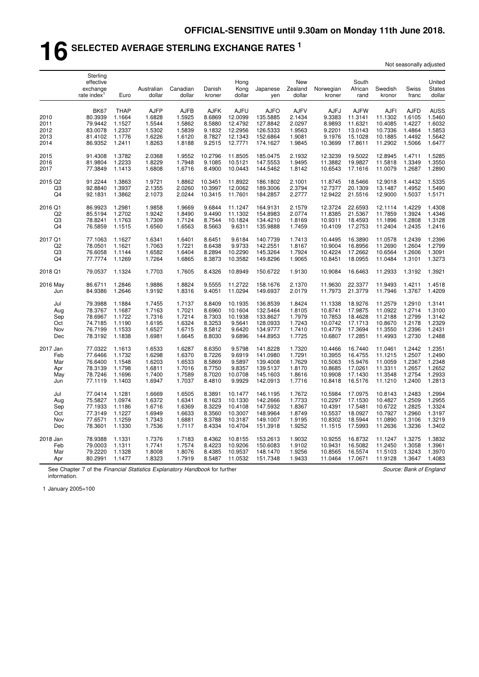# **16 SELECTED AVERAGE STERLING EXCHANGE RATES <sup>1</sup>**

| Not seasonally adjusted |  |
|-------------------------|--|
|-------------------------|--|

|                      | Sterling<br>effective<br>exchange<br>rate index | Euro             | Australian<br>dollar | Canadian<br>dollar | Danish<br>kroner | Hong<br>Kong<br>dollar | Japanese<br>yen      | New<br>Zealand<br>dollar | Norwegian<br>kroner | South<br>African<br>rand | Swedish<br>kronor  | Swiss<br>franc   | United<br><b>States</b><br>dollar |
|----------------------|-------------------------------------------------|------------------|----------------------|--------------------|------------------|------------------------|----------------------|--------------------------|---------------------|--------------------------|--------------------|------------------|-----------------------------------|
|                      | <b>BK67</b>                                     | <b>THAP</b>      | <b>AJFP</b>          | <b>AJFB</b>        | <b>AJFK</b>      | <b>AJFU</b>            | <b>AJFO</b>          | <b>AJFV</b>              | <b>AJFJ</b>         | <b>AJFW</b>              | <b>AJFI</b>        | <b>AJFD</b>      | <b>AUSS</b>                       |
| 2010                 | 80.3939                                         | 1.1664           | 1.6828               | 1.5925             | 8.6869           | 12.0099                | 135.5885             | 2.1434                   | 9.3383              | 11.3141                  | 11.1302            | 1.6105           | 1.5460                            |
| 2011                 | 79.9442                                         | 1.1527           | 1.5544               | 1.5862             | 8.5880           | 12.4792                | 127.8842             | 2.0297                   | 8.9893              | 11.6321                  | 10.4085            | 1.4227           | 1.6032                            |
| 2012<br>2013         | 83.0078<br>81.4102                              | 1.2337<br>1.1776 | 1.5302<br>1.6226     | 1.5839<br>1.6120   | 9.1832<br>8.7827 | 12.2956<br>12.1343     | 126.5333<br>152.6864 | 1.9563<br>1.9081         | 9.2201<br>9.1976    | 13.0143<br>15.1028       | 10.7336<br>10.1885 | 1.4864<br>1.4492 | 1.5853<br>1.5642                  |
| 2014                 | 86.9352                                         | 1.2411           | 1.8263               | 1.8188             | 9.2515           | 12.7771                | 174.1627             | 1.9845                   | 10.3699             | 17.8611                  | 11.2902            | 1.5066           | 1.6477                            |
| 2015                 | 91.4308                                         | 1.3782           | 2.0368               | 1.9552             | 10.2796          | 11.8505                | 185.0475             | 2.1932                   | 12.3239             | 19.5022                  | 12.8945            | 1.4711           | 1.5285                            |
| 2016                 | 81.9804                                         | 1.2233           | 1.8229               | 1.7948             | 9.1085           | 10.5121                | 147.5553             | 1.9495                   | 11.3882             | 19.9827                  | 11.5818            | 1.3349           | 1.3550                            |
| 2017                 | 77.3849                                         | 1.1413           | 1.6808               | 1.6716             | 8.4900           | 10.0443                | 144.5462             | 1.8142                   | 10.6543             | 17.1616                  | 11.0079            | 1.2687           | 1.2890                            |
| 2015 Q2              | 91.2244                                         | 1.3863           | 1.9721               | 1.8862             | 10.3451          | 11.8922                | 186.1802             | 2.1001                   | 11.8745             | 18.5466                  | 12.9018            | 1.4432           | 1.5335                            |
| Q3                   | 92.8840                                         | 1.3937           | 2.1355               | 2.0260             | 10.3997          | 12.0062                | 189.3006             | 2.3794                   | 12.7377             | 20.1309                  | 13.1487            | 1.4952           | 1.5490                            |
| Q <sub>4</sub>       | 92.1831                                         | 1.3862           | 2.1073               | 2.0244             | 10.3415          | 11.7601                | 184.2857             | 2.2777                   | 12.9422             | 21.5516                  | 12.9000            | 1.5037           | 1.5171                            |
| 2016 Q1              | 86.9923                                         | 1.2981           | 1.9858               | 1.9669             | 9.6844           | 11.1247                | 164.9131             | 2.1579                   | 12.3724             | 22.6593                  | 12.1114            | 1.4229           | 1.4308                            |
| Q <sub>2</sub>       | 85.5194                                         | 1.2702           | 1.9242               | 1.8490             | 9.4490           | 11.1302                | 154.8983             | 2.0774                   | 11.8385             | 21.5367                  | 11.7859            | 1.3924           | 1.4346                            |
| Q3<br>Q <sub>4</sub> | 78.8241<br>76.5859                              | 1.1763<br>1.1515 | 1.7309<br>1.6560     | 1.7124<br>1.6563   | 8.7544<br>8.5663 | 10.1824<br>9.6311      | 134.4210<br>135.9888 | 1.8169<br>1.7459         | 10.9311<br>10.4109  | 18.4593<br>17.2753       | 11.1896<br>11.2404 | 1.2808<br>1.2435 | 1.3128<br>1.2416                  |
| 2017 Q1              | 77.1063                                         | 1.1627           | 1.6341               | 1.6401             | 8.6451           | 9.6184                 | 140.7739             | 1.7413                   | 10.4495             | 16.3890                  | 11.0578            | 1.2439           | 1.2396                            |
| Q <sub>2</sub>       | 78.0501                                         | 1.1621           | 1.7063               | 1.7221             | 8.6438           | 9.9733                 | 142.2551             | 1.8167                   | 10.9004             | 16.8956                  | 11.2690            | 1.2604           | 1.2799                            |
| Q3                   | 76.6058                                         | 1.1144           | 1.6582               | 1.6404             | 8.2894           | 10.2290                | 145.3264             | 1.7924                   | 10.4224             | 17.2662                  | 10.6564            | 1.2606           | 1.3091                            |
| Q4                   | 77.7774                                         | 1.1269           | 1.7264               | 1.6865             | 8.3873           | 10.3582                | 149.8296             | 1.9065                   | 10.8451             | 18.0955                  | 11.0484            | 1.3101           | 1.3273                            |
| 2018 Q1              | 79.0537                                         | 1.1324           | 1.7703               | 1.7605             | 8.4326           | 10.8949                | 150.6722             | 1.9130                   | 10.9084             | 16.6463                  | 11.2933            | 1.3192           | 1.3921                            |
| 2016 May             | 86.6711                                         | 1.2846           | 1.9886               | 1.8824             | 9.5555           | 11.2722                | 158.1676             | 2.1370                   | 11.9630             | 22.3377                  | 11.9493            | 1.4211           | 1.4518                            |
| Jun                  | 84.9386                                         | 1.2646           | 1.9192               | 1.8316             | 9.4051           | 11.0294                | 149.6937             | 2.0179                   | 11.7973             | 21.3779                  | 11.7946            | 1.3767           | 1.4209                            |
| Jul                  | 79.3988                                         | 1.1884           | 1.7455               | 1.7137             | 8.8409           | 10.1935                | 136.8539             | 1.8424                   | 11.1338             | 18.9276                  | 11.2579            | 1.2910           | 1.3141                            |
| Aug                  | 78.3767                                         | 1.1687           | 1.7163               | 1.7021             | 8.6960           | 10.1604                | 132.5464             | 1.8105                   | 10.8741             | 17.9875                  | 11.0922            | 1.2714           | 1.3100                            |
| Sep                  | 78.6967                                         | 1.1722           | 1.7316               | 1.7214             | 8.7303           | 10.1938                | 133.8627             | 1.7979                   | 10.7853             | 18.4628                  | 11.2188            | 1.2799           | 1.3142                            |
| Oct                  | 74.7185                                         | 1.1190           | 1.6195               | 1.6324             | 8.3253           | 9.5641                 | 128.0933             | 1.7243                   | 10.0742             | 17.1713                  | 10.8670            | 1.2178           | 1.2329                            |
| Nov<br>Dec           | 76.7199<br>78.3192                              | 1.1533<br>1.1838 | 1.6527<br>1.6981     | 1.6715<br>1.6645   | 8.5812<br>8.8030 | 9.6420<br>9.6896       | 134.9777<br>144.8953 | 1.7410<br>1.7725         | 10.4779<br>10.6807  | 17.3694<br>17.2851       | 11.3550<br>11.4993 | 1.2396<br>1.2730 | 1.2431<br>1.2488                  |
|                      |                                                 |                  |                      |                    |                  |                        |                      |                          |                     |                          |                    |                  |                                   |
| 2017 Jan             | 77.0322                                         | 1.1613           | 1.6533               | 1.6287             | 8.6350           | 9.5798                 | 141.8228             | 1.7320                   | 10.4466             | 16.7440                  | 11.0461            | 1.2442           | 1.2351                            |
| Feb                  | 77.6466                                         | 1.1732           | 1.6298               | 1.6370             | 8.7226           | 9.6919                 | 141.0980             | 1.7291                   | 10.3955             | 16.4755                  | 11.1215            | 1.2507           | 1.2490                            |
| Mar                  | 76.6400                                         | 1.1548           | 1.6203               | 1.6533             | 8.5869           | 9.5897                 | 139.4008             | 1.7629<br>1.8170         | 10.5063             | 15.9476<br>17.0261       | 11.0059            | 1.2367           | 1.2348<br>1.2652                  |
| Apr<br>May           | 78.3139<br>78.7246                              | 1.1798<br>1.1696 | 1.6811<br>1.7400     | 1.7016<br>1.7589   | 8.7750<br>8.7020 | 9.8357<br>10.0708      | 139.5137<br>145.1603 | 1.8616                   | 10.8685<br>10.9908  | 17.1430                  | 11.3311<br>11.3548 | 1.2657<br>1.2754 | 1.2933                            |
| Jun                  | 77.1119                                         | 1.1403           | 1.6947               | 1.7037             | 8.4810           | 9.9929                 | 142.0913             | 1.7716                   | 10.8418             | 16.5176                  | 11.1210            | 1.2400           | 1.2813                            |
| Jul                  | 77.0414                                         | 1.1281           | 1.6669               | 1.6505             | 8.3891           | 10.1477                | 146.1195             | 1.7672                   | 10.5984             | 17.0975                  | 10.8143            | 1.2483           | 1.2994                            |
| Aug                  | 75.5827                                         | 1.0974           | 1.6372               | 1.6341             | 8.1623           | 10.1330                | 142.2666             | 1.7733                   | 10.2297             | 17.1530                  | 10.4827            | 1.2509           | 1.2955                            |
| Sep                  | 77.1933                                         | 1.1186           | 1.6716               | 1.6369             | 8.3229           | 10.4108                | 147.5932             | 1.8367                   | 10.4391             | 17.5481                  | 10.6722            | 1.2825           | 1.3324                            |
| Oct                  | 77.3149                                         | 1.1227           | 1.6949               | 1.6633             | 8.3560           | 10.3007                | 148.9964             | 1.8749                   | 10.5537             | 18.0927                  | 10.7927            | 1.2960           | 1.3197                            |
| Nov                  | 77.6571                                         | 1.1259           | 1.7343               | 1.6881             | 8.3788           | 10.3187                | 149.1007             | 1.9195                   | 10.8302             | 18.5944                  | 11.0890            | 1.3106           | 1.3219                            |
| Dec                  | 78.3601                                         | 1.1330           | 1.7536               | 1.7117             | 8.4334           | 10.4704                | 151.3918             | 1.9252                   | 11.1515             | 17.5993                  | 11.2636            | 1.3236           | 1.3402                            |
| 2018 Jan             | 78.9388                                         | 1.1331           | 1.7376               | 1.7183             | 8.4362           | 10.8155                | 153.2613             | 1.9032                   | 10.9255             | 16.8732                  | 11.1247            | 1.3275           | 1.3832                            |
| Feb                  | 79.0003                                         | 1.1311           | 1.7741               | 1.7574             | 8.4223           | 10.9206                | 150.6083             | 1.9102                   | 10.9431             | 16.5082                  | 11.2450            | 1.3058           | 1.3961                            |
| Mar<br>Apr           | 79.2220<br>80.2991                              | 1.1328<br>1.1477 | 1.8008<br>1.8323     | 1.8076<br>1.7919   | 8.4385<br>8.5487 | 10.9537<br>11.0532     | 148.1470<br>151.7348 | 1.9256<br>1.9433         | 10.8565<br>11.0464  | 16.5574<br>17.0671       | 11.5103<br>11.9128 | 1.3243<br>1.3647 | 1.3970<br>1.4083                  |
|                      |                                                 |                  |                      |                    |                  |                        |                      |                          |                     |                          |                    |                  |                                   |

See Chapter 7 of the *Financial Statistics Explanatory Handbook* for further information.

*Source: Bank of England*

1 January 2005=100